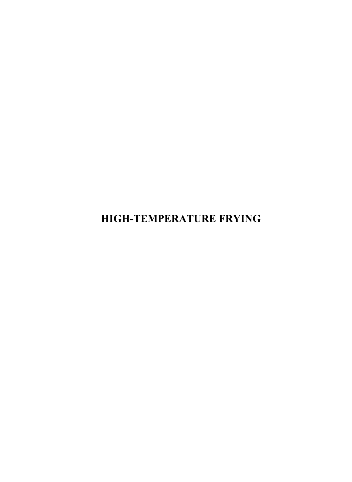**HIGH-TEMPERATURE FRYING**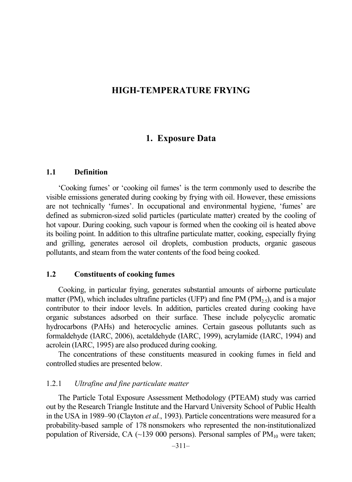## **HIGH-TEMPERATURE FRYING**

# **1. Exposure Data**

#### **1.1 Definition**

'Cooking fumes' or 'cooking oil fumes' is the term commonly used to describe the visible emissions generated during cooking by frying with oil. However, these emissions are not technically 'fumes'. In occupational and environmental hygiene, 'fumes' are defined as submicron-sized solid particles (particulate matter) created by the cooling of hot vapour. During cooking, such vapour is formed when the cooking oil is heated above its boiling point. In addition to this ultrafine particulate matter, cooking, especially frying and grilling, generates aerosol oil droplets, combustion products, organic gaseous pollutants, and steam from the water contents of the food being cooked.

#### **1.2 Constituents of cooking fumes**

Cooking, in particular frying, generates substantial amounts of airborne particulate matter (PM), which includes ultrafine particles (UFP) and fine PM (PM $_{2.5}$ ), and is a major contributor to their indoor levels. In addition, particles created during cooking have organic substances adsorbed on their surface. These include polycyclic aromatic hydrocarbons (PAHs) and heterocyclic amines. Certain gaseous pollutants such as formaldehyde (IARC, 2006), acetaldehyde (IARC, 1999), acrylamide (IARC, 1994) and acrolein (IARC, 1995) are also produced during cooking.

The concentrations of these constituents measured in cooking fumes in field and controlled studies are presented below.

#### 1.2.1 *Ultrafine and fine particulate matter*

The Particle Total Exposure Assessment Methodology (PTEAM) study was carried out by the Research Triangle Institute and the Harvard University School of Public Health in the USA in 1989–90 (Clayton *et al.*, 1993). Particle concentrations were measured for a probability-based sample of 178 nonsmokers who represented the non-institutionalized population of Riverside, CA  $(\sim 139\,000)$  persons). Personal samples of PM<sub>10</sub> were taken;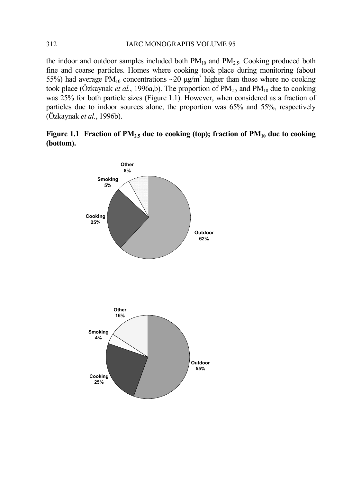#### 312 IARC MONOGRAPHS VOLUME 95

the indoor and outdoor samples included both  $PM_{10}$  and  $PM_{2.5}$ . Cooking produced both fine and coarse particles. Homes where cooking took place during monitoring (about 55%) had average PM<sub>10</sub> concentrations  $\sim$ 20  $\mu$ g/m<sup>3</sup> higher than those where no cooking took place (Özkaynak *et al.*, 1996a,b). The proportion of  $PM_{2.5}$  and  $PM_{10}$  due to cooking was 25% for both particle sizes (Figure 1.1). However, when considered as a fraction of particles due to indoor sources alone, the proportion was 65% and 55%, respectively (Özkaynak *et al.*, 1996b).

**Figure 1.1 Fraction of PM2.5 due to cooking (top); fraction of PM10 due to cooking (bottom).** 

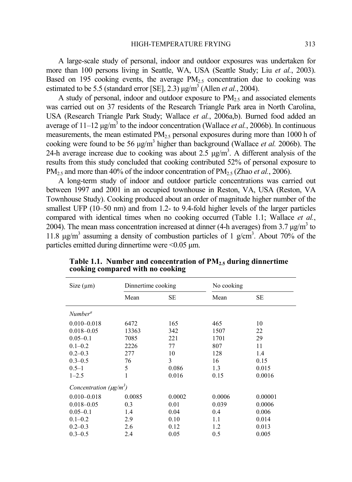A large-scale study of personal, indoor and outdoor exposures was undertaken for more than 100 persons living in Seattle, WA, USA (Seattle Study; Liu *et al.*, 2003). Based on 195 cooking events, the average  $PM<sub>25</sub>$  concentration due to cooking was estimated to be 5.5 (standard error [SE], 2.3)  $\mu$ g/m<sup>3</sup> (Allen *et al.*, 2004).

A study of personal, indoor and outdoor exposure to  $PM<sub>25</sub>$  and associated elements was carried out on 37 residents of the Research Triangle Park area in North Carolina, USA (Research Triangle Park Study; Wallace *et al.*, 2006a,b). Burned food added an average of  $11-12 \mu g/m^3$  to the indoor concentration (Wallace *et al.*, 2006b). In continuous measurements, the mean estimated  $PM<sub>2.5</sub>$  personal exposures during more than 1000 h of cooking were found to be 56 µg/m<sup>3</sup> higher than background (Wallace *et al.* 2006b). The 24-h average increase due to cooking was about 2.5  $\mu$ g/m<sup>3</sup>. A different analysis of the results from this study concluded that cooking contributed 52% of personal exposure to PM<sub>2.5</sub> and more than 40% of the indoor concentration of PM<sub>2.5</sub> (Zhao *et al.*, 2006).

A long-term study of indoor and outdoor particle concentrations was carried out between 1997 and 2001 in an occupied townhouse in Reston, VA, USA (Reston, VA Townhouse Study). Cooking produced about an order of magnitude higher number of the smallest UFP (10–50 nm) and from 1.2- to 9.4-fold higher levels of the larger particles compared with identical times when no cooking occurred (Table 1.1; Wallace *et al.*, 2004). The mean mass concentration increased at dinner (4-h averages) from 3.7  $\mu$ g/m<sup>3</sup> to 11.8  $\mu$ g/m<sup>3</sup> assuming a density of combustion particles of 1 g/cm<sup>3</sup>. About 70% of the particles emitted during dinnertime were  $\leq 0.05$   $\mu$ m.

| Size $(\mu m)$                           | Dinnertime cooking |        | No cooking |         |
|------------------------------------------|--------------------|--------|------------|---------|
|                                          | Mean               | SЕ     | Mean       | SЕ      |
| Number <sup>a</sup>                      |                    |        |            |         |
| $0.010 - 0.018$                          | 6472               | 165    | 465        | 10      |
| $0.018 - 0.05$                           | 13363              | 342    | 1507       | 22      |
| $0.05 - 0.1$                             | 7085               | 221    | 1701       | 29      |
| $0.1 - 0.2$                              | 2226               | 77     | 807        | 11      |
| $0.2 - 0.3$                              | 277                | 10     | 128        | 1.4     |
| $0.3 - 0.5$                              | 76                 | 3      | 16         | 0.15    |
| $0.5 - 1$                                | 5                  | 0.086  | 1.3        | 0.015   |
| $1 - 2.5$                                | 1                  | 0.016  | 0.15       | 0.0016  |
| Concentration ( $\mu$ g/m <sup>3</sup> ) |                    |        |            |         |
| $0.010 - 0.018$                          | 0.0085             | 0.0002 | 0.0006     | 0.00001 |
| $0.018 - 0.05$                           | 0.3                | 0.01   | 0.039      | 0.0006  |
| $0.05 - 0.1$                             | 1.4                | 0.04   | 0.4        | 0.006   |
| $0.1 - 0.2$                              | 2.9                | 0.10   | 1.1        | 0.014   |
| $0.2 - 0.3$                              | 2.6                | 0.12   | 1.2        | 0.013   |
| $0.3 - 0.5$                              | 2.4                | 0.05   | 0.5        | 0.005   |

**Table 1.1. Number and concentration of PM2.5 during dinnertime cooking compared with no cooking**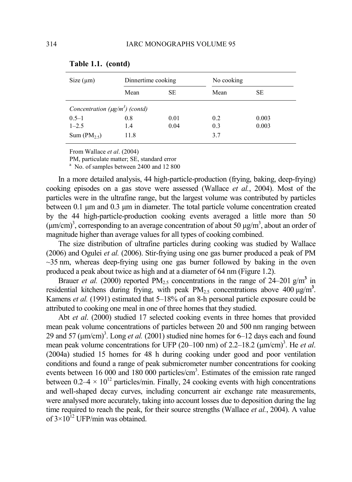| Size (µm)                           | Dinnertime cooking<br>SЕ<br>Mean |      | No cooking |       |  |
|-------------------------------------|----------------------------------|------|------------|-------|--|
|                                     |                                  |      | Mean       | SЕ    |  |
| Concentration $(\mu g/m^3)$ (contd) |                                  |      |            |       |  |
| $0.5 - 1$                           | 0.8                              | 0.01 | 0.2        | 0.003 |  |
| $1 - 2.5$                           | 1.4                              | 0.04 | 0.3        | 0.003 |  |
| Sum $(PM_{2,5})$                    | 11.8                             |      | 3.7        |       |  |

#### **Table 1.1. (contd)**

From Wallace *et al*. (2004)

PM, particulate matter: SE, standard error

<sup>a</sup> No. of samples between 2400 and 12 800

In a more detailed analysis, 44 high-particle-production (frying, baking, deep-frying) cooking episodes on a gas stove were assessed (Wallace *et al.*, 2004). Most of the particles were in the ultrafine range, but the largest volume was contributed by particles between 0.1 µm and 0.3 µm in diameter. The total particle volume concentration created by the 44 high-particle-production cooking events averaged a little more than 50  $(\mu m/cm)^3$ , corresponding to an average concentration of about 50  $\mu g/m^3$ , about an order of magnitude higher than average values for all types of cooking combined.

The size distribution of ultrafine particles during cooking was studied by Wallace (2006) and Ogulei *et al.* (2006). Stir-frying using one gas burner produced a peak of PM  $\sim$ 35 nm, whereas deep-frying using one gas burner followed by baking in the oven produced a peak about twice as high and at a diameter of 64 nm (Figure 1.2).

Brauer *et al.* (2000) reported  $PM_{2.5}$  concentrations in the range of 24–201 g/m<sup>3</sup> in residential kitchens during frying, with peak  $PM_{2.5}$  concentrations above  $400 \mu g/m^3$ . Kamens *et al.* (1991) estimated that 5–18% of an 8-h personal particle exposure could be attributed to cooking one meal in one of three homes that they studied.

Abt *et al*. (2000) studied 17 selected cooking events in three homes that provided mean peak volume concentrations of particles between 20 and 500 nm ranging between 29 and 57  $(\mu m/cm)^3$ . Long *et al.* (2001) studied nine homes for 6–12 days each and found mean peak volume concentrations for UFP (20–100 nm) of 2.2–18.2 ( $\mu$ m/cm)<sup>3</sup>. He *et al*. (2004a) studied 15 homes for 48 h during cooking under good and poor ventilation conditions and found a range of peak submicrometer number concentrations for cooking events between 16 000 and 180 000 particles/cm<sup>3</sup>. Estimates of the emission rate ranged between  $0.2-4 \times 10^{12}$  particles/min. Finally, 24 cooking events with high concentrations and well-shaped decay curves, including concurrent air exchange rate measurements, were analysed more accurately, taking into account losses due to deposition during the lag time required to reach the peak, for their source strengths (Wallace *et al.*, 2004). A value of  $3\times10^{12}$  UFP/min was obtained.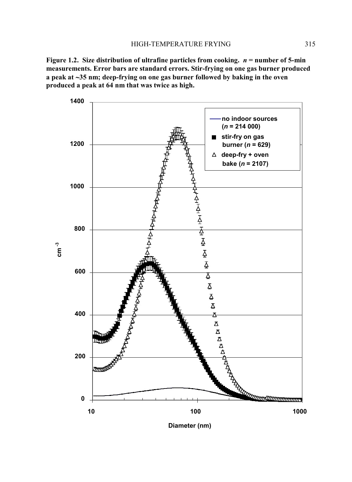**Figure 1.2. Size distribution of ultrafine particles from cooking.** *n* **= number of 5-min measurements. Error bars are standard errors. Stir-frying on one gas burner produced a peak at** ∼**35 nm; deep-frying on one gas burner followed by baking in the oven produced a peak at 64 nm that was twice as high.** 



**Diameter (nm)**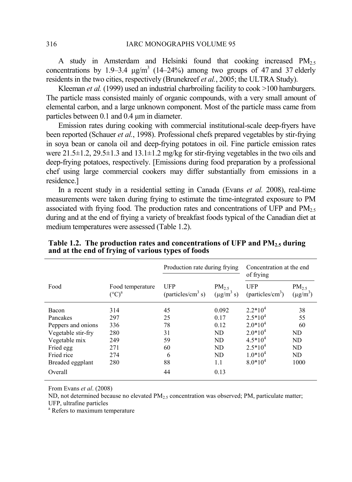A study in Amsterdam and Helsinki found that cooking increased  $PM_{2.5}$ concentrations by 1.9–3.4  $\mu$ g/m<sup>3</sup> (14–24%) among two groups of 47 and 37 elderly residents in the two cities, respectively (Brunekreef *et al.*, 2005; the ULTRA Study).

Kleeman *et al.* (1999) used an industrial charbroiling facility to cook >100 hamburgers. The particle mass consisted mainly of organic compounds, with a very small amount of elemental carbon, and a large unknown component. Most of the particle mass came from particles between 0.1 and 0.4 µm in diameter.

Emission rates during cooking with commercial institutional-scale deep-fryers have been reported (Schauer *et al.*, 1998). Professional chefs prepared vegetables by stir-frying in soya bean or canola oil and deep-frying potatoes in oil. Fine particle emission rates were  $21.5\pm1.2$ ,  $29.5\pm1.3$  and  $13.1\pm1.2$  mg/kg for stir-frying vegetables in the two oils and deep-frying potatoes, respectively. [Emissions during food preparation by a professional chef using large commercial cookers may differ substantially from emissions in a residence.]

In a recent study in a residential setting in Canada (Evans *et al.* 2008), real-time measurements were taken during frying to estimate the time-integrated exposure to PM associated with frying food. The production rates and concentrations of UFP and  $PM<sub>25</sub>$ during and at the end of frying a variety of breakfast foods typical of the Canadian diet at medium temperatures were assessed (Table 1.2).

|                    |                                         | Production rate during frying               |                               | Concentration at the end<br>of frying |                            |
|--------------------|-----------------------------------------|---------------------------------------------|-------------------------------|---------------------------------------|----------------------------|
| Food               | Food temperature<br>$({}^{\circ}C)^{a}$ | <b>UFP</b><br>(particles/cm <sup>3</sup> s) | $PM_{2.5}$<br>$(\mu g/m^3 s)$ | UFP<br>(particles/cm <sup>3</sup> )   | $PM_{25}$<br>$(\mu g/m^3)$ |
| Bacon              | 314                                     | 45                                          | 0.092                         | $2.2*104$                             | 38                         |
| Pancakes           | 297                                     | 25                                          | 0.17                          | $2.5*104$                             | 55                         |
| Peppers and onions | 336                                     | 78                                          | 0.12                          | $2.0*104$                             | 60                         |
| Vegetable stir-fry | 280                                     | 31                                          | ND                            | $2.0*104$                             | ND                         |
| Vegetable mix      | 249                                     | 59                                          | ND                            | $4.5*10^{4}$                          | ND.                        |
| Fried egg          | 271                                     | 60                                          | ND                            | $2.5*104$                             | ND                         |
| Fried rice         | 274                                     | 6                                           | ND                            | $1.0*104$                             | ND                         |
| Breaded eggplant   | 280                                     | 88                                          | 1.1                           | $8.0*104$                             | 1000                       |
| Overall            |                                         | 44                                          | 0.13                          |                                       |                            |

**Table 1.2. The production rates and concentrations of UFP and PM2.5 during and at the end of frying of various types of foods** 

From Evans *et al*. (2008)

ND, not determined because no elevated  $PM<sub>2.5</sub>$  concentration was observed; PM, particulate matter;

UFP, ultrafine particles

a Refers to maximum temperature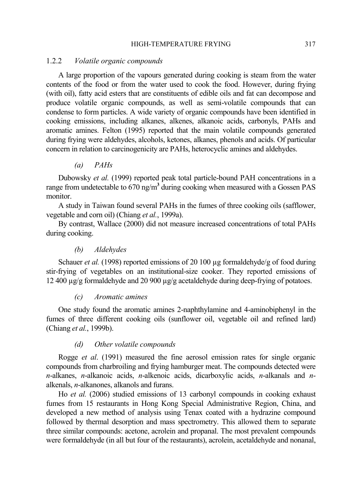#### HIGH-TEMPERATURE FRYING 317

#### 1.2.2 *Volatile organic compounds*

A large proportion of the vapours generated during cooking is steam from the water contents of the food or from the water used to cook the food. However, during frying (with oil), fatty acid esters that are constituents of edible oils and fat can decompose and produce volatile organic compounds, as well as semi-volatile compounds that can condense to form particles. A wide variety of organic compounds have been identified in cooking emissions, including alkanes, alkenes, alkanoic acids, carbonyls, PAHs and aromatic amines. Felton (1995) reported that the main volatile compounds generated during frying were aldehydes, alcohols, ketones, alkanes, phenols and acids. Of particular concern in relation to carcinogenicity are PAHs, heterocyclic amines and aldehydes.

*(a) PAHs* 

Dubowsky *et al.* (1999) reported peak total particle-bound PAH concentrations in a range from undetectable to 670 ng/m**<sup>3</sup>** during cooking when measured with a Gossen PAS monitor.

A study in Taiwan found several PAHs in the fumes of three cooking oils (safflower, vegetable and corn oil) (Chiang *et al.*, 1999a).

By contrast, Wallace (2000) did not measure increased concentrations of total PAHs during cooking.

### *(b) Aldehydes*

Schauer *et al.* (1998) reported emissions of 20 100  $\mu$ g formaldehyde/g of food during stir-frying of vegetables on an institutional-size cooker. They reported emissions of 12 400 µg/g formaldehyde and 20 900 µg/g acetaldehyde during deep-frying of potatoes.

#### *(c) Aromatic amines*

One study found the aromatic amines 2-naphthylamine and 4-aminobiphenyl in the fumes of three different cooking oils (sunflower oil, vegetable oil and refined lard) (Chiang *et al.*, 1999b).

#### *(d) Other volatile compounds*

Rogge *et al*. (1991) measured the fine aerosol emission rates for single organic compounds from charbroiling and frying hamburger meat. The compounds detected were *n*-alkanes, *n*-alkanoic acids, *n*-alkenoic acids, dicarboxylic acids, *n*-alkanals and *n*alkenals, *n*-alkanones, alkanols and furans.

Ho *et al.* (2006) studied emissions of 13 carbonyl compounds in cooking exhaust fumes from 15 restaurants in Hong Kong Special Administrative Region, China, and developed a new method of analysis using Tenax coated with a hydrazine compound followed by thermal desorption and mass spectrometry. This allowed them to separate three similar compounds: acetone, acrolein and propanal. The most prevalent compounds were formaldehyde (in all but four of the restaurants), acrolein, acetaldehyde and nonanal,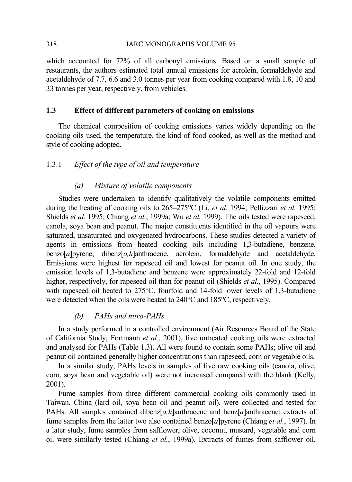### 318 IARC MONOGRAPHS VOLUME 95

which accounted for 72% of all carbonyl emissions. Based on a small sample of restaurants, the authors estimated total annual emissions for acrolein, formaldehyde and acetaldehyde of 7.7, 6.6 and 3.0 tonnes per year from cooking compared with 1.8, 10 and 33 tonnes per year, respectively, from vehicles.

## **1.3 Effect of different parameters of cooking on emissions**

The chemical composition of cooking emissions varies widely depending on the cooking oils used, the temperature, the kind of food cooked, as well as the method and style of cooking adopted.

## 1.3.1 *Effect of the type of oil and temperature*

## *(a) Mixture of volatile components*

Studies were undertaken to identify qualitatively the volatile components emitted during the heating of cooking oils to 265–275°C (Li, *et al.* 1994; Pellizzari *et al.* 1995; Shields *et al.* 1995; Chiang *et al.*, 1999a; Wu *et al.* 1999). The oils tested were rapeseed, canola, soya bean and peanut. The major constituents identified in the oil vapours were saturated, unsaturated and oxygenated hydrocarbons. These studies detected a variety of agents in emissions from heated cooking oils including 1,3-butadiene, benzene, benzo[*a*]pyrene, dibenz[*a,h*]anthracene, acrolein, formaldehyde and acetaldehyde. Emissions were highest for rapeseed oil and lowest for peanut oil. In one study, the emission levels of 1,3-butadiene and benzene were approximately 22-fold and 12-fold higher, respectively, for rapeseed oil than for peanut oil (Shields *et al.*, 1995). Compared with rapeseed oil heated to 275°C, fourfold and 14-fold lower levels of 1,3-butadiene were detected when the oils were heated to 240°C and 185°C, respectively.

## *(b) PAHs and nitro-PAHs*

In a study performed in a controlled environment (Air Resources Board of the State of California Study; Fortmann *et al.*, 2001), five untreated cooking oils were extracted and analysed for PAHs (Table 1.3). All were found to contain some PAHs; olive oil and peanut oil contained generally higher concentrations than rapeseed, corn or vegetable oils.

In a similar study, PAHs levels in samples of five raw cooking oils (canola, olive, corn, soya bean and vegetable oil) were not increased compared with the blank (Kelly, 2001).

Fume samples from three different commercial cooking oils commonly used in Taiwan, China (lard oil, soya bean oil and peanut oil), were collected and tested for PAHs. All samples contained dibenz[*a,h*]anthracene and benz[*a*]anthracene; extracts of fume samples from the latter two also contained benzo[*a*]pyrene (Chiang *et al.*, 1997). In a later study, fume samples from safflower, olive, coconut, mustard, vegetable and corn oil were similarly tested (Chiang *et al.*, 1999a). Extracts of fumes from safflower oil,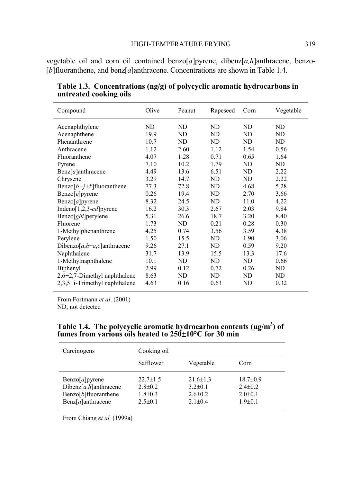vegetable oil and corn oil contained benzo[*a*]pyrene, dibenz[*a,h*]anthracene, benzo- [*b*]fluoranthene, and benz[*a*]anthracene. Concentrations are shown in Table 1.4.

| Compound                          | Olive | Peanut | Rapeseed | Corn | Vegetable |
|-----------------------------------|-------|--------|----------|------|-----------|
| Acenaphthylene                    | ND    | ND     | ND       | ND   | ND        |
| Acenaphthene                      | 19.9  | ND     | ND       | ND   | ND        |
| Phenanthrene                      | 10.7  | ND     | ND       | ND   | ND        |
| Anthracene                        | 1.12  | 2.60   | 1.12     | 1.54 | 0.56      |
| Fluoranthene                      | 4.07  | 1.28   | 0.71     | 0.65 | 1.64      |
| Pyrene                            | 7.10  | 10.2   | 1.79     | ND.  | ND        |
| $\text{Benz}[a]$ anthracene       | 4.49  | 13.6   | 6.51     | ND.  | 2.22      |
| Chrysene                          | 3.29  | 14.7   | ND       | ND   | 2.22      |
| Benzo $[b+j+k]$ fluoranthene      | 77.3  | 72.8   | ND       | 4.68 | 5.28      |
| $\text{Benzo}[e]$ pyrene          | 0.26  | 19.4   | ND       | 2.70 | 3.66      |
| Benzo $[a]$ pyrene                | 8.32  | 24.5   | ND       | 11.0 | 4.22      |
| Indeno[1,2,3- $cd$ ] pyrene       | 16.2  | 30.3   | 2.67     | 2.03 | 9.84      |
| Benzo[ghi]perylene                | 5.31  | 26.6   | 18.7     | 3.20 | 8.40      |
| Fluorene                          | 1.73  | ND     | 0.21     | 0.28 | 0.30      |
| 1-Methylphenanthrene              | 4.25  | 0.74   | 3.56     | 3.59 | 4.38      |
| Perylene                          | 1.50  | 15.5   | ND       | 1.90 | 3.06      |
| Dibenzo[ $a, h+a, c$ ] anthracene | 9.26  | 27.1   | ND       | 0.59 | 9.20      |
| Naphthalene                       | 31.7  | 13.9   | 15.5     | 13.3 | 17.6      |
| 1-Methylnaphthalene               | 10.1  | ND     | ND       | ND   | 0.66      |
| Biphenyl                          | 2.99  | 0.12   | 0.72     | 0.26 | ND        |
| $2,6+2,7$ -Dimethyl naphthalene   | 8.63  | ND     | ND.      | ND   | ND        |
| 2,3,5+i-Trimethyl naphthalene     | 4.63  | 0.16   | 0.63     | ND   | 0.32      |

**Table 1.3. Concentrations (ng/g) of polycyclic aromatic hydrocarbons in untreated cooking oils** 

From Fortmann *et al*. (2001) ND, not detected

### Table 1.4. The polycyclic aromatic hydrocarbon contents (µg/m<sup>3</sup>) of **fumes from various oils heated to 250**±**10°C for 30 min**

| Carcinogens                 | Cooking oil    |                |                |  |  |
|-----------------------------|----------------|----------------|----------------|--|--|
|                             | Safflower      | Vegetable      | Corn           |  |  |
| $\text{Benzo}[a]$ pyrene    | $22.7 \pm 1.5$ | $21.6 \pm 1.3$ | $18.7 \pm 0.9$ |  |  |
| Dibenz[ $a, h$ ]anthracene  | $2.8 \pm 0.2$  | $3.2 + 0.1$    | $2.4 \pm 0.2$  |  |  |
| $Benzo[b]$ fluoranthene     | $1.8 \pm 0.3$  | $2.6 \pm 0.2$  | $2.0 \pm 0.1$  |  |  |
| $\text{Benz}[a]$ anthracene | $2.5 \pm 0.1$  | $2.1 \pm 0.4$  | $1.9 \pm 0.1$  |  |  |

From Chiang *et al.* (1999a)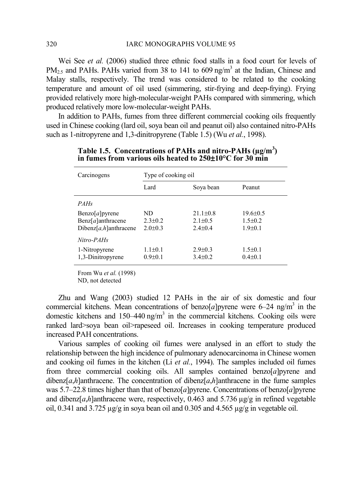Wei See *et al.* (2006) studied three ethnic food stalls in a food court for levels of  $PM_{2.5}$  and PAHs. PAHs varied from 38 to 141 to 609 ng/m<sup>3</sup> at the Indian, Chinese and Malay stalls, respectively. The trend was considered to be related to the cooking temperature and amount of oil used (simmering, stir-frying and deep-frying). Frying provided relatively more high-molecular-weight PAHs compared with simmering, which produced relatively more low-molecular-weight PAHs.

In addition to PAHs, fumes from three different commercial cooking oils frequently used in Chinese cooking (lard oil, soya bean oil and peanut oil) also contained nitro-PAHs such as 1-nitropyrene and 1,3-dinitropyrene (Table 1.5) (Wu *et al.*, 1998).

| Carcinogens                 | Type of cooking oil |                |                |  |  |  |  |
|-----------------------------|---------------------|----------------|----------------|--|--|--|--|
|                             | Lard                | Soya bean      | Peanut         |  |  |  |  |
| <i>PAHs</i>                 |                     |                |                |  |  |  |  |
| $\text{Benzo}[a]$ pyrene    | ND                  | $21.1 \pm 0.8$ | $19.6 \pm 0.5$ |  |  |  |  |
| $\text{Benz}[a]$ anthracene | $2.3 \pm 0.2$       | $2.1 \pm 0.5$  | $1.5 \pm 0.2$  |  |  |  |  |
| Dibenz[a,h]anthracene       | $2.0 \pm 0.3$       | $2.4 \pm 0.4$  | $1.9 \pm 0.1$  |  |  |  |  |
| Nitro-PAHs                  |                     |                |                |  |  |  |  |
| 1-Nitropyrene               | $1.1 \pm 0.1$       | $2.9 + 0.3$    | $1.5 \pm 0.1$  |  |  |  |  |
| 1,3-Dinitropyrene           | $0.9 + 0.1$         | $3.4 \pm 0.2$  | $0.4 + 0.1$    |  |  |  |  |
|                             |                     |                |                |  |  |  |  |

Table 1.5. Concentrations of PAHs and nitro-PAHs ( $\mu$ g/m<sup>3</sup>) **in fumes from various oils heated to 250**±**10°C for 30 min** 

From Wu *et al.* (1998)

ND, not detected

Zhu and Wang (2003) studied 12 PAHs in the air of six domestic and four commercial kitchens. Mean concentrations of benzo $[a]$ pyrene were 6–24 ng/m<sup>3</sup> in the domestic kitchens and  $150-440$  ng/m<sup>3</sup> in the commercial kitchens. Cooking oils were ranked lard>soya bean oil>rapeseed oil. Increases in cooking temperature produced increased PAH concentrations.

Various samples of cooking oil fumes were analysed in an effort to study the relationship between the high incidence of pulmonary adenocarcinoma in Chinese women and cooking oil fumes in the kitchen (Li *et al.*, 1994). The samples included oil fumes from three commercial cooking oils. All samples contained benzo[*a*]pyrene and dibenz[ $a$ ,*h*]anthracene. The concentration of dibenz[ $a$ ,*h*]anthracene in the fume samples was 5.7–22.8 times higher than that of benzo[*a*]pyrene. Concentrations of benzo[*a*]pyrene and dibenz[ $a$ , $h$ ]anthracene were, respectively, 0.463 and 5.736  $\mu$ g/g in refined vegetable oil, 0.341 and 3.725  $\mu$ g/g in soya bean oil and 0.305 and 4.565  $\mu$ g/g in vegetable oil.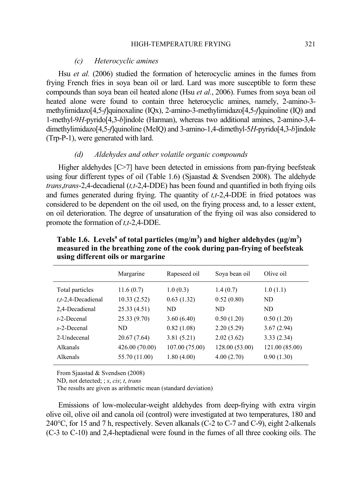#### *(c) Heterocyclic amines*

Hsu *et al.* (2006) studied the formation of heterocyclic amines in the fumes from frying French fries in soya bean oil or lard. Lard was more susceptible to form these compounds than soya bean oil heated alone (Hsu *et al.*, 2006). Fumes from soya bean oil heated alone were found to contain three heterocyclic amines, namely, 2-amino-3 methylimidazo[4,5-*f*]quinoxaline (IQx), 2-amino-3-methylimidazo[4,5-*f*]quinoline (IQ) and 1-methyl-9*H*-pyrido[4,3-*b*]indole (Harman), whereas two additional amines, 2-amino-3,4 dimethylimidazo[4,5-*f*]quinoline (MeIQ) and 3-amino-1,4-dimethyl-5*H*-pyrido[4,3-*b*]indole (Trp-P-1), were generated with lard.

### *(d) Aldehydes and other volatile organic compounds*

Higher aldehydes [C>7] have been detected in emissions from pan-frying beefsteak using four different types of oil (Table 1.6) (Sjaastad & Svendsen 2008). The aldehyde *trans*,*trans*-2,4-decadienal (*t,t*-2,4-DDE) has been found and quantified in both frying oils and fumes generated during frying. The quantity of *t,t*-2,4-DDE in fried potatoes was considered to be dependent on the oil used, on the frying process and, to a lesser extent, on oil deterioration. The degree of unsaturation of the frying oil was also considered to promote the formation of *t,t*-2,4-DDE.

|                                                             | Margarine                                | Rapeseed oil                 | Soya bean oil                 | Olive oil              |
|-------------------------------------------------------------|------------------------------------------|------------------------------|-------------------------------|------------------------|
| Total particles<br>$t, t$ -2,4-Decadienal<br>2,4-Decadienal | 11.6(0.7)<br>10.33(2.52)<br>25.33 (4.51) | 1.0(0.3)<br>0.63(1.32)<br>ND | 1.4(0.7)<br>0.52(0.80)<br>ND. | 1.0(1.1)<br>ND.<br>ND. |
| $t$ -2-Decenal                                              | 25.33 (9.70)                             | 3.60(6.40)                   | 0.50(1.20)                    | 0.50(1.20)             |
| $s$ -2-Decenal                                              | ND                                       | 0.82(1.08)                   | 2.20(5.29)                    | 3.67(2.94)             |
| 2-Undecenal                                                 | 20.67 (7.64)                             | 3.81(5.21)                   | 2.02(3.62)                    | 3.33(2.34)             |
| <b>Alkanals</b>                                             | 426.00 (70.00)                           | 107.00 (75.00)               | 128.00 (53.00)                | 121.00 (85.00)         |
| Alkenals                                                    | 55.70 (11.00)                            | 1.80(4.00)                   | 4.00(2.70)                    | 0.90(1.30)             |
|                                                             |                                          |                              |                               |                        |

Table 1.6. Levels<sup>a</sup> of total particles  $(mg/m<sup>3</sup>)$  and higher aldehydes  $(\mu g/m<sup>3</sup>)$ **measured in the breathing zone of the cook during pan-frying of beefsteak using different oils or margarine** 

From Sjaastad & Svendsen (2008)

ND, not detected; ; *s*, *cis*; *t*, *trans*

The results are given as arithmetic mean (standard deviation)

Emissions of low-molecular-weight aldehydes from deep-frying with extra virgin olive oil, olive oil and canola oil (control) were investigated at two temperatures, 180 and 240°C, for 15 and 7 h, respectively. Seven alkanals (C-2 to C-7 and C-9), eight 2-alkenals (C-3 to C-10) and 2,4-heptadienal were found in the fumes of all three cooking oils. The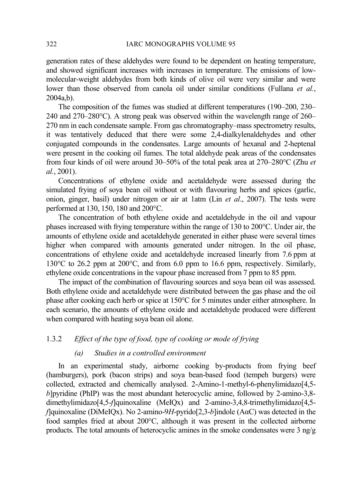#### 322 IARC MONOGRAPHS VOLUME 95

generation rates of these aldehydes were found to be dependent on heating temperature, and showed significant increases with increases in temperature. The emissions of lowmolecular-weight aldehydes from both kinds of olive oil were very similar and were lower than those observed from canola oil under similar conditions (Fullana *et al.*,  $2004a$  b).

The composition of the fumes was studied at different temperatures (190–200, 230– 240 and 270–280°C). A strong peak was observed within the wavelength range of 260– 270 nm in each condensate sample. From gas chromatography–mass spectrometry results, it was tentatively deduced that there were some 2,4-dialkylenaldehydes and other conjugated compounds in the condensates. Large amounts of hexanal and 2-heptenal were present in the cooking oil fumes. The total aldehyde peak areas of the condensates from four kinds of oil were around 30–50% of the total peak area at 270–280°C (Zhu *et al.*, 2001).

Concentrations of ethylene oxide and acetaldehyde were assessed during the simulated frying of soya bean oil without or with flavouring herbs and spices (garlic, onion, ginger, basil) under nitrogen or air at 1atm (Lin *et al*., 2007). The tests were performed at 130, 150, 180 and 200°C.

The concentration of both ethylene oxide and acetaldehyde in the oil and vapour phases increased with frying temperature within the range of 130 to 200°C. Under air, the amounts of ethylene oxide and acetaldehyde generated in either phase were several times higher when compared with amounts generated under nitrogen. In the oil phase, concentrations of ethylene oxide and acetaldehyde increased linearly from 7.6 ppm at 130°C to 26.2 ppm at 200°C, and from 6.0 ppm to 16.6 ppm, respectively. Similarly, ethylene oxide concentrations in the vapour phase increased from 7 ppm to 85 ppm.

The impact of the combination of flavouring sources and soya bean oil was assessed. Both ethylene oxide and acetaldehyde were distributed between the gas phase and the oil phase after cooking each herb or spice at 150°C for 5 minutes under either atmosphere. In each scenario, the amounts of ethylene oxide and acetaldehyde produced were different when compared with heating soya bean oil alone.

## 1.3.2 *Effect of the type of food, type of cooking or mode of frying*

## *(a) Studies in a controlled environment*

In an experimental study, airborne cooking by-products from frying beef (hamburgers), pork (bacon strips) and soya bean-based food (tempeh burgers) were collected, extracted and chemically analysed. 2-Amino-1-methyl-6-phenylimidazo[4,5 *b*]pyridine (PhIP) was the most abundant heterocyclic amine, followed by 2-amino-3,8dimethylimidazo<sup>[4,5</sup>-*f*]quinoxaline (MeIQx) and 2-amino-3,4,8-trimethylimidazo<sup>[4,5-</sup> *f*]quinoxaline (DiMeIQx). No 2-amino-9*H*-pyrido[2,3-*b*]indole (AαC) was detected in the food samples fried at about 200°C, although it was present in the collected airborne products. The total amounts of heterocyclic amines in the smoke condensates were 3 ng/g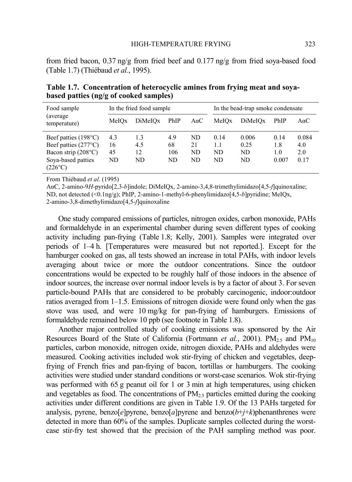from fried bacon,  $0.37 \text{ ng/g}$  from fried beef and  $0.177 \text{ ng/g}$  from fried soya-based food (Table 1.7) (Thiébaud *et al.*, 1995).

| Food sample                      | In the fried food sample |         |      | In the bead-trap smoke condensate |       |         |       |             |
|----------------------------------|--------------------------|---------|------|-----------------------------------|-------|---------|-------|-------------|
| (average)<br>temperature)        | MeIOx                    | DiMeIOx | PhIP | $A\alpha C$                       | MeIOx | DiMeIOx | PhIP  | $A\alpha C$ |
| Beef patties $(198^{\circ}C)$    | 4.3                      | 1.3     | 4.9  | ND.                               | 0.14  | 0.006   | 0.14  | 0.084       |
| Beef patties $(277^{\circ}C)$    | 16                       | 4.5     | 68   | 21                                | 1.1   | 0.25    | 1.8   | 4.0         |
| Bacon strip (208°C)              | 45                       | 12      | 106  | ND                                | ND.   | ND      | 1.0   | 2.0         |
| Soya-based patties<br>$(226$ °C) | ND                       | ND      | ND   | ND                                | ND    | ND      | 0.007 | 0.17        |

**Table 1.7. Concentration of heterocyclic amines from frying meat and soyabased patties (ng/g of cooked samples)** 

From Thiébaud *et al*. (1995)

AαC, 2-amino-9*H*-pyrido[2,3-*b*]indole; DiMeIQx, 2-amino-3,4,8-trimethylimidazo[4,5-*f*]quinoxaline; ND, not detected (<0.1ng/g); PhIP, 2-amino-1-methyl-6-phenylimidazo[4,5-*b*]pyridine; MeIQx, 2-amino-3,8-dimethylimidazo[4,5-*f*]quinoxaline

One study compared emissions of particles, nitrogen oxides, carbon monoxide, PAHs and formaldehyde in an experimental chamber during seven different types of cooking activity including pan-frying (Table 1.8; Kelly, 2001). Samples were integrated over periods of 1–4 h. [Temperatures were measured but not reported.]. Except for the hamburger cooked on gas, all tests showed an increase in total PAHs, with indoor levels averaging about twice or more the outdoor concentrations. Since the outdoor concentrations would be expected to be roughly half of those indoors in the absence of indoor sources, the increase over normal indoor levels is by a factor of about 3. For seven particle-bound PAHs that are considered to be probably carcinogenic, indoor:outdoor ratios averaged from 1–1.5. Emissions of nitrogen dioxide were found only when the gas stove was used, and were 10 mg/kg for pan-frying of hamburgers. Emissions of formaldehyde remained below 10 ppb (see footnote in Table 1.8).

Another major controlled study of cooking emissions was sponsored by the Air Resources Board of the State of California (Fortmann *et al.*, 2001).  $PM_{2.5}$  and  $PM_{10}$ particles, carbon monoxide, nitrogen oxide, nitrogen dioxide, PAHs and aldehydes were measured. Cooking activities included wok stir-frying of chicken and vegetables, deepfrying of French fries and pan-frying of bacon, tortillas or hamburgers. The cooking activities were studied under standard conditions or worst-case scenarios. Wok stir-frying was performed with 65 g peanut oil for 1 or 3 min at high temperatures, using chicken and vegetables as food. The concentrations of  $PM_{2.5}$  particles emitted during the cooking activities under different conditions are given in Table 1.9. Of the 13 PAHs targeted for analysis, pyrene, benzo $[e]$ pyrene, benzo $[a]$ pyrene and benzo $(b+j+k)$ phenanthrenes were detected in more than 60% of the samples. Duplicate samples collected during the worstcase stir-fry test showed that the precision of the PAH sampling method was poor.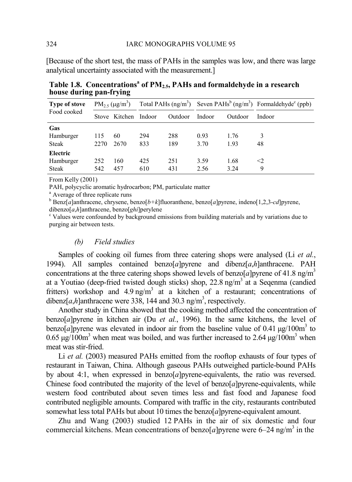[Because of the short test, the mass of PAHs in the samples was low, and there was large analytical uncertainty associated with the measurement.]

| <b>Type of stove</b> |      | $PM_{2.5} (\mu g/m^3)$ |     |         |        |         | Total PAHs $(ng/m^3)$ Seven PAHs <sup>b</sup> $(ng/m^3)$ Formaldehyde <sup>c</sup> (ppb) |
|----------------------|------|------------------------|-----|---------|--------|---------|------------------------------------------------------------------------------------------|
| Food cooked          |      | Stove Kitchen Indoor   |     | Outdoor | Indoor | Outdoor | Indoor                                                                                   |
| Gas                  |      |                        |     |         |        |         |                                                                                          |
| Hamburger            | 115  | 60                     | 294 | 288     | 0.93   | 1.76    | 3                                                                                        |
| <b>Steak</b>         | 2270 | 2670                   | 833 | 189     | 3.70   | 1.93    | 48                                                                                       |
| Electric             |      |                        |     |         |        |         |                                                                                          |
| Hamburger            | 252  | 160                    | 425 | 251     | 3.59   | 1.68    | $<$ 2                                                                                    |
| <b>Steak</b>         | 542  | 457                    | 610 | 431     | 2.56   | 3.24    | 9                                                                                        |
|                      |      |                        |     |         |        |         |                                                                                          |

**Table 1.8. Concentrations<sup>a</sup> of PM2.5, PAHs and formaldehyde in a research house during pan-frying**

From Kelly (2001)

PAH, polycyclic aromatic hydrocarbon; PM, particulate matter

<sup>a</sup> Average of three replicate runs

b Benz[*a*]anthracene, chrysene, benzo[*b+k*]fluoranthene, benzo[*a*]pyrene, indeno[1,2,3-*cd*]pyrene, dibenzo[*a*,*h*]anthracene, benzo[*ghi*]perylene

<sup>c</sup> Values were confounded by background emissions from building materials and by variations due to purging air between tests.

## *(b) Field studies*

Samples of cooking oil fumes from three catering shops were analysed (Li *et al.*, 1994). All samples contained benzo[*a*]pyrene and dibenz[*a*,*h*]anthracene. PAH concentrations at the three catering shops showed levels of benzo[*a*]pyrene of 41.8 ng/m<sup>3</sup> at a Youtiao (deep-fried twisted dough sticks) shop, 22.8 ng/m<sup>3</sup> at a Seqenma (candied fritters) workshop and  $4.9$  ng/m<sup>3</sup> at a kitchen of a restaurant; concentrations of dibenz[ $a$ , $h$ ]anthracene were 338, 144 and 30.3 ng/m<sup>3</sup>, respectively.

Another study in China showed that the cooking method affected the concentration of benzo[*a*]pyrene in kitchen air (Du *et al.*, 1996). In the same kitchens, the level of benzo[*a*]pyrene was elevated in indoor air from the baseline value of 0.41  $\mu$ g/100m<sup>3</sup> to 0.65  $\mu$ g/100m<sup>3</sup> when meat was boiled, and was further increased to 2.64  $\mu$ g/100m<sup>3</sup> when meat was stir-fried.

Li *et al.* (2003) measured PAHs emitted from the rooftop exhausts of four types of restaurant in Taiwan, China. Although gaseous PAHs outweighed particle-bound PAHs by about 4:1, when expressed in benzo[*a*]pyrene-equivalents, the ratio was reversed. Chinese food contributed the majority of the level of benzo[*a*]pyrene-equivalents, while western food contributed about seven times less and fast food and Japanese food contributed negligible amounts. Compared with traffic in the city, restaurants contributed somewhat less total PAHs but about 10 times the benzo[*a*]pyrene-equivalent amount.

Zhu and Wang (2003) studied 12 PAHs in the air of six domestic and four commercial kitchens. Mean concentrations of benzo $[a]$ pyrene were 6–24 ng/m<sup>3</sup> in the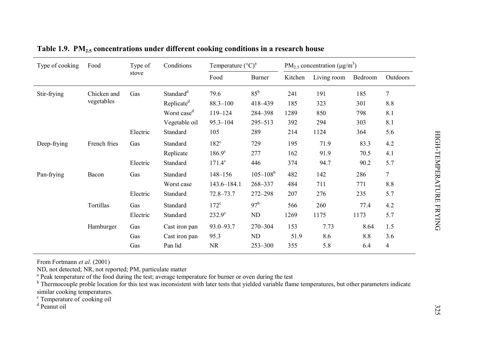| Type of cooking<br>Food |              | Type of  | Conditions              | Temperature $({}^{\circ}C)^{a}$ |                 |                          | $PM_{2.5}$ concentration ( $\mu$ g/m <sup>3</sup> ) |         |                |        |
|-------------------------|--------------|----------|-------------------------|---------------------------------|-----------------|--------------------------|-----------------------------------------------------|---------|----------------|--------|
|                         |              | stove    |                         | Food                            | Burner          | Kitchen                  | Living room                                         | Bedroom | Outdoors       |        |
| Stir-frying             | Chicken and  | Gas      | Standard <sup>d</sup>   | 79.6                            | $85^{\rm b}$    | 241                      | 191                                                 | 185     | $\tau$         |        |
|                         | vegetables   |          | Replicate <sup>d</sup>  | $88.3 - 100$                    | 418-439         | 185                      | 323                                                 | 301     | 8.8            |        |
|                         |              |          | Worst case <sup>d</sup> | 119-124                         | 284-398         | 1289                     | 850                                                 | 798     | 8.1            |        |
|                         |              |          | Vegetable oil           | $95.3 - 104$                    | 295-513         | 392                      | 294                                                 | 303     | 8.1            |        |
|                         |              | Electric | Standard                | 105                             | 289             | 214                      | 1124                                                | 364     | 5.6            |        |
| Deep-frying             | French fries | Gas      | Standard                | $182^{\circ}$                   | 729             | 195                      | 71.9                                                | 83.3    | 4.2            |        |
|                         |              |          | Replicate               | $186.9^\circ$                   | 277             | 162                      | 91.9                                                | 70.5    | 4.1            |        |
|                         |              | Electric | Standard                | $171.4^{\circ}$                 | 446             | 374                      | 94.7                                                | 90.2    | 5.7            |        |
| Pan-frying              | Bacon        |          | Gas                     | Standard                        | 148-156         | $105 - 108$ <sup>b</sup> | 482                                                 | 142     | 286            | $\tau$ |
|                         |              |          | Worst case              | $143.6 - 184.1$                 | 268-337         | 484                      | 711                                                 | 771     | 8.8            |        |
|                         |              | Electric | Standard                | $72.8 - 73.7$                   | $272 - 298$     | 207                      | 276                                                 | 235     | 5.7            |        |
|                         | Tortillas    | Gas      | Standard                | $172^{\circ}$                   | 97 <sup>b</sup> | 566                      | 260                                                 | 77.4    | 4.2            |        |
|                         |              | Electric | Standard                | $232.9^\circ$                   | ND              | 1269                     | 1175                                                | 1173    | 5.7            |        |
|                         | Hamburger    | Gas      | Cast iron pan           | 93.0-93.7                       | $270 - 304$     | 153                      | 7.73                                                | 8.64    | 1.5            |        |
|                         |              | Gas      | Cast iron pan           | 95.3                            | $\rm ND$        | 51.9                     | 8.6                                                 | 8.8     | 3.6            |        |
|                         |              | Gas      | Pan lid                 | <b>NR</b>                       | $253 - 300$     | 355                      | 5.8                                                 | 6.4     | $\overline{4}$ |        |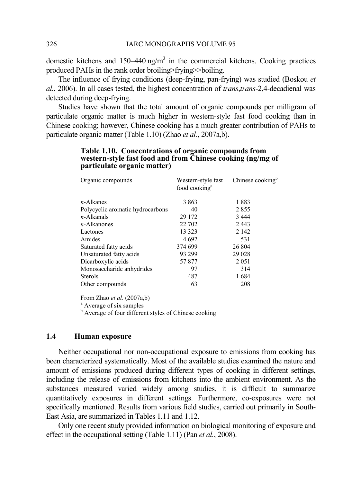domestic kitchens and  $150-440$  ng/m<sup>3</sup> in the commercial kitchens. Cooking practices produced PAHs in the rank order broiling>frying>>boiling.

The influence of frying conditions (deep-frying, pan-frying) was studied (Boskou *et al.*, 2006). In all cases tested, the highest concentration of *trans*,*trans*-2,4-decadienal was detected during deep-frying.

Studies have shown that the total amount of organic compounds per milligram of particulate organic matter is much higher in western-style fast food cooking than in Chinese cooking; however, Chinese cooking has a much greater contribution of PAHs to particulate organic matter (Table 1.10) (Zhao *et al.*, 2007a,b).

| Organic compounds                | Western-style fast<br>food cooking <sup>a</sup> | Chinese cooking <sup>b</sup> |
|----------------------------------|-------------------------------------------------|------------------------------|
| $n$ -Alkanes                     | 3 863                                           | 1883                         |
| Polycyclic aromatic hydrocarbons | 40                                              | 2855                         |
| $n$ -Alkanals                    | 29 172                                          | 3444                         |
| $n$ -Alkanones                   | 22 702                                          | 2443                         |
| Lactones                         | 13 323                                          | 2 1 4 2                      |
| Amides                           | 4 6 9 2                                         | 531                          |
| Saturated fatty acids            | 374 699                                         | 26 804                       |
| Unsaturated fatty acids          | 93 299                                          | 29 0 28                      |
| Dicarboxylic acids               | 57877                                           | 2 0 5 1                      |
| Monosaccharide anhydrides        | 97                                              | 314                          |
| <b>Sterols</b>                   | 487                                             | 1684                         |
| Other compounds                  | 63                                              | 208                          |

**Table 1.10. Concentrations of organic compounds from western-style fast food and from Chinese cooking (ng/mg of particulate organic matter)** 

From Zhao *et al*. (2007a,b)

<sup>a</sup> Average of six samples

<sup>b</sup> Average of four different styles of Chinese cooking

#### **1.4 Human exposure**

Neither occupational nor non-occupational exposure to emissions from cooking has been characterized systematically. Most of the available studies examined the nature and amount of emissions produced during different types of cooking in different settings, including the release of emissions from kitchens into the ambient environment. As the substances measured varied widely among studies, it is difficult to summarize quantitatively exposures in different settings. Furthermore, co-exposures were not specifically mentioned. Results from various field studies, carried out primarily in South-East Asia, are summarized in Tables 1.11 and 1.12.

Only one recent study provided information on biological monitoring of exposure and effect in the occupational setting (Table 1.11) (Pan *et al.*, 2008).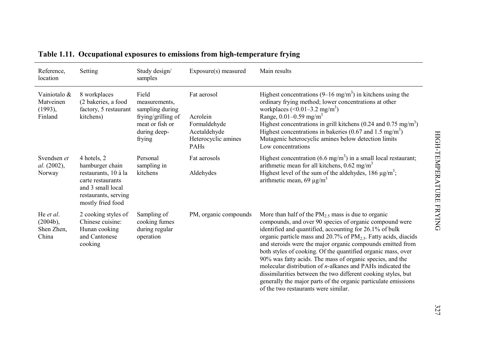| Table 1.11. Occupational exposures to emissions from high-temperature frying |                                                                                                                                               |                                                                                                              |                                                                                        |                                                                                                                                                                                                                                                                                                                                                                                                                                                                                                                                                                                                                                                                                                     |  |  |  |
|------------------------------------------------------------------------------|-----------------------------------------------------------------------------------------------------------------------------------------------|--------------------------------------------------------------------------------------------------------------|----------------------------------------------------------------------------------------|-----------------------------------------------------------------------------------------------------------------------------------------------------------------------------------------------------------------------------------------------------------------------------------------------------------------------------------------------------------------------------------------------------------------------------------------------------------------------------------------------------------------------------------------------------------------------------------------------------------------------------------------------------------------------------------------------------|--|--|--|
| Reference.<br>location                                                       | Setting                                                                                                                                       | Study design/<br>samples                                                                                     | Exposure(s) measured                                                                   | Main results                                                                                                                                                                                                                                                                                                                                                                                                                                                                                                                                                                                                                                                                                        |  |  |  |
| Vainiotalo &<br>Matveinen<br>(1993),<br>Finland                              | 8 workplaces<br>(2 bakeries, a food<br>factory, 5 restaurant<br>kitchens)                                                                     | Field<br>measurements,<br>sampling during<br>frying/grilling of<br>meat or fish or<br>during deep-<br>frying | Fat aerosol<br>Acrolein<br>Formaldehyde<br>Acetaldehyde<br>Heterocyclic amines<br>PAHs | Highest concentrations $(9-16 \text{ mg/m}^3)$ in kitchens using the<br>ordinary frying method; lower concentrations at other<br>workplaces $(0.01-3.2 \text{ mg/m}^3)$<br>Range, $0.01 - 0.59$ mg/m <sup>3</sup><br>Highest concentrations in grill kitchens (0.24 and 0.75 mg/m <sup>3</sup> )<br>Highest concentrations in bakeries (0.67 and 1.5 mg/m <sup>3</sup> )<br>Mutagenic heterocyclic amines below detection limits<br>Low concentrations                                                                                                                                                                                                                                              |  |  |  |
| Svendsen et<br>al. (2002),<br>Norway                                         | 4 hotels, 2<br>hamburger chain<br>restaurants, 10 à la<br>carte restaurants<br>and 3 small local<br>restaurants, serving<br>mostly fried food | Personal<br>sampling in<br>kitchens                                                                          | Fat aerosols<br>Aldehydes                                                              | Highest concentration $(6.6 \text{ mg/m}^3)$ in a small local restaurant;<br>arithmetic mean for all kitchens, $0.62$ mg/m <sup>3</sup><br>Highest level of the sum of the aldehydes, 186 $\mu$ g/m <sup>3</sup> ;<br>arithmetic mean, 69 $\mu$ g/m <sup>3</sup>                                                                                                                                                                                                                                                                                                                                                                                                                                    |  |  |  |
| He et al.<br>$(2004b)$ ,<br>Shen Zhen,<br>China                              | 2 cooking styles of<br>Chinese cuisine:<br>Hunan cooking<br>and Cantonese<br>cooking                                                          | Sampling of<br>cooking fumes<br>during regular<br>operation                                                  | PM, organic compounds                                                                  | More than half of the $PM2.5$ mass is due to organic<br>compounds, and over 90 species of organic compound were<br>identified and quantified, accounting for 26.1% of bulk<br>organic particle mass and $20.7\%$ of PM <sub>2.5</sub> . Fatty acids, diacids<br>and steroids were the major organic compounds emitted from<br>both styles of cooking. Of the quantified organic mass, over<br>90% was fatty acids. The mass of organic species, and the<br>molecular distribution of $n$ -alkanes and PAHs indicated the<br>dissimilarities between the two different cooking styles, but<br>generally the major parts of the organic particulate emissions<br>of the two restaurants were similar. |  |  |  |
|                                                                              |                                                                                                                                               |                                                                                                              |                                                                                        |                                                                                                                                                                                                                                                                                                                                                                                                                                                                                                                                                                                                                                                                                                     |  |  |  |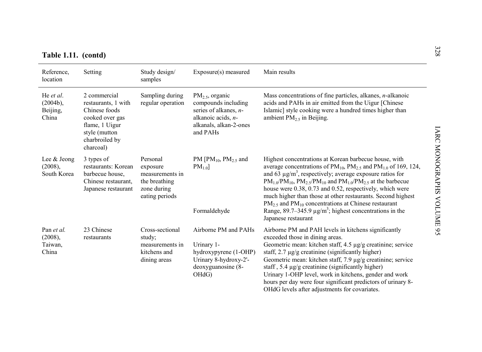| Table 1.11. (contd) |  |  |  |
|---------------------|--|--|--|
|                     |  |  |  |

| Table 1.11. (contd)                           |                                                                                                                                           |                                                                                           |                                                                                                                                |                                                                                                                                                                                                                                                                                                                                                                                                                                                                                                                                                                                                      |
|-----------------------------------------------|-------------------------------------------------------------------------------------------------------------------------------------------|-------------------------------------------------------------------------------------------|--------------------------------------------------------------------------------------------------------------------------------|------------------------------------------------------------------------------------------------------------------------------------------------------------------------------------------------------------------------------------------------------------------------------------------------------------------------------------------------------------------------------------------------------------------------------------------------------------------------------------------------------------------------------------------------------------------------------------------------------|
| Reference,<br>location                        | Setting                                                                                                                                   | Study design/<br>samples                                                                  | Exposure(s) measured                                                                                                           | Main results                                                                                                                                                                                                                                                                                                                                                                                                                                                                                                                                                                                         |
| He et al.<br>$(2004b)$ ,<br>Beijing,<br>China | 2 commercial<br>restaurants, 1 with<br>Chinese foods<br>cooked over gas<br>flame, 1 Uigur<br>style (mutton<br>charbroiled by<br>charcoal) | Sampling during<br>regular operation                                                      | $PM_2$ , organic<br>compounds including<br>series of alkanes, $n-$<br>alkanoic acids, n-<br>alkanals, alkan-2-ones<br>and PAHs | Mass concentrations of fine particles, alkanes, <i>n</i> -alkanoic<br>acids and PAHs in air emitted from the Uigur [Chinese<br>Islamic] style cooking were a hundred times higher than<br>ambient $PM2.5$ in Beijing.                                                                                                                                                                                                                                                                                                                                                                                |
| Lee & Jeong<br>$(2008)$ ,<br>South Korea      | 3 types of<br>restaurants: Korean<br>barbecue house.<br>Chinese restaurant.<br>Japanese restaurant                                        | Personal<br>exposure<br>measurements in<br>the breathing<br>zone during<br>eating periods | PM [PM <sub>10</sub> , PM <sub>2.5</sub> and<br>$PM_{1.0}$<br>Formaldehyde                                                     | Highest concentrations at Korean barbecue house, with<br>average concentrations of $PM_{10}$ , $PM_{2.5}$ and $PM_{1.0}$ of 169, 124,<br>and 63 $\mu$ g/m <sup>3</sup> , respectively; average exposure ratios for<br>$PM_{1.0}/PM_{10}$ , $PM_{2.5}/PM_{10}$ and $PM_{1.0}/PM_{2.5}$ at the barbecue<br>house were 0.38, 0.73 and 0.52, respectively, which were<br>much higher than those at other restaurants. Second highest<br>$PM_{2.5}$ and $PM_{10}$ concentrations at Chinese restaurant<br>Range, 89.7–345.9 $\mu$ g/m <sup>3</sup> ; highest concentrations in the<br>Japanese restaurant |
| Pan et al.<br>(2008),<br>Taiwan,<br>China     | 23 Chinese<br>restaurants                                                                                                                 | Cross-sectional<br>study;<br>measurements in<br>kitchens and<br>dining areas              | Airborne PM and PAHs<br>Urinary 1-<br>hydroxypyrene (1-OHP)<br>Urinary 8-hydroxy-2'-<br>deoxyguanosine (8-<br>OHdG)            | Airborne PM and PAH levels in kitchens significantly<br>exceeded those in dining areas.<br>Geometric mean: kitchen staff, $4.5 \mu g/g$ creatinine; service<br>staff, $2.7 \mu g/g$ creatinine (significantly higher)<br>Geometric mean: kitchen staff, 7.9 µg/g creatinine; service<br>staff, $5.4 \mu g/g$ creatinine (significantly higher)<br>Urinary 1-OHP level, work in kitchens, gender and work<br>hours per day were four significant predictors of urinary 8-<br>OHdG levels after adjustments for covariates.                                                                            |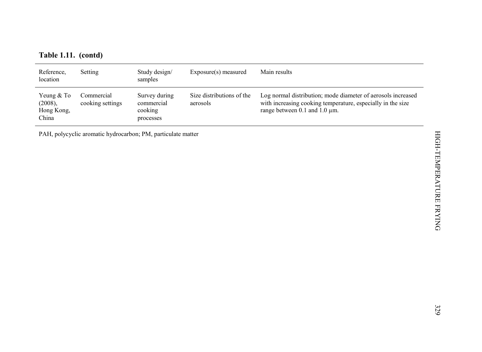|  |  | Table 1.11. (contd) |
|--|--|---------------------|
|--|--|---------------------|

| Table 1.11. (contd)                          |                                                              |                                                     |                                       |                                                                                                                                                              |
|----------------------------------------------|--------------------------------------------------------------|-----------------------------------------------------|---------------------------------------|--------------------------------------------------------------------------------------------------------------------------------------------------------------|
| Reference,<br>location                       | Setting                                                      | Study design/<br>samples                            | Exposure(s) measured                  | Main results                                                                                                                                                 |
| Yeung & To<br>(2008),<br>Hong Kong,<br>China | Commercial<br>cooking settings                               | Survey during<br>commercial<br>cooking<br>processes | Size distributions of the<br>aerosols | Log normal distribution; mode diameter of aerosols increased<br>with increasing cooking temperature, especially in the size<br>range between 0.1 and 1.0 µm. |
|                                              | PAH, polycyclic aromatic hydrocarbon; PM, particulate matter |                                                     |                                       |                                                                                                                                                              |
|                                              |                                                              |                                                     |                                       |                                                                                                                                                              |
|                                              |                                                              |                                                     |                                       |                                                                                                                                                              |
|                                              |                                                              |                                                     |                                       |                                                                                                                                                              |
|                                              |                                                              |                                                     |                                       | HIGH-TEMPERATURE FRYING                                                                                                                                      |
|                                              |                                                              |                                                     |                                       |                                                                                                                                                              |
|                                              |                                                              |                                                     |                                       |                                                                                                                                                              |
|                                              |                                                              |                                                     |                                       |                                                                                                                                                              |
|                                              |                                                              |                                                     |                                       |                                                                                                                                                              |
|                                              |                                                              |                                                     |                                       | 329                                                                                                                                                          |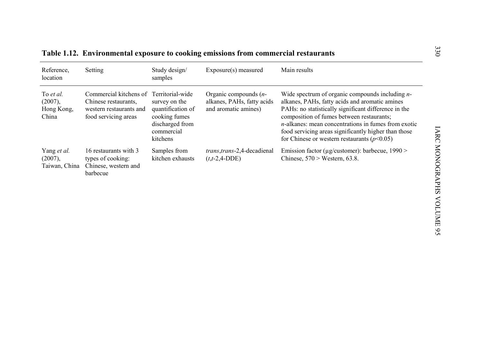|                                             |                                                                                                   |                                                                                                                      | Table 1.12. Environmental exposure to cooking emissions from commercial restaurants |                                                                                                                                                                                                                                                                                                                                                                               |
|---------------------------------------------|---------------------------------------------------------------------------------------------------|----------------------------------------------------------------------------------------------------------------------|-------------------------------------------------------------------------------------|-------------------------------------------------------------------------------------------------------------------------------------------------------------------------------------------------------------------------------------------------------------------------------------------------------------------------------------------------------------------------------|
| Reference,<br>location                      | Setting                                                                                           | Study design/<br>samples                                                                                             | Exposure(s) measured                                                                | Main results                                                                                                                                                                                                                                                                                                                                                                  |
| To et al.<br>(2007),<br>Hong Kong,<br>China | Commercial kitchens of<br>Chinese restaurants,<br>western restaurants and<br>food servicing areas | Territorial-wide<br>survey on the<br>quantification of<br>cooking fumes<br>discharged from<br>commercial<br>kitchens | Organic compounds $(n-$<br>alkanes, PAHs, fatty acids<br>and aromatic amines)       | Wide spectrum of organic compounds including $n-$<br>alkanes, PAHs, fatty acids and aromatic amines<br>PAHs: no statistically significant difference in the<br>composition of fumes between restaurants;<br>$n$ -alkanes: mean concentrations in fumes from exotic<br>food servicing areas significantly higher than those<br>for Chinese or western restaurants ( $p<0.05$ ) |
| Yang et al.<br>(2007),<br>Taiwan, China     | 16 restaurants with 3<br>types of cooking:<br>Chinese, western and<br>barbecue                    | Samples from<br>kitchen exhausts                                                                                     | <i>trans.trans-2.4-decadienal</i><br>$(t,t-2,4-DDE)$                                | Emission factor ( $\mu$ g/customer): barbecue, 1990 ><br>Chinese, $570 >$ Western, 63.8.                                                                                                                                                                                                                                                                                      |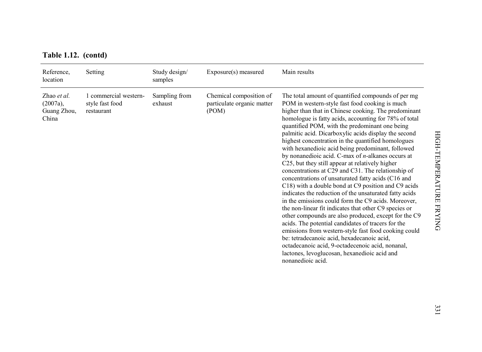| Table 1.12. (contd) |  |  |
|---------------------|--|--|
|---------------------|--|--|

| Table 1.12. (contd)                                |                                                        |                          |                                                                |                                                                                                                                                                                                                                                                                                                                                                                                                                                                                                                                                                                                                                                                                                                                                                                                                                                                                                                                                                                                                                                                                                                                                                                                                                                 |
|----------------------------------------------------|--------------------------------------------------------|--------------------------|----------------------------------------------------------------|-------------------------------------------------------------------------------------------------------------------------------------------------------------------------------------------------------------------------------------------------------------------------------------------------------------------------------------------------------------------------------------------------------------------------------------------------------------------------------------------------------------------------------------------------------------------------------------------------------------------------------------------------------------------------------------------------------------------------------------------------------------------------------------------------------------------------------------------------------------------------------------------------------------------------------------------------------------------------------------------------------------------------------------------------------------------------------------------------------------------------------------------------------------------------------------------------------------------------------------------------|
| Reference,<br>location                             | Setting                                                | Study design/<br>samples | Exposure(s) measured                                           | Main results                                                                                                                                                                                                                                                                                                                                                                                                                                                                                                                                                                                                                                                                                                                                                                                                                                                                                                                                                                                                                                                                                                                                                                                                                                    |
| Zhao et al.<br>$(2007a)$ ,<br>Guang Zhou,<br>China | 1 commercial western-<br>style fast food<br>restaurant | Sampling from<br>exhaust | Chemical composition of<br>particulate organic matter<br>(POM) | The total amount of quantified compounds of per mg<br>POM in western-style fast food cooking is much<br>higher than that in Chinese cooking. The predominant<br>homologue is fatty acids, accounting for 78% of total<br>quantified POM, with the predominant one being<br>palmitic acid. Dicarboxylic acids display the second<br>highest concentration in the quantified homologues<br>with hexanedioic acid being predominant, followed<br>by nonanedioic acid. C-max of $n$ -alkanes occurs at<br>C25, but they still appear at relatively higher<br>concentrations at C29 and C31. The relationship of<br>concentrations of unsaturated fatty acids (C16 and<br>C18) with a double bond at C9 position and C9 acids<br>indicates the reduction of the unsaturated fatty acids<br>in the emissions could form the C9 acids. Moreover,<br>the non-linear fit indicates that other C9 species or<br>other compounds are also produced, except for the C9<br>acids. The potential candidates of tracers for the<br>emissions from western-style fast food cooking could<br>be: tetradecanoic acid, hexadecanoic acid,<br>octadecanoic acid, 9-octadecenoic acid, nonanal,<br>lactones, levoglucosan, hexanedioic acid and<br>nonanedioic acid. |
|                                                    |                                                        |                          |                                                                |                                                                                                                                                                                                                                                                                                                                                                                                                                                                                                                                                                                                                                                                                                                                                                                                                                                                                                                                                                                                                                                                                                                                                                                                                                                 |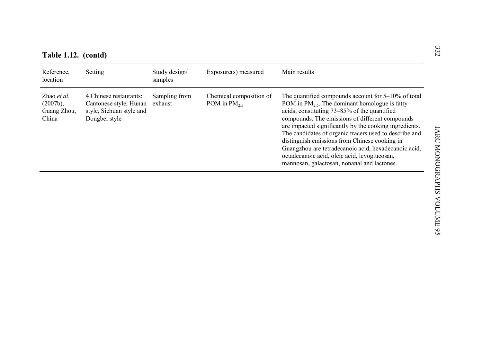| Reference,<br>location                             | Setting                                                                                       | Study design/<br>samples | Exposure(s) measured                     | Main results                                                                                                                                                                                                                                                                                                                                                                                                                                                                                                                                 |
|----------------------------------------------------|-----------------------------------------------------------------------------------------------|--------------------------|------------------------------------------|----------------------------------------------------------------------------------------------------------------------------------------------------------------------------------------------------------------------------------------------------------------------------------------------------------------------------------------------------------------------------------------------------------------------------------------------------------------------------------------------------------------------------------------------|
| Zhao et al.<br>$(2007b)$ ,<br>Guang Zhou,<br>China | 4 Chinese restaurants:<br>Cantonese style, Hunan<br>style, Sichuan style and<br>Dongbei style | Sampling from<br>exhaust | Chemical composition of<br>POM in $PM_2$ | The quantified compounds account for $5-10\%$ of total<br>POM in $PM_{2.5}$ . The dominant homologue is fatty<br>acids, constituting 73-85% of the quantified<br>compounds. The emissions of different compounds<br>are impacted significantly by the cooking ingredients.<br>The candidates of organic tracers used to describe and<br>distinguish emissions from Chinese cooking in<br>Guangzhou are tetradecanoic acid, hexadecanoic acid,<br>octadecanoic acid, oleic acid, levoglucosan,<br>mannosan, galactosan, nonanal and lactones. |
|                                                    |                                                                                               |                          |                                          |                                                                                                                                                                                                                                                                                                                                                                                                                                                                                                                                              |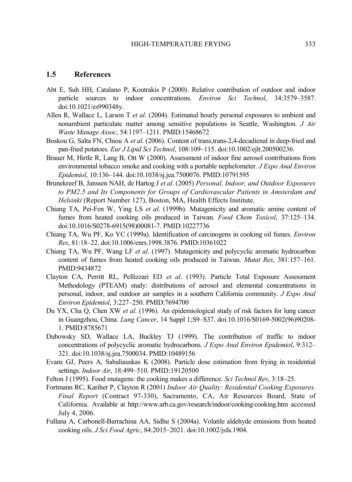#### **1.5 References**

- Abt E, Suh HH, Catalano P, Koutrakis P (2000). Relative contribution of outdoor and indoor particle sources to indoor concentrations. *Environ Sci Technol*, 34:3579–3587. doi:10.1021/es990348y.
- Allen R, Wallace L, Larson T *et al*. (2004). Estimated hourly personal exposures to ambient and nonambient particulate matter among sensitive populations in Seattle, Washington. *J Air Waste Manage Assoc*, 54:1197–1211. PMID:15468672
- Boskou G, Salta FN, Chiou A *et al*. (2006). Content of trans,trans-2,4-decadienal in deep-fried and pan-fried potatoes. *Eur J Lipid Sci Technol*, 108:109–115. doi:10.1002/ejlt.200500236.
- Brauer M, Hirtle R, Lang B, Ott W (2000). Assessment of indoor fine aerosol contributions from environmental tobacco smoke and cooking with a portable nephelometer. *J Expo Anal Environ Epidemiol*, 10:136–144. doi:10.1038/sj.jea.7500076. PMID:10791595
- Brunekreef B, Janssen NAH, de Hartog J *et al*. (2005) *Personal, Indoor, and Outdoor Exposures to PM2.5 and Its Components for Groups of Cardiovascular Patients in Amsterdam and Helsinki* (Report Number 127), Boston, MA, Health Effects Institute.
- Chiang TA, Pei-Fen W, Ying LS *et al*. (1999b). Mutagenicity and aromatic amine content of fumes from heated cooking oils produced in Taiwan. *Food Chem Toxicol*, 37:125–134. doi:10.1016/S0278-6915(98)00081-7. PMID:10227736
- Chiang TA, Wu PF, Ko YC (1999a). Identification of carcinogens in cooking oil fumes. *Environ Res*, 81:18–22. doi:10.1006/enrs.1998.3876. PMID:10361022
- Chiang TA, Wu PF, Wang LF *et al*. (1997). Mutagenicity and polycyclic aromatic hydrocarbon content of fumes from heated cooking oils produced in Taiwan. *Mutat Res*, 381:157–161. PMID:9434872
- Clayton CA, Perritt RL, Pellizzari ED *et al*. (1993). Particle Total Exposure Assessment Methodology (PTEAM) study: distributions of aerosol and elemental concentrations in personal, indoor, and outdoor air samples in a southern California community. *J Expo Anal Environ Epidemiol*, 3:227–250. PMID:7694700
- Du YX, Cha Q, Chen XW *et al*. (1996). An epidemiological study of risk factors for lung cancer in Guangzhou, China. *Lung Cancer*, 14 Suppl 1;S9–S37. doi:10.1016/S0169-5002(96)90208- 1. PMID:8785671
- Dubowsky SD, Wallace LA, Buckley TJ (1999). The contribution of traffic to indoor concentrations of polycyclic aromatic hydrocarbons. *J Expo Anal Environ Epidemiol*, 9:312– 321. doi:10.1038/sj.jea.7500034. PMID:10489156
- Evans GJ, Peers A, Sabaliauskas K (2008). Particle dose estimation from frying in residential settings. *Indoor Air*, 18:499–510. PMID:19120500
- Felton J (1995). Food mutagens: the cooking makes a difference. *Sci Technol Rev*, 3:18–25.
- Fortmann RC, Kariher P, Clayton R (2001) *Indoor Air Quality: Residential Cooking Exposures. Final Report* (Contract 97-330), Sacramento, CA, Air Resources Board, State of California. Available at http://www.arb.ca.gov/research/indoor/cooking/cooking.htm accessed July 4, 2006.
- Fullana A, Carbonell-Barrachina AA, Sidhu S (2004a). Volatile aldehyde emissions from heated cooking oils. *J Sci Food Agric*, 84:2015–2021. doi:10.1002/jsfa.1904.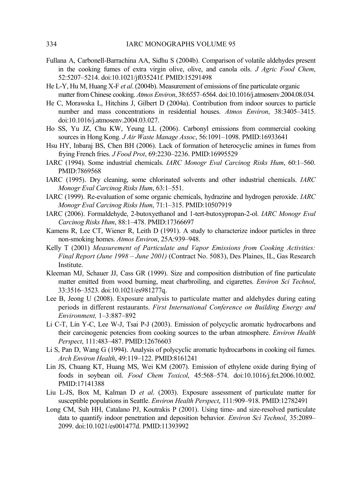- Fullana A, Carbonell-Barrachina AA, Sidhu S (2004b). Comparison of volatile aldehydes present in the cooking fumes of extra virgin olive, olive, and canola oils. *J Agric Food Chem*, 52:5207–5214. doi:10.1021/jf035241f. PMID:15291498
- He L-Y, Hu M, Huang X-F *et al*. (2004b). Measurement of emissions of fine particulate organic matter from Chinese cooking. *Atmos Environ*, 38:6557–6564. doi:10.1016/j.atmosenv.2004.08.034.
- He C, Morawska L, Hitchins J, Gilbert D (2004a). Contribution from indoor sources to particle number and mass concentrations in residential houses. *Atmos Environ*, 38:3405–3415. doi:10.1016/j.atmosenv.2004.03.027.
- Ho SS, Yu JZ, Chu KW, Yeung LL (2006). Carbonyl emissions from commercial cooking sources in Hong Kong. *J Air Waste Manage Assoc*, 56:1091–1098. PMID:16933641
- Hsu HY, Inbaraj BS, Chen BH (2006). Lack of formation of heterocyclic amines in fumes from frying French fries. *J Food Prot*, 69:2230–2236. PMID:16995529
- IARC (1994). Some industrial chemicals. *IARC Monogr Eval Carcinog Risks Hum*, 60:1–560. PMID:7869568
- IARC (1995). Dry cleaning, some chlorinated solvents and other industrial chemicals. *IARC Monogr Eval Carcinog Risks Hum*, 63:1–551.
- IARC (1999). Re-evaluation of some organic chemicals, hydrazine and hydrogen peroxide. *IARC Monogr Eval Carcinog Risks Hum*, 71:1–315. PMID:10507919
- IARC (2006). Formaldehyde, 2-butoxyethanol and 1-tert-butoxypropan-2-ol. *IARC Monogr Eval Carcinog Risks Hum*, 88:1–478. PMID:17366697
- Kamens R, Lee CT, Wiener R, Leith D (1991). A study to characterize indoor particles in three non-smoking homes. *Atmos Environ*, 25A:939–948.
- Kelly T (2001) *Measurement of Particulate and Vapor Emissions from Cooking Activities: Final Report (June 1998 – June 2001)* (Contract No. 5083), Des Plaines, IL, Gas Research Institute.
- Kleeman MJ, Schauer JJ, Cass GR (1999). Size and composition distribution of fine particulate matter emitted from wood burning, meat charbroiling, and cigarettes. *Environ Sci Technol*, 33:3516–3523. doi:10.1021/es981277q.
- Lee B, Jeong U (2008). Exposure analysis to particulate matter and aldehydes during eating periods in different restaurants. *First International Conference on Building Energy and Environment,* 1–3:887–892
- Li C-T, Lin Y-C, Lee W-J, Tsai P-J (2003). Emission of polycyclic aromatic hydrocarbons and their carcinogenic potencies from cooking sources to the urban atmosphere. *Environ Health Perspect*, 111:483–487. PMID:12676603
- Li S, Pan D, Wang G (1994). Analysis of polycyclic aromatic hydrocarbons in cooking oil fumes. *Arch Environ Health*, 49:119–122. PMID:8161241
- Lin JS, Chuang KT, Huang MS, Wei KM (2007). Emission of ethylene oxide during frying of foods in soybean oil. *Food Chem Toxicol*, 45:568–574. doi:10.1016/j.fct.2006.10.002. PMID:17141388
- Liu L-JS, Box M, Kalman D *et al*. (2003). Exposure assessment of particulate matter for susceptible populations in Seattle. *Environ Health Perspect*, 111:909–918. PMID:12782491
- Long CM, Suh HH, Catalano PJ, Koutrakis P (2001). Using time- and size-resolved particulate data to quantify indoor penetration and deposition behavior. *Environ Sci Technol*, 35:2089– 2099. doi:10.1021/es001477d. PMID:11393992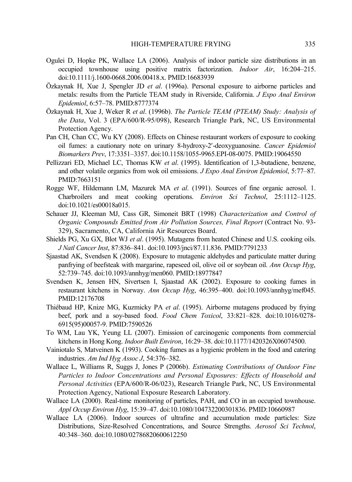- Ogulei D, Hopke PK, Wallace LA (2006). Analysis of indoor particle size distributions in an occupied townhouse using positive matrix factorization. *Indoor Air*, 16:204–215. doi:10.1111/j.1600-0668.2006.00418.x. PMID:16683939
- Özkaynak H, Xue J, Spengler JD *et al*. (1996a). Personal exposure to airborne particles and metals: results from the Particle TEAM study in Riverside, California. *J Expo Anal Environ Epidemiol*, 6:57–78. PMID:8777374
- Özkaynak H, Xue J, Weker R *et al*. (1996b). *The Particle TEAM (PTEAM) Study: Analysis of the Data*, Vol. 3 (EPA/600/R-95/098), Research Triangle Park, NC, US Environmental Protection Agency.
- Pan CH, Chan CC, Wu KY (2008). Effects on Chinese restaurant workers of exposure to cooking oil fumes: a cautionary note on urinary 8-hydroxy-2′-deoxyguanosine. *Cancer Epidemiol Biomarkers Prev*, 17:3351–3357. doi:10.1158/1055-9965.EPI-08-0075. PMID:19064550
- Pellizzari ED, Michael LC, Thomas KW *et al*. (1995). Identification of 1,3-butadiene, benzene, and other volatile organics from wok oil emissions. *J Expo Anal Environ Epidemiol*, 5:77–87. PMID:7663151
- Rogge WF, Hildemann LM, Mazurek MA *et al*. (1991). Sources of fine organic aerosol. 1. Charbroilers and meat cooking operations. *Environ Sci Technol*, 25:1112–1125. doi:10.1021/es00018a015.
- Schauer JJ, Kleeman MJ, Cass GR, Simoneit BRT (1998) *Characterization and Control of Organic Compounds Emitted from Air Pollution Sources, Final Report* (Contract No. 93- 329), Sacramento, CA, California Air Resources Board.
- Shields PG, Xu GX, Blot WJ *et al*. (1995). Mutagens from heated Chinese and U.S. cooking oils. *J Natl Cancer Inst*, 87:836–841. doi:10.1093/jnci/87.11.836. PMID:7791233
- Sjaastad AK, Svendsen K (2008). Exposure to mutagenic aldehydes and particulate matter during panfrying of beefsteak with margarine, rapeseed oil, olive oil or soybean oil. *Ann Occup Hyg*, 52:739–745. doi:10.1093/annhyg/men060. PMID:18977847
- Svendsen K, Jensen HN, Sivertsen I, Sjaastad AK (2002). Exposure to cooking fumes in restaurant kitchens in Norway. *Ann Occup Hyg*, 46:395–400. doi:10.1093/annhyg/mef045. PMID:12176708
- Thiébaud HP, Knize MG, Kuzmicky PA *et al*. (1995). Airborne mutagens produced by frying beef, pork and a soy-based food. *Food Chem Toxicol*, 33:821–828. doi:10.1016/0278- 6915(95)00057-9. PMID:7590526
- To WM, Lau YK, Yeung LL (2007). Emission of carcinogenic components from commercial kitchens in Hong Kong. *Indoor Built Environ*, 16:29–38. doi:10.1177/1420326X06074500.
- Vainiotalo S, Matveinen K (1993). Cooking fumes as a hygienic problem in the food and catering industries. *Am Ind Hyg Assoc J*, 54:376–382.
- Wallace L, Williams R, Suggs J, Jones P (2006b). *Estimating Contributions of Outdoor Fine Particles to Indoor Concentrations and Personal Exposures: Effects of Household and Personal Activities* (EPA/600/R-06/023), Research Triangle Park, NC, US Environmental Protection Agency, National Exposure Research Laboratory.
- Wallace LA (2000). Real-time monitoring of particles, PAH, and CO in an occupied townhouse. *Appl Occup Environ Hyg*, 15:39–47. doi:10.1080/104732200301836. PMID:10660987
- Wallace LA (2006). Indoor sources of ultrafine and accumulation mode particles: Size Distributions, Size-Resolved Concentrations, and Source Strengths. *Aerosol Sci Technol*, 40:348–360. doi:10.1080/02786820600612250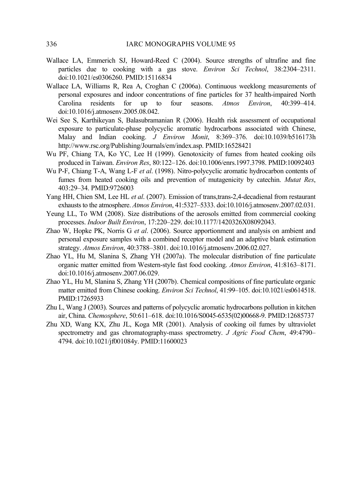- Wallace LA, Emmerich SJ, Howard-Reed C (2004). Source strengths of ultrafine and fine particles due to cooking with a gas stove. *Environ Sci Technol*, 38:2304–2311. doi:10.1021/es0306260. PMID:15116834
- Wallace LA, Williams R, Rea A, Croghan C (2006a). Continuous weeklong measurements of personal exposures and indoor concentrations of fine particles for 37 health-impaired North Carolina residents for up to four seasons. *Atmos Environ*, 40:399–414. doi:10.1016/j.atmosenv.2005.08.042.
- Wei See S, Karthikeyan S, Balasubramanian R (2006). Health risk assessment of occupational exposure to particulate-phase polycyclic aromatic hydrocarbons associated with Chinese, Malay and Indian cooking. *J Environ Monit*, 8:369–376. doi:10.1039/b516173h http://www.rsc.org/Publishing/Journals/em/index.asp. PMID:16528421
- Wu PF, Chiang TA, Ko YC, Lee H (1999). Genotoxicity of fumes from heated cooking oils produced in Taiwan. *Environ Res*, 80:122–126. doi:10.1006/enrs.1997.3798. PMID:10092403
- Wu P-F, Chiang T-A, Wang L-F *et al*. (1998). Nitro-polycyclic aromatic hydrocarbon contents of fumes from heated cooking oils and prevention of mutagenicity by catechin. *Mutat Res*, 403:29–34. PMID:9726003
- Yang HH, Chien SM, Lee HL *et al*. (2007). Emission of trans,trans-2,4-decadienal from restaurant exhausts to the atmosphere. *Atmos Environ*, 41:5327–5333. doi:10.1016/j.atmosenv.2007.02.031.
- Yeung LL, To WM (2008). Size distributions of the aerosols emitted from commercial cooking processes. *Indoor Built Environ*, 17:220–229. doi:10.1177/1420326X08092043.
- Zhao W, Hopke PK, Norris G *et al*. (2006). Source apportionment and analysis on ambient and personal exposure samples with a combined receptor model and an adaptive blank estimation strategy. *Atmos Environ*, 40:3788–3801. doi:10.1016/j.atmosenv.2006.02.027.
- Zhao YL, Hu M, Slanina S, Zhang YH (2007a). The molecular distribution of fine particulate organic matter emitted from Western-style fast food cooking. *Atmos Environ*, 41:8163–8171. doi:10.1016/j.atmosenv.2007.06.029.
- Zhao YL, Hu M, Slanina S, Zhang YH (2007b). Chemical compositions of fine particulate organic matter emitted from Chinese cooking. *Environ Sci Technol*, 41:99–105. doi:10.1021/es0614518. PMID:17265933
- Zhu L, Wang J (2003). Sources and patterns of polycyclic aromatic hydrocarbons pollution in kitchen air, China. *Chemosphere*, 50:611–618. doi:10.1016/S0045-6535(02)00668-9. PMID:12685737
- Zhu XD, Wang KX, Zhu JL, Koga MR (2001). Analysis of cooking oil fumes by ultraviolet spectrometry and gas chromatography-mass spectrometry. *J Agric Food Chem*, 49:4790– 4794. doi:10.1021/jf001084y. PMID:11600023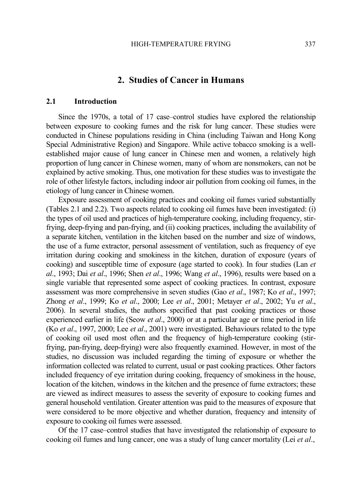## **2. Studies of Cancer in Humans**

### **2.1 Introduction**

Since the 1970s, a total of 17 case–control studies have explored the relationship between exposure to cooking fumes and the risk for lung cancer. These studies were conducted in Chinese populations residing in China (including Taiwan and Hong Kong Special Administrative Region) and Singapore. While active tobacco smoking is a wellestablished major cause of lung cancer in Chinese men and women, a relatively high proportion of lung cancer in Chinese women, many of whom are nonsmokers, can not be explained by active smoking. Thus, one motivation for these studies was to investigate the role of other lifestyle factors, including indoor air pollution from cooking oil fumes, in the etiology of lung cancer in Chinese women.

Exposure assessment of cooking practices and cooking oil fumes varied substantially (Tables 2.1 and 2.2). Two aspects related to cooking oil fumes have been investigated: (i) the types of oil used and practices of high-temperature cooking, including frequency, stirfrying, deep-frying and pan-frying, and (ii) cooking practices, including the availability of a separate kitchen, ventilation in the kitchen based on the number and size of windows, the use of a fume extractor, personal assessment of ventilation, such as frequency of eye irritation during cooking and smokiness in the kitchen, duration of exposure (years of cooking) and susceptible time of exposure (age started to cook). In four studies (Lan *et al*., 1993; Dai *et al*., 1996; Shen *et al*., 1996; Wang *et al*., 1996), results were based on a single variable that represented some aspect of cooking practices. In contrast, exposure assessment was more comprehensive in seven studies (Gao *et al*., 1987; Ko *et al*., 1997; Zhong *et al*., 1999; Ko *et al*., 2000; Lee *et al*., 2001; Metayer *et al*., 2002; Yu *et al*., 2006). In several studies, the authors specified that past cooking practices or those experienced earlier in life (Seow *et al*., 2000) or at a particular age or time period in life (Ko *et al*., 1997, 2000; Lee *et al*., 2001) were investigated. Behaviours related to the type of cooking oil used most often and the frequency of high-temperature cooking (stirfrying, pan-frying, deep-frying) were also frequently examined. However, in most of the studies, no discussion was included regarding the timing of exposure or whether the information collected was related to current, usual or past cooking practices. Other factors included frequency of eye irritation during cooking, frequency of smokiness in the house, location of the kitchen, windows in the kitchen and the presence of fume extractors; these are viewed as indirect measures to assess the severity of exposure to cooking fumes and general household ventilation. Greater attention was paid to the measures of exposure that were considered to be more objective and whether duration, frequency and intensity of exposure to cooking oil fumes were assessed.

Of the 17 case–control studies that have investigated the relationship of exposure to cooking oil fumes and lung cancer, one was a study of lung cancer mortality (Lei *et al*.,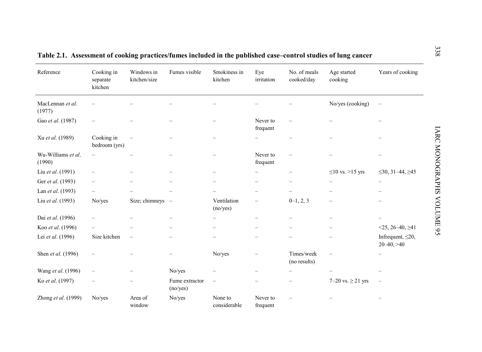| Reference                    | Cooking in<br>separate<br>kitchen | Windows in<br>kitchen/size | Fumes visible              | Smokiness in<br>kitchen  | Eye<br>irritation        | No. of meals<br>cooked/day | Age started<br>cooking | Years of cooking                           |
|------------------------------|-----------------------------------|----------------------------|----------------------------|--------------------------|--------------------------|----------------------------|------------------------|--------------------------------------------|
| MacLennan et al.<br>(1977)   |                                   |                            |                            |                          |                          |                            | No/yes (cooking)       |                                            |
| Gao et al. (1987)            |                                   |                            |                            |                          | Never to<br>frequent     |                            |                        |                                            |
| Xu et al. (1989)             | Cooking in<br>bedroom (yrs)       |                            |                            |                          |                          |                            |                        |                                            |
| Wu-Williams et al.<br>(1990) |                                   |                            |                            | -                        | Never to<br>frequent     |                            |                        |                                            |
| Liu et al. (1991)            |                                   |                            |                            |                          |                          |                            | $\leq$ 10 vs. >15 yrs  | $\leq$ 30, 31–44, $\geq$ 45                |
| Ger et al. (1993)            |                                   |                            |                            |                          |                          |                            |                        | $\overline{\phantom{0}}$                   |
| Lan et al. (1993)            |                                   |                            |                            |                          |                          |                            |                        |                                            |
| Liu et al. (1993)            | No/yes                            | Size; chimneys $-$         |                            | Ventilation<br>(no/yes)  |                          | $0-1, 2, 3$                |                        |                                            |
| Dai et al. (1996)            |                                   |                            |                            |                          | $\overline{\phantom{0}}$ |                            |                        |                                            |
| Koo et al. (1996)            |                                   |                            |                            |                          |                          |                            |                        | $<$ 25, 26–40, $\geq$ 41                   |
| Lei et al. (1996)            | Size kitchen                      |                            |                            |                          |                          |                            |                        | Infrequent, $\leq 20$ ,<br>$20 - 40, > 40$ |
| Shen et al. (1996)           |                                   |                            |                            | No/yes                   |                          | Times/week<br>(no results) |                        | $\overline{\phantom{0}}$                   |
| Wang et al. (1996)           |                                   |                            | No/yes                     |                          |                          |                            |                        |                                            |
| Ko et al. (1997)             |                                   |                            | Fume extractor<br>(no/yes) | $\overline{\phantom{0}}$ |                          | $\qquad \qquad$            | 7–20 vs. $\geq$ 21 yrs | $\overline{\phantom{0}}$                   |
| Zhong et al. (1999)          | No/yes                            | Area of<br>window          | No/yes                     | None to<br>considerable  | Never to<br>frequent     |                            |                        |                                            |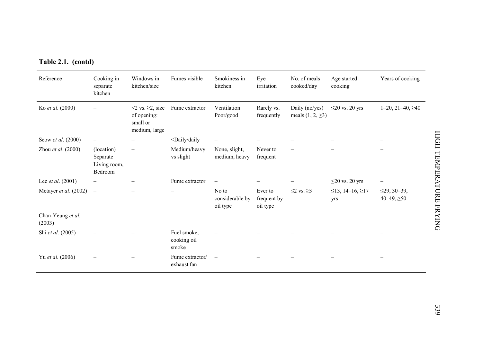| Reference                   | Cooking in<br>separate<br>kitchen                 | Windows in<br>kitchen/size                                            | Fumes visible                                                                | Smokiness in<br>kitchen              | Eye<br>irritation                  | No. of meals<br>cooked/day               | Age started<br>cooking             | Years of cooking                       |
|-----------------------------|---------------------------------------------------|-----------------------------------------------------------------------|------------------------------------------------------------------------------|--------------------------------------|------------------------------------|------------------------------------------|------------------------------------|----------------------------------------|
| Ko et al. (2000)            |                                                   | $\leq$ vs. $\geq$ 2, size<br>of opening:<br>small or<br>medium, large | Fume extractor                                                               | Ventilation<br>Poor/good             | Rarely vs.<br>frequently           | Daily (no/yes)<br>meals $(1, 2, \geq 3)$ | $\leq$ 20 vs. 20 yrs               | $1-20$ , $21-40$ , $\geq 40$           |
| Seow et al. (2000)          |                                                   |                                                                       | <daily daily<="" td=""><td></td><td></td><td></td><td></td><td></td></daily> |                                      |                                    |                                          |                                    |                                        |
| Zhou et al. $(2000)$        | (location)<br>Separate<br>Living room,<br>Bedroom | $\overline{\phantom{0}}$                                              | Medium/heavy<br>vs slight                                                    | None, slight,<br>medium, heavy       | Never to<br>frequent               |                                          |                                    |                                        |
| Lee et al. (2001)           |                                                   |                                                                       | Fume extractor                                                               | $\qquad \qquad -$                    |                                    |                                          | $\leq$ 20 vs. 20 yrs               |                                        |
| Metayer et al. (2002)       | $\overline{\phantom{a}}$                          |                                                                       |                                                                              | No to<br>considerable by<br>oil type | Ever to<br>frequent by<br>oil type | $\leq$ 2 vs. $\geq$ 3                    | $\leq$ 13, 14–16, $\geq$ 17<br>yrs | $\leq$ 29, 30-39,<br>$40 - 49, \ge 50$ |
| Chan-Yeung et al.<br>(2003) |                                                   |                                                                       |                                                                              |                                      |                                    |                                          |                                    |                                        |
| Shi et al. (2005)           |                                                   |                                                                       | Fuel smoke,<br>cooking oil<br>smoke                                          |                                      |                                    |                                          |                                    |                                        |
| Yu et al. (2006)            |                                                   |                                                                       | Fume extractor/<br>exhaust fan                                               | $\frac{1}{2}$                        |                                    |                                          |                                    |                                        |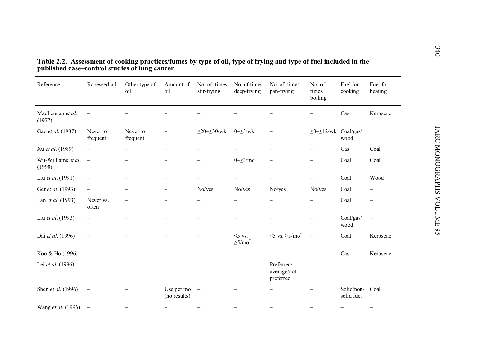| Reference                        | Rapeseed oil             | Other type of<br>oil | Amount of<br>oil           | No. of times<br>stir-frying     | No. of times<br>deep-frying            | No. of times<br>pan-frying             | No. of<br>times<br>boiling       | Fuel for<br>cooking      | Fuel for<br>heating      |
|----------------------------------|--------------------------|----------------------|----------------------------|---------------------------------|----------------------------------------|----------------------------------------|----------------------------------|--------------------------|--------------------------|
| MacLennan et al.<br>(1977)       |                          |                      |                            |                                 |                                        |                                        |                                  | Gas                      | Kerosene                 |
| Gao et al. (1987)                | Never to<br>frequent     | Never to<br>frequent |                            | $\leq$ 20- $\geq$ 30/wk         | $0\geq 3$ /wk                          |                                        | $\leq$ 3- $\geq$ 12/wk Coal/gas/ | wood                     |                          |
| Xu et al. (1989)                 |                          |                      |                            |                                 |                                        |                                        |                                  | Gas                      | Coal                     |
| Wu-Williams et al. $-$<br>(1990) |                          |                      |                            |                                 | $0 = \geq 3$ /mo                       |                                        |                                  | Coal                     | Coal                     |
| Liu et al. (1991)                | $\qquad \qquad -$        |                      |                            |                                 |                                        |                                        |                                  | Coal                     | Wood                     |
| Ger et al. (1993)                | $\overline{\phantom{0}}$ |                      | $\overline{\phantom{0}}$   | No/yes                          | No/yes                                 | No/yes                                 | No/yes                           | Coal                     | $\qquad \qquad -$        |
| Lan et al. (1993)                | Never vs.<br>often       |                      |                            |                                 |                                        |                                        |                                  | Coal                     | $\qquad \qquad -$        |
| Liu et al. (1993)                | $\qquad \qquad -$        |                      |                            |                                 |                                        |                                        |                                  | Coal/gas/<br>wood        | $\overline{\phantom{0}}$ |
| Dai et al. (1996)                |                          |                      |                            |                                 | $\leq$ vs.<br>$\geq$ 5/mo <sup>*</sup> | $\leq$ 5 vs. $\geq$ 5/mo <sup>*</sup>  |                                  | Coal                     | Kerosene                 |
| Koo & Ho (1996)                  |                          |                      |                            |                                 |                                        |                                        |                                  | Gas                      | Kerosene                 |
| Lei et al. (1996)                |                          |                      |                            |                                 |                                        | Preferred/<br>average/not<br>preferred |                                  |                          |                          |
| Shen et al. (1996)               | $\overline{\phantom{m}}$ |                      | Use per mo<br>(no results) | $\hspace{0.1mm}-\hspace{0.1mm}$ |                                        |                                        |                                  | Solid/non-<br>solid fuel | Coal                     |
| Wang et al. (1996)               |                          |                      |                            |                                 |                                        |                                        |                                  |                          |                          |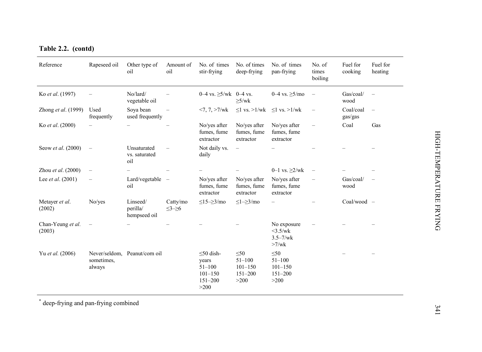| Reference                   | Rapeseed oil             | Other type of<br>oil                 | Amount of<br>oil          | No. of times<br>stir-frying                                                  | No. of times<br>deep-frying                                   | No. of times<br>pan-frying                                    | No. of<br>times<br>boiling | Fuel for<br>cooking  | Fuel for<br>heating      |
|-----------------------------|--------------------------|--------------------------------------|---------------------------|------------------------------------------------------------------------------|---------------------------------------------------------------|---------------------------------------------------------------|----------------------------|----------------------|--------------------------|
| Ko et al. (1997)            |                          | No/lard/<br>vegetable oil            |                           | $0-4$ vs. $\geq 5$ /wk $0-4$ vs.                                             | $\geq$ 5/wk                                                   | 0-4 vs. $\geq$ 5/mo                                           | $\overline{\phantom{0}}$   | Gas/coal/<br>wood    |                          |
| Zhong et al. (1999)         | Used<br>frequently       | Soya bean<br>used frequently         | $\overline{\phantom{m}}$  | $<7, 7, >7$ /wk                                                              | $\leq$ l vs. >l/wk $\leq$ l vs. >l/wk                         |                                                               | $\overline{\phantom{m}}$   | Coal/coal<br>gas/gas | $\overline{\phantom{0}}$ |
| Ko et al. (2000)            |                          |                                      |                           | No/yes after<br>fumes, fume<br>extractor                                     | No/yes after<br>fumes, fume<br>extractor                      | No/yes after<br>fumes, fume<br>extractor                      |                            | Coal                 | Gas                      |
| Seow et al. (2000)          | $\overline{\phantom{a}}$ | Unsaturated<br>vs. saturated<br>oil  |                           | Not daily vs.<br>daily                                                       | $\overline{\phantom{m}}$                                      |                                                               |                            |                      |                          |
| Zhou et al. (2000)          | $\overline{\phantom{m}}$ |                                      |                           |                                                                              |                                                               | 0-1 vs. $\geq$ 2/wk                                           | $\qquad \qquad -$          |                      |                          |
| Lee et al. (2001)           |                          | Lard/vegetable -<br>oil              |                           | No/yes after<br>fumes, fume<br>extractor                                     | No/yes after<br>fumes, fume<br>extractor                      | No/yes after<br>fumes, fume<br>extractor                      |                            | Gas/coal/<br>wood    |                          |
| Metayer et al.<br>(2002)    | No/yes                   | Linseed/<br>perilla/<br>hempseed oil | Catty/mo<br>$\leq3-\geq6$ | $\leq$ 15– $\geq$ 3/mo                                                       | $\leq l = \geq 3/mol$                                         |                                                               |                            | Coal/wood -          |                          |
| Chan-Yeung et al.<br>(2003) | $\overline{\phantom{m}}$ |                                      |                           |                                                                              |                                                               | No exposure<br>$<3.5$ /wk<br>$3.5 - 7$ /wk<br>$>7$ /wk        |                            |                      |                          |
| Yu et al. (2006)            | sometimes.<br>always     | Never/seldom, Peanut/corn oil        |                           | $\leq 50$ dish-<br>years<br>$51 - 100$<br>$101 - 150$<br>$151 - 200$<br>>200 | $\leq 50$<br>$51 - 100$<br>$101 - 150$<br>$151 - 200$<br>>200 | $\leq 50$<br>$51 - 100$<br>$101 - 150$<br>$151 - 200$<br>>200 |                            |                      |                          |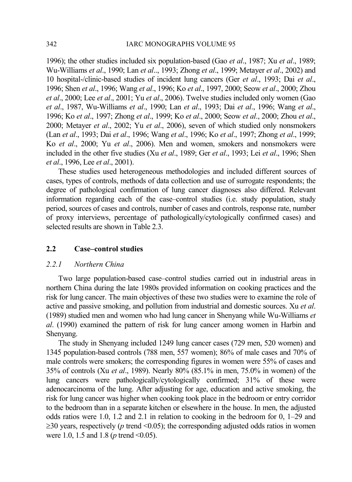1996); the other studies included six population-based (Gao *et al*., 1987; Xu *et al*., 1989; Wu-Williams *et al*., 1990; Lan *et al*.., 1993; Zhong *et al*., 1999; Metayer *et al*., 2002) and 10 hospital-/clinic-based studies of incident lung cancers (Ger *et al*., 1993; Dai *et al*., 1996; Shen *et al*., 1996; Wang *et al*., 1996; Ko *et al*., 1997, 2000; Seow *et al*., 2000; Zhou *et al*., 2000; Lee *et al*., 2001; Yu *et al*., 2006). Twelve studies included only women (Gao *et al*., 1987, Wu-Williams *et al*., 1990; Lan *et al*., 1993; Dai *et al*., 1996; Wang *et al*., 1996; Ko *et al*., 1997; Zhong *et al*., 1999; Ko *et al*., 2000; Seow *et al*., 2000; Zhou *et al*., 2000; Metayer *et al*., 2002; Yu *et al*., 2006), seven of which studied only nonsmokers (Lan *et al*., 1993; Dai *et al*., 1996; Wang *et al*., 1996; Ko *et al*., 1997; Zhong *et al*., 1999; Ko *et al*., 2000; Yu *et al*., 2006). Men and women, smokers and nonsmokers were included in the other five studies (Xu *et al*., 1989; Ger *et al*., 1993; Lei *et al*., 1996; Shen *et al*., 1996, Lee *et al*., 2001).

These studies used heterogeneous methodologies and included different sources of cases, types of controls, methods of data collection and use of surrogate respondents; the degree of pathological confirmation of lung cancer diagnoses also differed. Relevant information regarding each of the case–control studies (i.e. study population, study period, sources of cases and controls, number of cases and controls, response rate, number of proxy interviews, percentage of pathologically/cytologically confirmed cases) and selected results are shown in Table 2.3.

## **2.2 Case–control studies**

### *2.2.1 Northern China*

Two large population-based case–control studies carried out in industrial areas in northern China during the late 1980s provided information on cooking practices and the risk for lung cancer. The main objectives of these two studies were to examine the role of active and passive smoking, and pollution from industrial and domestic sources. Xu *et al*. (1989) studied men and women who had lung cancer in Shenyang while Wu-Williams *et al*. (1990) examined the pattern of risk for lung cancer among women in Harbin and Shenyang.

The study in Shenyang included 1249 lung cancer cases (729 men, 520 women) and 1345 population-based controls (788 men, 557 women); 86% of male cases and 70% of male controls were smokers; the corresponding figures in women were 55% of cases and 35% of controls (Xu *et al*., 1989). Nearly 80% (85.1% in men, 75.0% in women) of the lung cancers were pathologically/cytologically confirmed; 31% of these were adenocarcinoma of the lung. After adjusting for age, education and active smoking, the risk for lung cancer was higher when cooking took place in the bedroom or entry corridor to the bedroom than in a separate kitchen or elsewhere in the house. In men, the adjusted odds ratios were 1.0, 1.2 and 2.1 in relation to cooking in the bedroom for 0, 1–29 and  $\geq$ 30 years, respectively (*p* trend <0.05); the corresponding adjusted odds ratios in women were 1.0, 1.5 and 1.8 (*p* trend <0.05).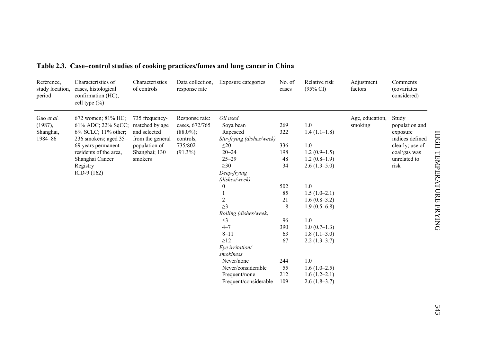| Reference,<br>study location,<br>period       | Characteristics of<br>cases, histological<br>confirmation (HC),<br>cell type (%)                                                                                                         | Characteristics<br>of controls                                                                                    | Data collection.<br>response rate                                                      | Exposure categories                                                                                                                                                                                                                                                        | No. of<br>cases                                                                 | Relative risk<br>$(95\% \text{ CI})$                                                                                                                                                       | Adjustment<br>factors      | Comments<br><i>(covariates)</i><br>considered)                                                                    |
|-----------------------------------------------|------------------------------------------------------------------------------------------------------------------------------------------------------------------------------------------|-------------------------------------------------------------------------------------------------------------------|----------------------------------------------------------------------------------------|----------------------------------------------------------------------------------------------------------------------------------------------------------------------------------------------------------------------------------------------------------------------------|---------------------------------------------------------------------------------|--------------------------------------------------------------------------------------------------------------------------------------------------------------------------------------------|----------------------------|-------------------------------------------------------------------------------------------------------------------|
| Gao et al.<br>(1987),<br>Shanghai,<br>1984-86 | 672 women; 81% HC;<br>61% ADC; 22% SqCC;<br>6% SCLC; 11% other;<br>236 smokers; aged 35-<br>69 years permanent<br>residents of the area.<br>Shanghai Cancer<br>Registry<br>ICD-9 $(162)$ | 735 frequency-<br>matched by age<br>and selected<br>from the general<br>population of<br>Shanghai; 130<br>smokers | Response rate:<br>cases, 672/765<br>$(88.0\%)$ ;<br>controls,<br>735/802<br>$(91.3\%)$ | Oil used<br>Soya bean<br>Rapeseed<br>Stir-frying (dishes/week)<br>$\leq 20$<br>$20 - 24$<br>$25 - 29$<br>$\geq 30$<br>Deep-frying<br>(dishes/week)<br>$\boldsymbol{0}$<br>$\mathbf{1}$<br>$\overline{2}$<br>>3<br>Boiling (dishes/week)<br>$\leq$ 3<br>$4 - 7$<br>$8 - 11$ | 269<br>322<br>336<br>198<br>48<br>34<br>502<br>85<br>21<br>8<br>96<br>390<br>63 | 1.0<br>$1.4(1.1-1.8)$<br>1.0<br>$1.2(0.9-1.5)$<br>$1.2(0.8-1.9)$<br>$2.6(1.3-5.0)$<br>1.0<br>$1.5(1.0-2.1)$<br>$1.6(0.8-3.2)$<br>$1.9(0.5-6.8)$<br>1.0<br>$1.0(0.7-1.3)$<br>$1.8(1.1-3.0)$ | Age, education,<br>smoking | Study<br>population and<br>exposure<br>indices defined<br>clearly; use of<br>coal/gas was<br>unrelated to<br>risk |
|                                               |                                                                                                                                                                                          |                                                                                                                   |                                                                                        | $\geq$ 12<br>Eye irritation/<br>smokiness<br>Never/none<br>Never/considerable<br>Frequent/none<br>Frequent/considerable                                                                                                                                                    | 67<br>244<br>55<br>212<br>109                                                   | $2.2(1.3-3.7)$<br>1.0<br>$1.6(1.0-2.5)$<br>$1.6(1.2-2.1)$<br>$2.6(1.8-3.7)$                                                                                                                |                            |                                                                                                                   |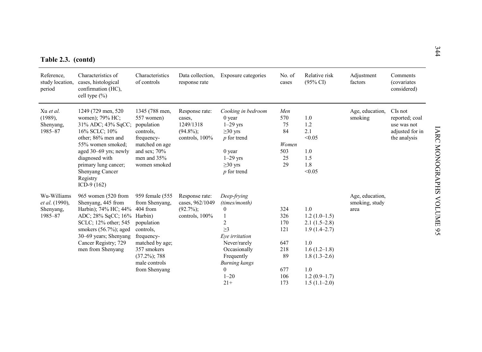|  | Table 2.3. (contd) |
|--|--------------------|
|  |                    |

| Table 2.3. (contd)                                    |                                                                                                                                                                                                                                             |                                                                                                                                                                    |                                                                         |                                                                                                                                                                                                         |                                                                   |                                                                                                                                                 |                                           |                                                                             |
|-------------------------------------------------------|---------------------------------------------------------------------------------------------------------------------------------------------------------------------------------------------------------------------------------------------|--------------------------------------------------------------------------------------------------------------------------------------------------------------------|-------------------------------------------------------------------------|---------------------------------------------------------------------------------------------------------------------------------------------------------------------------------------------------------|-------------------------------------------------------------------|-------------------------------------------------------------------------------------------------------------------------------------------------|-------------------------------------------|-----------------------------------------------------------------------------|
| Reference,<br>study location,<br>period               | Characteristics of<br>cases, histological<br>confirmation (HC),<br>cell type (%)                                                                                                                                                            | Characteristics<br>of controls                                                                                                                                     | Data collection.<br>response rate                                       | Exposure categories                                                                                                                                                                                     | No. of<br>cases                                                   | Relative risk<br>$(95\% \text{ CI})$                                                                                                            | Adjustment<br>factors                     | Comments<br><i>(covariates)</i><br>considered)                              |
| Xu et al.<br>$(1989)$ ,<br>Shenyang,<br>1985-87       | 1249 (729 men, 520)<br>women); 79% HC;<br>31% ADC; 43% SqCC;<br>16% SCLC; 10%<br>other; 86% men and<br>55% women smoked;<br>aged 30-69 yrs; newly<br>diagnosed with<br>primary lung cancer;<br>Shenyang Cancer<br>Registry<br>ICD-9 $(162)$ | 1345 (788 men,<br>557 women)<br>population<br>controls.<br>frequency-<br>matched on age<br>and sex; $70%$<br>men and 35%<br>women smoked                           | Response rate:<br>cases.<br>1249/1318<br>$(94.8\%)$ ;<br>controls, 100% | Cooking in bedroom<br>$0$ year<br>$1-29$ yrs<br>$\geq$ 30 yrs<br>$p$ for trend<br>$0$ year<br>$1-29$ yrs<br>$\geq$ 30 yrs<br>$p$ for trend                                                              | Men<br>570<br>75<br>84<br>Women<br>503<br>25<br>29                | 1.0<br>1.2<br>2.1<br>< 0.05<br>1.0<br>1.5<br>1.8<br>< 0.05                                                                                      | Age, education,<br>smoking                | CIs not<br>reported; coal<br>use was not<br>adjusted for in<br>the analysis |
| Wu-Williams<br>et al. (1990).<br>Shenyang,<br>1985-87 | 965 women (520 from<br>Shenyang, 445 from<br>Harbin); 74% HC; 44% 404 from<br>ADC; 28% SqCC; 16% Harbin)<br>SCLC; 12% other; 545<br>smokers $(56.7\%)$ ; aged<br>30–69 years; Shenyang<br>Cancer Registry; 729<br>men from Shenyang         | 959 female (555<br>from Shenyang,<br>population<br>controls.<br>frequency-<br>matched by age;<br>357 smokers<br>$(37.2\%)$ ; 788<br>male controls<br>from Shenyang | Response rate:<br>cases, 962/1049<br>$(92.7\%)$ ;<br>controls, 100%     | Deep-frying<br>(times/month)<br>$\mathbf{0}$<br>$\overline{2}$<br>$\geq$ 3<br>Eye irritation<br>Never/rarely<br>Occasionally<br>Frequently<br><b>Burning</b> kangs<br>$\mathbf{0}$<br>$1 - 20$<br>$21+$ | 324<br>326<br>170<br>121<br>647<br>218<br>89<br>677<br>106<br>173 | 1.0<br>$1.2(1.0-1.5)$<br>$2.1(1.5-2.8)$<br>$1.9(1.4-2.7)$<br>1.0<br>$1.6(1.2-1.8)$<br>$1.8(1.3-2.6)$<br>1.0<br>$1.2(0.9-1.7)$<br>$1.5(1.1-2.0)$ | Age, education,<br>smoking, study<br>area |                                                                             |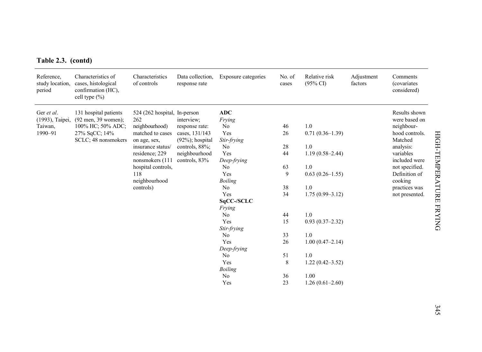| Reference,<br>study location,<br>period | Characteristics of<br>cases, histological<br>confirmation (HC),<br>cell type $(\% )$ | Characteristics<br>of controls | Data collection,<br>response rate | Exposure categories  | No. of<br>cases | Relative risk<br>$(95\% \text{ CI})$ | Adjustment<br>factors | Comments<br><i>(covariates)</i><br>considered) |
|-----------------------------------------|--------------------------------------------------------------------------------------|--------------------------------|-----------------------------------|----------------------|-----------------|--------------------------------------|-----------------------|------------------------------------------------|
| Ger et al.                              | 131 hospital patients                                                                | 524 (262 hospital, In-person   |                                   | <b>ADC</b>           |                 |                                      |                       | Results shown                                  |
| (1993), Taipei,                         | (92 men, 39 women);                                                                  | 262                            | interview;                        | Frying               |                 |                                      |                       | were based on                                  |
| Taiwan,                                 | 100% HC; 50% ADC;                                                                    | neighbourhood)                 | response rate:                    | No                   | 46              | 1.0                                  |                       | neighbour-                                     |
| 1990-91                                 | 27% SqCC; 14%                                                                        | matched to cases               | cases, 131/143                    | Yes                  | 26              | $0.71(0.36-1.39)$                    |                       | hood controls.                                 |
|                                         | SCLC; 48 nonsmokers                                                                  | on age, sex,                   | $(92\%)$ ; hospital               | Stir-frying          |                 |                                      |                       | Matched                                        |
|                                         |                                                                                      | insurance status/              | controls, 88%;                    | No                   | 28              | 1.0                                  |                       | analysis:                                      |
|                                         |                                                                                      | residence; 229                 | neighbourhood                     | Yes                  | 44              | $1.19(0.58 - 2.44)$                  |                       | variables                                      |
|                                         |                                                                                      | nonsmokers (111                | controls, 83%                     | Deep-frying          |                 |                                      |                       | included were                                  |
|                                         |                                                                                      | hospital controls,             |                                   | N <sub>o</sub>       | 63              | 1.0                                  |                       | not specified.                                 |
|                                         |                                                                                      | 118                            |                                   | Yes                  | 9               | $0.63(0.26 - 1.55)$                  |                       | Definition of                                  |
|                                         |                                                                                      | neighbourhood                  |                                   | <b>Boiling</b>       |                 |                                      |                       | cooking                                        |
|                                         |                                                                                      | controls)                      |                                   | $\rm No$<br>Yes      | 38<br>34        | $1.0\,$                              |                       | practices was                                  |
|                                         |                                                                                      |                                |                                   |                      |                 | $1.75(0.99-3.12)$                    |                       | not presented.                                 |
|                                         |                                                                                      |                                |                                   | SqCC-/SCLC<br>Frying |                 |                                      |                       |                                                |
|                                         |                                                                                      |                                |                                   | No                   | 44              | 1.0                                  |                       |                                                |
|                                         |                                                                                      |                                |                                   | Yes                  | 15              | $0.93(0.37-2.32)$                    |                       |                                                |
|                                         |                                                                                      |                                |                                   | Stir-frying          |                 |                                      |                       |                                                |
|                                         |                                                                                      |                                |                                   | No                   | 33              | $1.0\,$                              |                       |                                                |
|                                         |                                                                                      |                                |                                   | Yes                  | 26              | $1.00(0.47-2.14)$                    |                       |                                                |
|                                         |                                                                                      |                                |                                   | Deep-frying          |                 |                                      |                       |                                                |
|                                         |                                                                                      |                                |                                   | No                   | 51              | 1.0                                  |                       |                                                |
|                                         |                                                                                      |                                |                                   | Yes                  | 8               | $1.22(0.42 - 3.52)$                  |                       |                                                |
|                                         |                                                                                      |                                |                                   | <b>Boiling</b>       |                 |                                      |                       |                                                |
|                                         |                                                                                      |                                |                                   | No                   | 36              | 1.00                                 |                       |                                                |
|                                         |                                                                                      |                                |                                   | Yes                  | 23              | $1.26(0.61-2.60)$                    |                       |                                                |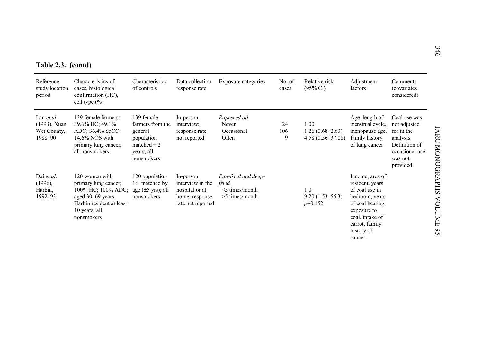| Table 2.3. (contd)                                   |                                                                                                                                              |                                                                                                        |                                                                                        |                                                                       |                 |                                                   |                                                                                                                                                                        |                                                                                                                    |
|------------------------------------------------------|----------------------------------------------------------------------------------------------------------------------------------------------|--------------------------------------------------------------------------------------------------------|----------------------------------------------------------------------------------------|-----------------------------------------------------------------------|-----------------|---------------------------------------------------|------------------------------------------------------------------------------------------------------------------------------------------------------------------------|--------------------------------------------------------------------------------------------------------------------|
| Reference,<br>study location,<br>period              | Characteristics of<br>cases, histological<br>confirmation (HC),<br>cell type $(\% )$                                                         | Characteristics<br>of controls                                                                         | Data collection,<br>response rate                                                      | Exposure categories                                                   | No. of<br>cases | Relative risk<br>$(95\% \text{ CI})$              | Adjustment<br>factors                                                                                                                                                  | Comments<br><i>(covariates</i><br>considered)                                                                      |
| Lan et al.<br>(1993), Xuan<br>Wei County,<br>1988-90 | 139 female farmers;<br>39.6% HC; 49.1%<br>ADC; 36.4% SqCC;<br>14.6% NOS with<br>primary lung cancer;<br>all nonsmokers                       | 139 female<br>farmers from the<br>general<br>population<br>matched $\pm 2$<br>years; all<br>nonsmokers | In-person<br>interview;<br>response rate<br>not reported                               | Rapeseed oil<br>Never<br>Occasional<br>Often                          | 24<br>106<br>9  | 1.00<br>$1.26(0.68-2.63)$<br>$4.58(0.56 - 37.08)$ | Age, length of<br>menstrual cycle,<br>menopause age,<br>family history<br>of lung cancer                                                                               | Coal use was<br>not adjusted<br>for in the<br>analysis.<br>Definition of<br>occasional use<br>was not<br>provided. |
| Dai et al.<br>$(1996)$ ,<br>Harbin,<br>1992-93       | 120 women with<br>primary lung cancer;<br>100% HC; 100% ADC;<br>aged 30–69 years;<br>Harbin resident at least<br>10 years; all<br>nonsmokers | 120 population<br>1:1 matched by<br>age $(\pm 5 \text{ yrs})$ ; all<br>nonsmokers                      | In-person<br>interview in the<br>hospital or at<br>home; response<br>rate not reported | Pan-fried and deep-<br>fried<br>$<$ 5 times/month<br>$>5$ times/month |                 | 1.0<br>$9.20(1.53 - 55.3)$<br>$p=0.152$           | Income, area of<br>resident, years<br>of coal use in<br>bedroom, years<br>of coal heating,<br>exposure to<br>coal, intake of<br>carrot, family<br>history of<br>cancer |                                                                                                                    |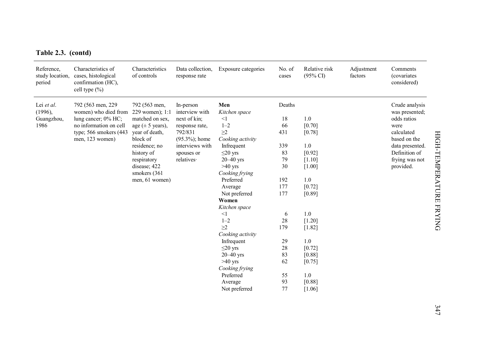| Table 2.3. (contd) |  |
|--------------------|--|
|--------------------|--|

| Table 2.3. (contd)                             |                                                                                                                                          |                                                                                                                                                                                                                    |                                                                                                                                              |                                                                                                                                                                                                                                                                                                                                                                                                      |                                                                                                                                     |                                                                                                                                                                                                  |                       |                                                                                                                                                          |                         |
|------------------------------------------------|------------------------------------------------------------------------------------------------------------------------------------------|--------------------------------------------------------------------------------------------------------------------------------------------------------------------------------------------------------------------|----------------------------------------------------------------------------------------------------------------------------------------------|------------------------------------------------------------------------------------------------------------------------------------------------------------------------------------------------------------------------------------------------------------------------------------------------------------------------------------------------------------------------------------------------------|-------------------------------------------------------------------------------------------------------------------------------------|--------------------------------------------------------------------------------------------------------------------------------------------------------------------------------------------------|-----------------------|----------------------------------------------------------------------------------------------------------------------------------------------------------|-------------------------|
| Reference,<br>study location.<br>period        | Characteristics of<br>cases, histological<br>confirmation (HC),<br>cell type (%)                                                         | Characteristics<br>of controls                                                                                                                                                                                     | Data collection,<br>response rate                                                                                                            | Exposure categories                                                                                                                                                                                                                                                                                                                                                                                  | No. of<br>cases                                                                                                                     | Relative risk<br>$(95\% \text{ CI})$                                                                                                                                                             | Adjustment<br>factors | Comments<br><i>(covariates)</i><br>considered)                                                                                                           |                         |
| Lei et al.<br>$(1996)$ ,<br>Guangzhou,<br>1986 | 792 (563 men, 229)<br>women) who died from<br>lung cancer; 0% HC;<br>no information on cell<br>type; 566 smokers (443<br>men, 123 women) | 792 (563 men,<br>229 women); 1:1<br>matched on sex.<br>age $(\pm 5 \text{ years})$ ,<br>year of death,<br>block of<br>residence; no<br>history of<br>respiratory<br>disease; 422<br>smokers (361<br>men, 61 women) | In-person<br>interview with<br>next of kin;<br>response rate,<br>792/831<br>$(95.3\%)$ ; home<br>interviews with<br>spouses or<br>relatives· | Men<br>Kitchen space<br>$\leq$ 1<br>$1 - 2$<br>$\geq$ 2<br>Cooking activity<br>Infrequent<br>$\leq$ 20 yrs<br>$20-40$ yrs<br>$>40$ yrs<br>Cooking frying<br>Preferred<br>Average<br>Not preferred<br>Women<br>Kitchen space<br><1<br>$1 - 2$<br>$\geq$ 2<br>Cooking activity<br>Infrequent<br>$\leq$ 20 yrs<br>$20 - 40$ yrs<br>$>40$ yrs<br>Cooking frying<br>Preferred<br>Average<br>Not preferred | Deaths<br>18<br>66<br>431<br>339<br>83<br>79<br>30<br>192<br>177<br>177<br>6<br>28<br>179<br>29<br>28<br>83<br>62<br>55<br>93<br>77 | 1.0<br>[0.70]<br>[0.78]<br>1.0<br>[0.92]<br>[1.10]<br>$[1.00]$<br>1.0<br>[0.72]<br>[0.89]<br>1.0<br>$[1.20]$<br>$[1.82]$<br>$1.0\,$<br>$[0.72]$<br>[0.88]<br>[0.75]<br>1.0<br>[0.88]<br>$[1.06]$ |                       | Crude analysis<br>was presented;<br>odds ratios<br>were<br>calculated<br>based on the<br>data presented.<br>Definition of<br>frying was not<br>provided. | HIGH-TEMPERATURE FRYING |
|                                                |                                                                                                                                          |                                                                                                                                                                                                                    |                                                                                                                                              |                                                                                                                                                                                                                                                                                                                                                                                                      |                                                                                                                                     |                                                                                                                                                                                                  |                       |                                                                                                                                                          | 347                     |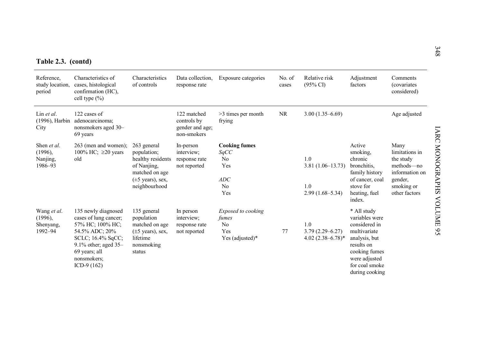|  | Table 2.3. (contd) |
|--|--------------------|
|  |                    |

| Table 2.3. (contd)                             |                                                                                                                                                                                     |                                                                                                                                     |                                                              |                                                                         |                 |                                                           |                                                                                                                                                                     |                                                                                                               |
|------------------------------------------------|-------------------------------------------------------------------------------------------------------------------------------------------------------------------------------------|-------------------------------------------------------------------------------------------------------------------------------------|--------------------------------------------------------------|-------------------------------------------------------------------------|-----------------|-----------------------------------------------------------|---------------------------------------------------------------------------------------------------------------------------------------------------------------------|---------------------------------------------------------------------------------------------------------------|
| Reference.<br>study location,<br>period        | Characteristics of<br>cases, histological<br>confirmation (HC),<br>cell type (%)                                                                                                    | Characteristics<br>of controls                                                                                                      | Data collection,<br>response rate                            | Exposure categories                                                     | No. of<br>cases | Relative risk<br>$(95\% \text{ CI})$                      | Adjustment<br>factors                                                                                                                                               | Comments<br><i>(covariates)</i><br>considered)                                                                |
| Lin et al.<br>$(1996)$ , Harbin<br>City        | 122 cases of<br>adenocarcinoma;<br>nonsmokers aged 30-<br>69 years                                                                                                                  |                                                                                                                                     | 122 matched<br>controls by<br>gender and age;<br>non-smokers | $>3$ times per month<br>frying                                          | <b>NR</b>       | $3.00(1.35 - 6.69)$                                       |                                                                                                                                                                     | Age adjusted                                                                                                  |
| Shen et al.<br>(1996),<br>Nanjing,<br>1986-93  | 263 (men and women);<br>100% HC; $\geq$ 20 years<br>old                                                                                                                             | 263 general<br>population;<br>healthy residents<br>of Nanjing,<br>matched on age<br>$(\pm 5 \text{ years})$ , sex,<br>neighbourhood | In-person<br>interview;<br>response rate<br>not reported     | <b>Cooking fumes</b><br>SqCC<br>No<br>Yes<br>ADC<br>No<br>Yes           |                 | 1.0<br>$3.81(1.06 - 13.73)$<br>1.0<br>$2.99(1.68 - 5.34)$ | Active<br>smoking.<br>chronic<br>bronchitis.<br>family history<br>of cancer, coal<br>stove for<br>heating, fuel<br>index.                                           | Many<br>limitations in<br>the study<br>methods-no<br>information on<br>gender,<br>smoking or<br>other factors |
| Wang et al.<br>(1996),<br>Shenyang,<br>1992-94 | 135 newly diagnosed<br>cases of lung cancer;<br>57% HC; 100% HC;<br>54.5% ADC; 20%<br>SCLC; 16.4% SqCC;<br>$9.1\%$ other; aged 35-<br>69 years; all<br>nonsmokers;<br>ICD-9 $(162)$ | 135 general<br>population<br>matched on age<br>$(\pm 5 \text{ years})$ , sex,<br>lifetime<br>nonsmoking<br>status                   | In person<br>interview;<br>response rate<br>not reported     | Exposed to cooking<br>fumes<br>N <sub>0</sub><br>Yes<br>Yes (adjusted)* | 77              | 1.0<br>$3.79(2.29 - 6.27)$<br>4.02 (2.38-6.78)*           | * All study<br>variables were<br>considered in<br>multivariate<br>analysis, but<br>results on<br>cooking fumes<br>were adjusted<br>for coal smoke<br>during cooking |                                                                                                               |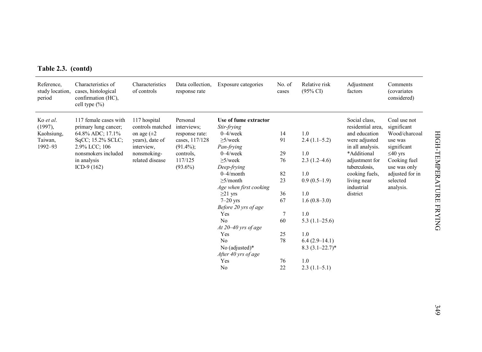| Table 2.3. (contd) |  |  |  |  |
|--------------------|--|--|--|--|
|--------------------|--|--|--|--|

| Reference,<br>study location,<br>period | Characteristics of<br>cases, histological<br>confirmation (HC),<br>cell type $(\% )$ | Characteristics<br>of controls   | Data collection,<br>response rate | Exposure categories                         | No. of<br>cases | Relative risk<br>$(95\% \text{ CI})$   | Adjustment<br>factors              | Comments<br><i>(covariates)</i><br>considered) |
|-----------------------------------------|--------------------------------------------------------------------------------------|----------------------------------|-----------------------------------|---------------------------------------------|-----------------|----------------------------------------|------------------------------------|------------------------------------------------|
| Ko et al.<br>$(1997)$ ,                 | 117 female cases with<br>primary lung cancer;                                        | 117 hospital<br>controls matched | Personal<br>interviews;           | Use of fume extractor<br>Stir-frying        |                 |                                        | Social class,<br>residential area, | Coal use not<br>significant                    |
| Kaohsiung,                              | 64.8% ADC; 17.1%                                                                     | on age $(\pm 2)$                 | response rate:                    | $0 - 4$ /week                               | 14              | 1.0                                    | and education                      | Wood/charcoal                                  |
| Taiwan,<br>1992-93                      | SqCC; 15.2% SCLC;<br>2.9% LCC; 106                                                   | years), date of<br>interview,    | cases, 117/128<br>$(91.4\%)$ ;    | $\geq$ 5/week<br>Pan-frying                 | 91              | $2.4(1.1-5.2)$                         | were adjusted<br>in all analysis.  | use was<br>significant                         |
|                                         | nonsmokers included                                                                  | nonsmoking-                      | controls,                         | $0 - 4$ /week                               | 29              | 1.0                                    | *Additional                        | $\leq 40$ yrs                                  |
|                                         | in analysis<br>ICD-9 $(162)$                                                         | related disease                  | 117/125<br>$(93.6\%)$             | $\geq$ 5/week<br>Deep-frying                | 76              | $2.3(1.2-4.6)$                         | adjustment for<br>tuberculosis.    | Cooking fuel<br>use was only                   |
|                                         |                                                                                      |                                  |                                   | $0 - 4$ /month                              | 82              | 1.0                                    | cooking fuels.                     | adjusted for in                                |
|                                         |                                                                                      |                                  |                                   | $\geq$ 5/month<br>Age when first cooking    | 23              | $0.9(0.5-1.9)$                         | living near<br>industrial          | selected<br>analysis.                          |
|                                         |                                                                                      |                                  |                                   | $\geq$ 21 yrs                               | 36              | 1.0                                    | district                           |                                                |
|                                         |                                                                                      |                                  |                                   | $7-20$ yrs<br>Before 20 yrs of age          | 67              | $1.6(0.8-3.0)$                         |                                    |                                                |
|                                         |                                                                                      |                                  |                                   | Yes                                         | $\tau$          | 1.0                                    |                                    |                                                |
|                                         |                                                                                      |                                  |                                   | No<br>At $20 - 40$ yrs of age               | 60              | $5.3(1.1-25.6)$                        |                                    |                                                |
|                                         |                                                                                      |                                  |                                   | Yes                                         | 25              | 1.0                                    |                                    |                                                |
|                                         |                                                                                      |                                  |                                   | No<br>No (adjusted)*<br>After 40 yrs of age | 78              | $6.4(2.9-14.1)$<br>$8.3(3.1 - 22.7)^*$ |                                    |                                                |
|                                         |                                                                                      |                                  |                                   | Yes                                         | 76              | 1.0                                    |                                    |                                                |
|                                         |                                                                                      |                                  |                                   | No                                          | 22              | $2.3(1.1-5.1)$                         |                                    |                                                |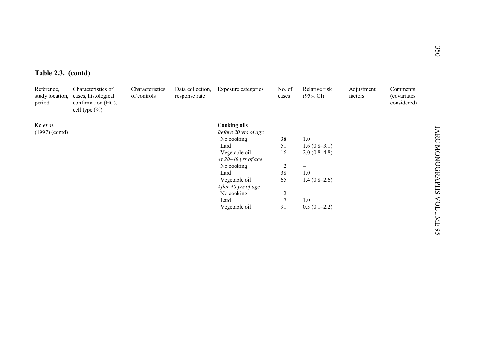|  | Table 2.3. (contd) |
|--|--------------------|
|  |                    |

| Characteristics of<br>Characteristics<br>Relative risk<br>Reference,<br>Data collection,<br>Exposure categories<br>Adjustment<br>No. of<br>Comments<br>cases, histological<br>$(95\% \text{ CI})$<br>study location,<br>of controls<br>factors<br>(covariates<br>response rate<br>cases<br>considered)<br>period<br>confirmation (HC),<br>cell type $(\% )$<br><b>Cooking oils</b><br>Ko et al.<br>Before 20 yrs of age<br>$(1997)$ (contd)<br>1.0<br>No cooking<br>38<br>51<br>Lard<br>$1.6(0.8-3.1)$<br>Vegetable oil<br>$2.0(0.8-4.8)$<br>16<br>At $20 - 40$ yrs of age<br>No cooking<br>$\overline{2}$<br>38<br>1.0<br>Lard<br>Vegetable oil<br>65<br>$1.4(0.8-2.6)$<br>After 40 yrs of age<br>$\overline{2}$<br>No cooking<br>$\overline{7}$<br>Lard<br>1.0<br>91 | Table 2.3. (contd) |  |               |                |  |
|------------------------------------------------------------------------------------------------------------------------------------------------------------------------------------------------------------------------------------------------------------------------------------------------------------------------------------------------------------------------------------------------------------------------------------------------------------------------------------------------------------------------------------------------------------------------------------------------------------------------------------------------------------------------------------------------------------------------------------------------------------------------|--------------------|--|---------------|----------------|--|
|                                                                                                                                                                                                                                                                                                                                                                                                                                                                                                                                                                                                                                                                                                                                                                        |                    |  |               |                |  |
|                                                                                                                                                                                                                                                                                                                                                                                                                                                                                                                                                                                                                                                                                                                                                                        |                    |  |               |                |  |
|                                                                                                                                                                                                                                                                                                                                                                                                                                                                                                                                                                                                                                                                                                                                                                        |                    |  |               |                |  |
|                                                                                                                                                                                                                                                                                                                                                                                                                                                                                                                                                                                                                                                                                                                                                                        |                    |  |               |                |  |
|                                                                                                                                                                                                                                                                                                                                                                                                                                                                                                                                                                                                                                                                                                                                                                        |                    |  |               |                |  |
|                                                                                                                                                                                                                                                                                                                                                                                                                                                                                                                                                                                                                                                                                                                                                                        |                    |  |               |                |  |
|                                                                                                                                                                                                                                                                                                                                                                                                                                                                                                                                                                                                                                                                                                                                                                        |                    |  |               |                |  |
|                                                                                                                                                                                                                                                                                                                                                                                                                                                                                                                                                                                                                                                                                                                                                                        |                    |  |               |                |  |
|                                                                                                                                                                                                                                                                                                                                                                                                                                                                                                                                                                                                                                                                                                                                                                        |                    |  |               |                |  |
|                                                                                                                                                                                                                                                                                                                                                                                                                                                                                                                                                                                                                                                                                                                                                                        |                    |  |               |                |  |
|                                                                                                                                                                                                                                                                                                                                                                                                                                                                                                                                                                                                                                                                                                                                                                        |                    |  |               |                |  |
|                                                                                                                                                                                                                                                                                                                                                                                                                                                                                                                                                                                                                                                                                                                                                                        |                    |  |               |                |  |
|                                                                                                                                                                                                                                                                                                                                                                                                                                                                                                                                                                                                                                                                                                                                                                        |                    |  | Vegetable oil | $0.5(0.1-2.2)$ |  |
|                                                                                                                                                                                                                                                                                                                                                                                                                                                                                                                                                                                                                                                                                                                                                                        |                    |  |               |                |  |
|                                                                                                                                                                                                                                                                                                                                                                                                                                                                                                                                                                                                                                                                                                                                                                        |                    |  |               |                |  |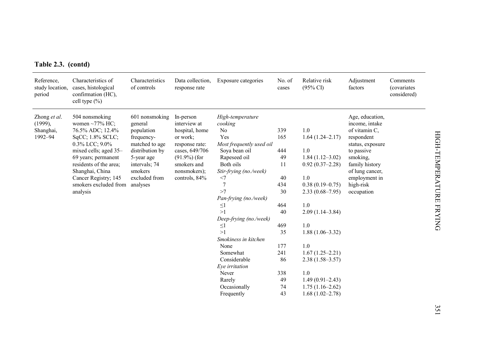| Table 2.3. (contd) |  |  |
|--------------------|--|--|
|--------------------|--|--|

| Reference,<br>study location,<br>period | Characteristics of<br>cases, histological<br>confirmation (HC),<br>cell type $(\% )$ | Characteristics<br>of controls | Data collection.<br>response rate | Exposure categories          | No. of<br>cases | Relative risk<br>$(95\% \text{ CI})$ | Adjustment<br>factors | Comments<br><i>(covariates)</i><br>considered) |
|-----------------------------------------|--------------------------------------------------------------------------------------|--------------------------------|-----------------------------------|------------------------------|-----------------|--------------------------------------|-----------------------|------------------------------------------------|
| Zhong et al.                            | 504 nonsmoking                                                                       | 601 nonsmoking                 | In-person                         | High-temperature             |                 |                                      | Age, education,       |                                                |
| $(1999)$ ,                              | women $\sim$ 77% HC;                                                                 | general                        | interview at                      | cooking                      |                 |                                      | income, intake        |                                                |
| Shanghai,                               | 76.5% ADC; 12.4%                                                                     | population                     | hospital, home                    | No                           | 339             | 1.0                                  | of vitamin C.         |                                                |
| 1992-94                                 | SqCC; 1.8% SCLC;                                                                     | frequency-                     | or work;                          | Yes                          | 165             | $1.64(1.24 - 2.17)$                  | respondent            |                                                |
|                                         | 0.3% LCC; 9.0%                                                                       | matched to age                 | response rate:                    | Most frequently used oil     |                 |                                      | status, exposure      |                                                |
|                                         | mixed cells; aged 35-                                                                | distribution by                | cases, 649/706                    | Soya bean oil                | 444             | 1.0                                  | to passive            |                                                |
|                                         | 69 years; permanent                                                                  | 5-year age                     | $(91.9\%)$ (for                   | Rapeseed oil                 | 49              | $1.84(1.12-3.02)$                    | smoking.              |                                                |
|                                         | residents of the area;                                                               | intervals; 74                  | smokers and                       | Both oils                    | 11              | $0.92(0.37-2.28)$                    | family history        |                                                |
|                                         | Shanghai, China                                                                      | smokers                        | nonsmokers);                      | Stir-frying (no./week)       |                 |                                      | of lung cancer,       |                                                |
|                                         | Cancer Registry; 145                                                                 | excluded from                  | controls, 84%                     | <7                           | 40              | 1.0                                  | employment in         |                                                |
|                                         | smokers excluded from analyses                                                       |                                |                                   | $\overline{7}$               | 434             | $0.38(0.19 - 0.75)$                  | high-risk             |                                                |
|                                         | analysis                                                                             |                                |                                   | >7                           | 30              | $2.33(0.68 - 7.95)$                  | occupation            |                                                |
|                                         |                                                                                      |                                |                                   | Pan-frying (no./week)        |                 |                                      |                       |                                                |
|                                         |                                                                                      |                                |                                   | $\leq$ 1                     | 464             | 1.0                                  |                       |                                                |
|                                         |                                                                                      |                                |                                   | >1                           | 40              | $2.09(1.14-3.84)$                    |                       |                                                |
|                                         |                                                                                      |                                |                                   | Deep-frying (no./week)       |                 |                                      |                       |                                                |
|                                         |                                                                                      |                                |                                   | $\leq$<br>>1                 | 469             | 1.0                                  |                       |                                                |
|                                         |                                                                                      |                                |                                   |                              | 35              | $1.88(1.06-3.32)$                    |                       |                                                |
|                                         |                                                                                      |                                |                                   | Smokiness in kitchen<br>None | 177             | 1.0                                  |                       |                                                |
|                                         |                                                                                      |                                |                                   | Somewhat                     | 241             | $1.67(1.25-2.21)$                    |                       |                                                |
|                                         |                                                                                      |                                |                                   | Considerable                 |                 |                                      |                       |                                                |
|                                         |                                                                                      |                                |                                   |                              | 86              | $2.38(1.58 - 3.57)$                  |                       |                                                |
|                                         |                                                                                      |                                |                                   | Eye irritation<br>Never      |                 | 1.0                                  |                       |                                                |
|                                         |                                                                                      |                                |                                   | Rarely                       | 338<br>49       | $1.49(0.91 - 2.43)$                  |                       |                                                |
|                                         |                                                                                      |                                |                                   | Occasionally                 | 74              | $1.75(1.16-2.62)$                    |                       |                                                |
|                                         |                                                                                      |                                |                                   | Frequently                   | 43              | $1.68(1.02 - 2.78)$                  |                       |                                                |
|                                         |                                                                                      |                                |                                   |                              |                 |                                      |                       |                                                |
|                                         |                                                                                      |                                |                                   |                              |                 |                                      |                       |                                                |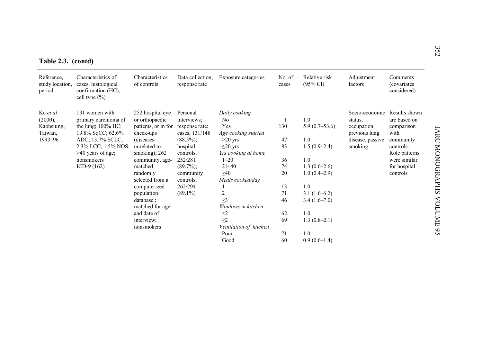|  |  | Table 2.3. (contd) |
|--|--|--------------------|
|  |  |                    |

| Table 2.3. (contd)                      |                                                                                      |                                |                                   |                        |                 |                                      |                       |                                        |
|-----------------------------------------|--------------------------------------------------------------------------------------|--------------------------------|-----------------------------------|------------------------|-----------------|--------------------------------------|-----------------------|----------------------------------------|
| Reference,<br>study location,<br>period | Characteristics of<br>cases, histological<br>confirmation (HC),<br>cell type $(\% )$ | Characteristics<br>of controls | Data collection.<br>response rate | Exposure categories    | No. of<br>cases | Relative risk<br>$(95\% \text{ CI})$ | Adjustment<br>factors | Comments<br>(covariates<br>considered) |
| Ko et al.                               | 131 women with                                                                       | 252 hospital eye               | Personal                          | Daily cooking          |                 |                                      | Socio-economic        | Results shown                          |
| (2000),                                 | primary carcinoma of                                                                 | or orthopaedic                 | interviews;                       | N <sub>0</sub>         |                 | 1.0                                  | status,               | are based on                           |
| Kaohsiung,                              | the lung; $100\%$ HC;                                                                | patients, or in for            | response rate:                    | Yes                    | 130             | $5.9(0.7-53.6)$                      | occupation,           | comparison                             |
| Taiwan,                                 | 19.8% SqCC; 62.6%                                                                    | check-ups                      | cases, 131/148                    | Age cooking started    |                 |                                      | previous lung         | with                                   |
| 1993-96                                 | ADC; 13.7% SCLC;                                                                     | (diseases)                     | $(88.5\%)$ ;                      | $>20$ yrs              | 47              | 1.0                                  | disease, passive      | community                              |
|                                         | 2.3% LCC; 1.5% NOS;                                                                  | unrelated to                   | hospital                          | $\leq$ 20 yrs          | 83              | $1.5(0.9-2.4)$                       | smoking               | controls.                              |
|                                         | $>40$ years of age;                                                                  | smoking); $262$                | controls.                         | Yrs cooking at home    |                 |                                      |                       | Role patterns                          |
|                                         | nonsmokers                                                                           | community, age-                | 252/281                           | $1 - 20$               | 36              | 1.0                                  |                       | were similar                           |
|                                         | ICD-9 $(162)$                                                                        | matched                        | $(89.7\%)$ ;                      | $21 - 40$              | 74              | $1.3(0.6-2.6)$                       |                       | for hospital                           |
|                                         |                                                                                      | randomly                       | community                         | $\geq 40$              | 20              | $1.0(0.4-2.9)$                       |                       | controls                               |
|                                         |                                                                                      | selected from a                | controls.                         | Meals cooked/day       |                 |                                      |                       |                                        |
|                                         |                                                                                      | computerized                   | 262/294                           |                        | 13              | 1.0                                  |                       |                                        |
|                                         |                                                                                      | population                     | $(89.1\%)$                        | 2                      | 71              | $3.1(1.6-6.2)$                       |                       |                                        |
|                                         |                                                                                      | database.:                     |                                   | >3                     | 46              | $3.4(1.6-7.0)$                       |                       |                                        |
|                                         |                                                                                      | matched for age                |                                   | Windows in kitchen     |                 |                                      |                       |                                        |
|                                         |                                                                                      | and date of                    |                                   | $\leq$                 | 62              | 1.0                                  |                       |                                        |
|                                         |                                                                                      | interview;                     |                                   | >2                     | 69              | $1.3(0.8-2.1)$                       |                       |                                        |
|                                         |                                                                                      | nonsmokers                     |                                   | Ventilation of kitchen |                 |                                      |                       |                                        |
|                                         |                                                                                      |                                |                                   | Poor                   | 71              | 1.0                                  |                       |                                        |
|                                         |                                                                                      |                                |                                   | Good                   | 60              | $0.9(0.6-1.4)$                       |                       |                                        |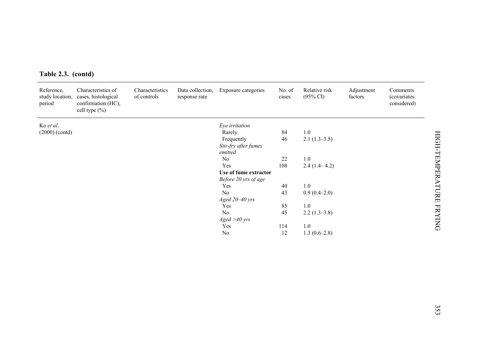| Reference,<br>period | Characteristics of<br>study location, cases, histological<br>confirmation (HC),<br>cell type (%) | Characteristics<br>of controls | Data collection,<br>response rate | Exposure categories                           | No. of<br>cases | Relative risk<br>$(95\% \text{ CI})$ | Adjustment<br>factors | Comments<br>(covariates<br>considered) |
|----------------------|--------------------------------------------------------------------------------------------------|--------------------------------|-----------------------------------|-----------------------------------------------|-----------------|--------------------------------------|-----------------------|----------------------------------------|
| Ko et al.            |                                                                                                  |                                |                                   | Eye irritation                                |                 |                                      |                       |                                        |
| $(2000)$ (contd)     |                                                                                                  |                                |                                   | Rarely<br>Frequently<br>Stir-fry after fumes  | 84<br>46        | $1.0\,$<br>$2.1(1.3-3.5)$            |                       |                                        |
|                      |                                                                                                  |                                |                                   | emitted<br>N <sub>o</sub>                     | 22              | 1.0                                  |                       |                                        |
|                      |                                                                                                  |                                |                                   | Yes                                           | 108             | $2.4(1.4-4.2)$                       |                       |                                        |
|                      |                                                                                                  |                                |                                   | Use of fume extractor<br>Before 20 yrs of age |                 |                                      |                       |                                        |
|                      |                                                                                                  |                                |                                   | Yes                                           | 40              | $1.0\,$                              |                       |                                        |
|                      |                                                                                                  |                                |                                   | No                                            | 43              | $0.9(0.4-2.0)$                       |                       |                                        |
|                      |                                                                                                  |                                |                                   | Aged 20-40 yrs                                |                 |                                      |                       |                                        |
|                      |                                                                                                  |                                |                                   | Yes<br>No                                     | 85<br>45        | 1.0<br>$2.2(1.3-3.8)$                |                       |                                        |
|                      |                                                                                                  |                                |                                   | Aged > 40 yrs                                 |                 |                                      |                       |                                        |
|                      |                                                                                                  |                                |                                   | Yes                                           | 114             | $1.0\,$                              |                       |                                        |
|                      |                                                                                                  |                                |                                   | No                                            | 12              | $1.3(0.6-2.8)$                       |                       |                                        |
|                      |                                                                                                  |                                |                                   |                                               |                 |                                      |                       |                                        |
|                      |                                                                                                  |                                |                                   |                                               |                 |                                      |                       |                                        |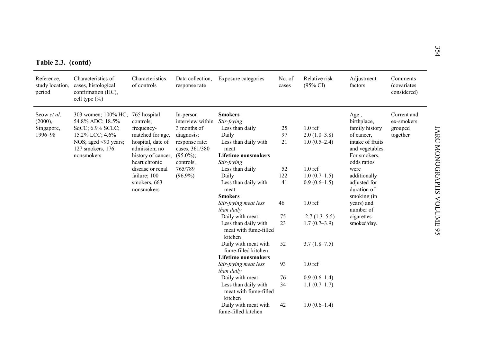|  | Table 2.3. (contd) |
|--|--------------------|
|  |                    |

| Reference,<br>study location,<br>period         | Characteristics of<br>cases, histological<br>confirmation (HC),<br>cell type $(\% )$                                                           | Characteristics<br>of controls                                                                                                           | Data collection.<br>response rate                                                                                           | Exposure categories                                                                                                                    | No. of<br>cases | Relative risk<br>$(95\% \text{ CI})$                  | Adjustment<br>factors                                                                                                     | Comments<br><i>(covariates)</i><br>considered)   |
|-------------------------------------------------|------------------------------------------------------------------------------------------------------------------------------------------------|------------------------------------------------------------------------------------------------------------------------------------------|-----------------------------------------------------------------------------------------------------------------------------|----------------------------------------------------------------------------------------------------------------------------------------|-----------------|-------------------------------------------------------|---------------------------------------------------------------------------------------------------------------------------|--------------------------------------------------|
| Seow et al.<br>(2000),<br>Singapore,<br>1996-98 | 303 women; 100% HC;<br>54.8% ADC; 18.5%<br>SqCC; 6.9% SCLC;<br>15.2% LCC; 4.6%<br>NOS; aged $\leq 90$ years;<br>127 smokers, 176<br>nonsmokers | 765 hospital<br>controls.<br>frequency-<br>matched for age,<br>hospital, date of<br>admission; no<br>history of cancer,<br>heart chronic | In-person<br>interview within<br>3 months of<br>diagnosis;<br>response rate:<br>cases, 361/380<br>$(95.0\%)$ ;<br>controls, | <b>Smokers</b><br>Stir-frying<br>Less than daily<br>Daily<br>Less than daily with<br>meat<br><b>Lifetime nonsmokers</b><br>Stir-frying | 25<br>97<br>21  | $1.0 \text{ ref}$<br>$2.0(1.0-3.8)$<br>$1.0(0.5-2.4)$ | Age,<br>birthplace,<br>family history<br>of cancer.<br>intake of fruits<br>and vegetables.<br>For smokers,<br>odds ratios | Current and<br>ex-smokers<br>grouped<br>together |
|                                                 |                                                                                                                                                | disease or renal<br>failure; 100<br>smokers, 663<br>nonsmokers                                                                           | 765/789<br>$(96.9\%)$                                                                                                       | Less than daily<br>Daily<br>Less than daily with<br>meat                                                                               | 52<br>122<br>41 | $1.0 \text{ ref}$<br>$1.0(0.7-1.5)$<br>$0.9(0.6-1.5)$ | were<br>additionally<br>adjusted for<br>duration of                                                                       |                                                  |
|                                                 |                                                                                                                                                |                                                                                                                                          |                                                                                                                             | <b>Smokers</b><br>Stir-frying meat less<br>than daily                                                                                  | 46              | $1.0 \text{ ref}$                                     | smoking (in<br>vears) and<br>number of                                                                                    |                                                  |
|                                                 |                                                                                                                                                |                                                                                                                                          |                                                                                                                             | Daily with meat<br>Less than daily with<br>meat with fume-filled<br>kitchen                                                            | 75<br>23        | $2.7(1.3-5.5)$<br>$1.7(0.7-3.9)$                      | cigarettes<br>smoked/day.                                                                                                 |                                                  |
|                                                 |                                                                                                                                                |                                                                                                                                          |                                                                                                                             | Daily with meat with<br>fume-filled kitchen<br><b>Lifetime nonsmokers</b>                                                              | 52              | $3.7(1.8-7.5)$                                        |                                                                                                                           |                                                  |
|                                                 |                                                                                                                                                |                                                                                                                                          |                                                                                                                             | Stir-frying meat less<br>than daily                                                                                                    | 93              | $1.0$ ref                                             |                                                                                                                           |                                                  |
|                                                 |                                                                                                                                                |                                                                                                                                          |                                                                                                                             | Daily with meat<br>Less than daily with<br>meat with fume-filled<br>kitchen                                                            | 76<br>34        | $0.9(0.6-1.4)$<br>$1.1(0.7-1.7)$                      |                                                                                                                           |                                                  |
|                                                 |                                                                                                                                                |                                                                                                                                          |                                                                                                                             | Daily with meat with<br>fume-filled kitchen                                                                                            | 42              | $1.0(0.6-1.4)$                                        |                                                                                                                           |                                                  |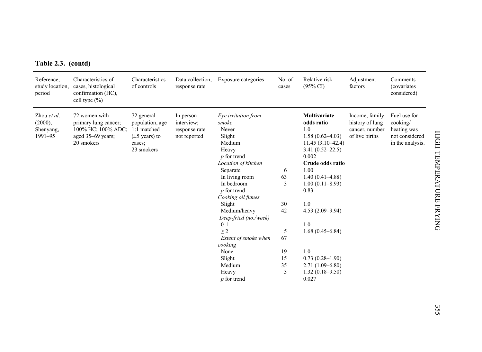| Table 2.3. (contd) |  |  |
|--------------------|--|--|
|--------------------|--|--|

| Reference,<br>study location,<br>period        | Characteristics of<br>cases, histological<br>confirmation (HC),<br>cell type $(\% )$           | Characteristics<br>of controls                                                                     | Data collection,<br>response rate                        | Exposure categories                                                                                                                                                                                                                                                                                                                                             | No. of<br>cases                                            | Relative risk<br>$(95\% \text{ CI})$                                                                                                                                                                                                                                                                                                              | Adjustment<br>factors                                                 | Comments<br><i>(covariates)</i><br>considered)                                |
|------------------------------------------------|------------------------------------------------------------------------------------------------|----------------------------------------------------------------------------------------------------|----------------------------------------------------------|-----------------------------------------------------------------------------------------------------------------------------------------------------------------------------------------------------------------------------------------------------------------------------------------------------------------------------------------------------------------|------------------------------------------------------------|---------------------------------------------------------------------------------------------------------------------------------------------------------------------------------------------------------------------------------------------------------------------------------------------------------------------------------------------------|-----------------------------------------------------------------------|-------------------------------------------------------------------------------|
| Zhou et al.<br>(2000),<br>Shenyang,<br>1991-95 | 72 women with<br>primary lung cancer;<br>100% HC; 100% ADC;<br>aged 35-69 years;<br>20 smokers | 72 general<br>population, age<br>1:1 matched<br>$(\pm 5 \text{ years})$ to<br>cases;<br>23 smokers | In person<br>interview;<br>response rate<br>not reported | Eye irritation from<br>smoke<br>Never<br>Slight<br>Medium<br>Heavy<br>$p$ for trend<br>Location of kitchen<br>Separate<br>In living room<br>In bedroom<br>$p$ for trend<br>Cooking oil fumes<br>Slight<br>Medium/heavy<br>Deep-fried (no./week)<br>$0 - 1$<br>$\geq$ 2<br>Extent of smoke when<br>cooking<br>None<br>Slight<br>Medium<br>Heavy<br>$p$ for trend | 6<br>63<br>3<br>30<br>42<br>5<br>67<br>19<br>15<br>35<br>3 | Multivariate<br>odds ratio<br>1.0<br>$1.58(0.62 - 4.03)$<br>$11.45(3.10-42.4)$<br>$3.41(0.52 - 22.5)$<br>0.002<br>Crude odds ratio<br>1.00<br>$1.40(0.41 - 4.88)$<br>$1.00(0.11 - 8.93)$<br>0.83<br>1.0<br>$4.53(2.09 - 9.94)$<br>1.0<br>$1.68(0.45 - 6.84)$<br>1.0<br>$0.73(0.28 - 1.90)$<br>$2.71(1.09 - 6.80)$<br>$1.32(0.18 - 9.50)$<br>0.027 | Income, family<br>history of lung<br>cancer, number<br>of live births | Fuel use for<br>cooking/<br>heating was<br>not considered<br>in the analysis. |
|                                                |                                                                                                |                                                                                                    |                                                          |                                                                                                                                                                                                                                                                                                                                                                 |                                                            |                                                                                                                                                                                                                                                                                                                                                   |                                                                       |                                                                               |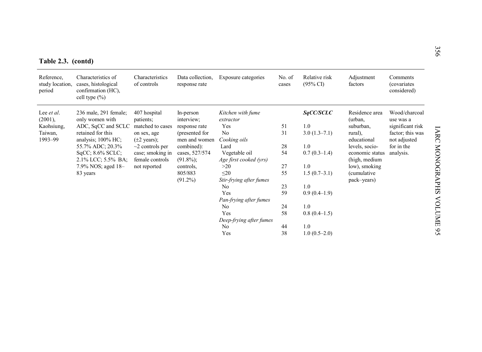|  | Table 2.3. (contd) |
|--|--------------------|
|--|--------------------|

| Table 2.3. (contd)                      |                                                                                      |                                           |                                   |                         |                 |                                      |                        |                                        | 356                  |
|-----------------------------------------|--------------------------------------------------------------------------------------|-------------------------------------------|-----------------------------------|-------------------------|-----------------|--------------------------------------|------------------------|----------------------------------------|----------------------|
| Reference,<br>study location,<br>period | Characteristics of<br>cases, histological<br>confirmation (HC),<br>cell type $(\% )$ | Characteristics<br>of controls            | Data collection,<br>response rate | Exposure categories     | No. of<br>cases | Relative risk<br>$(95\% \text{ CI})$ | Adjustment<br>factors  | Comments<br>(covariates<br>considered) |                      |
| Lee <i>et al</i> .                      | 236 male, 291 female;                                                                | 407 hospital                              | In-person                         | Kitchen with fume       |                 | SqCC/SCLC                            | Residence area         | Wood/charcoal                          |                      |
| (2001),                                 | only women with                                                                      | patients;                                 | interview;                        | extractor               |                 |                                      | (urban,                | use was a                              |                      |
| Kaohsiung,                              | ADC, SqCC and SCLC                                                                   | matched to cases                          | response rate                     | Yes                     | 51              | 1.0                                  | suburban,              | significant risk                       |                      |
| Taiwan,<br>1993-99                      | retained for this                                                                    | on sex, age                               | (presented for<br>men and women   | No                      | 31              | $3.0(1.3-7.1)$                       | rural),<br>educational | factor; this was                       | <b>LARC</b>          |
|                                         | analysis; 100% HC;<br>55.7% ADC; 20.3%                                               | $(\pm 2 \text{ years})$ ;                 | combined):                        | Cooking oils<br>Lard    | 28              | 1.0                                  | levels, socio-         | not adjusted<br>for in the             |                      |
|                                         | $SqCC$ ; $8.6\%$ SCLC;                                                               | $\sim$ 2 controls per<br>case; smoking in | cases, 527/574                    | Vegetable oil           | 54              | $0.7(0.3-1.4)$                       | economic status        | analysis.                              |                      |
|                                         | 2.1% LCC; 5.5% BA;                                                                   | female controls                           | $(91.8\%)$ ;                      | Age first cooked (yrs)  |                 |                                      | (high, medium          |                                        |                      |
|                                         | 7.9% NOS; aged 18-                                                                   | not reported                              | controls.                         | >20                     | 27              | 1.0                                  | low), smoking          |                                        |                      |
|                                         | 83 years                                                                             |                                           | 805/883                           | $\leq 20$               | 55              | $1.5(0.7-3.1)$                       | (cumulative)           |                                        |                      |
|                                         |                                                                                      |                                           | $(91.2\%)$                        | Stir-frying after fumes |                 |                                      | pack-years)            |                                        | <b>MONOGRAPHS</b>    |
|                                         |                                                                                      |                                           |                                   | No                      | 23              | 1.0                                  |                        |                                        |                      |
|                                         |                                                                                      |                                           |                                   | Yes                     | 59              | $0.9(0.4-1.9)$                       |                        |                                        |                      |
|                                         |                                                                                      |                                           |                                   | Pan-frying after fumes  |                 |                                      |                        |                                        |                      |
|                                         |                                                                                      |                                           |                                   | N <sub>0</sub>          | 24              | 1.0                                  |                        |                                        |                      |
|                                         |                                                                                      |                                           |                                   | Yes                     | 58              | $0.8(0.4-1.5)$                       |                        |                                        |                      |
|                                         |                                                                                      |                                           |                                   | Deep-frying after fumes |                 |                                      |                        |                                        | VOLUME <sub>95</sub> |
|                                         |                                                                                      |                                           |                                   | N <sub>0</sub>          | 44              | 1.0                                  |                        |                                        |                      |
|                                         |                                                                                      |                                           |                                   | Yes                     | 38              | $1.0(0.5-2.0)$                       |                        |                                        |                      |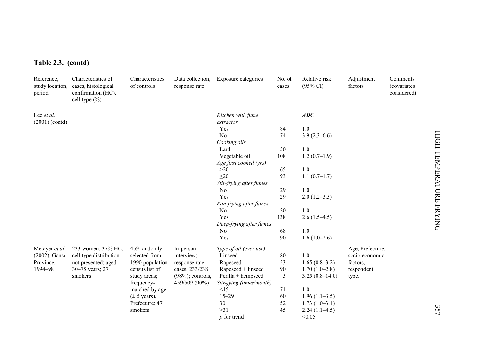| Table 2.3. (contd)             |                                                                                                      |                                |                                   |                                |                 |                                      |                       |                                                |
|--------------------------------|------------------------------------------------------------------------------------------------------|--------------------------------|-----------------------------------|--------------------------------|-----------------|--------------------------------------|-----------------------|------------------------------------------------|
| Reference,<br>period           | Characteristics of<br>study location, cases, histological<br>confirmation (HC),<br>cell type $(\% )$ | Characteristics<br>of controls | Data collection.<br>response rate | Exposure categories            | No. of<br>cases | Relative risk<br>$(95\% \text{ CI})$ | Adjustment<br>factors | Comments<br><i>(covariates)</i><br>considered) |
| Lee et al.<br>$(2001)$ (contd) |                                                                                                      |                                |                                   | Kitchen with fume<br>extractor |                 | ADC                                  |                       |                                                |
|                                |                                                                                                      |                                |                                   | Yes                            | 84              | 1.0                                  |                       |                                                |
|                                |                                                                                                      |                                |                                   | No                             | 74              | $3.9(2.3-6.6)$                       |                       |                                                |
|                                |                                                                                                      |                                |                                   | Cooking oils                   |                 |                                      |                       |                                                |
|                                |                                                                                                      |                                |                                   | Lard                           | 50              | $1.0\,$                              |                       |                                                |
|                                |                                                                                                      |                                |                                   | Vegetable oil                  | 108             | $1.2(0.7-1.9)$                       |                       |                                                |
|                                |                                                                                                      |                                |                                   | Age first cooked (yrs)         |                 |                                      |                       |                                                |
|                                |                                                                                                      |                                |                                   | >20                            | 65              | 1.0                                  |                       |                                                |
|                                |                                                                                                      |                                |                                   | $\leq 20$                      | 93              | $1.1(0.7-1.7)$                       |                       |                                                |
|                                |                                                                                                      |                                |                                   | Stir-frying after fumes        |                 |                                      |                       |                                                |
|                                |                                                                                                      |                                |                                   | N <sub>0</sub>                 | 29              | 1.0                                  |                       |                                                |
|                                |                                                                                                      |                                |                                   | Yes                            | 29              | $2.0(1.2-3.3)$                       |                       |                                                |
|                                |                                                                                                      |                                |                                   | Pan-frying after fumes         |                 |                                      |                       |                                                |
|                                |                                                                                                      |                                |                                   | No                             | 20              | 1.0                                  |                       |                                                |
|                                |                                                                                                      |                                |                                   | Yes                            | 138             | $2.6(1.5-4.5)$                       |                       |                                                |
|                                |                                                                                                      |                                |                                   | Deep-frying after fumes        |                 |                                      |                       |                                                |
|                                |                                                                                                      |                                |                                   | N <sub>0</sub>                 | 68              | 1.0                                  |                       |                                                |
|                                |                                                                                                      |                                |                                   | Yes                            | 90              | $1.6(1.0-2.6)$                       |                       |                                                |
| Metayer et al.                 | 233 women; 37% HC;                                                                                   | 459 randomly                   | In-person                         | Type of oil (ever use)         |                 |                                      | Age, Prefecture,      |                                                |
| $(2002)$ , Gansu               | cell type distribution                                                                               | selected from                  | interview;                        | Linseed                        | 80              | 1.0                                  | socio-economic        |                                                |
| Province,                      | not presented; aged                                                                                  | 1990 population                | response rate:                    | Rapeseed                       | 53              | $1.65(0.8-3.2)$                      | factors,              |                                                |
| 1994-98                        | 30-75 years; 27                                                                                      | census list of                 | cases, 233/238                    | Rapeseed + linseed             | 90              | $1.70(1.0-2.8)$                      | respondent            |                                                |
|                                | smokers                                                                                              | study areas;                   | $(98\%)$ ; controls,              | Perilla + hempseed             | 5               | $3.25(0.8-14.0)$                     | type.                 |                                                |
|                                |                                                                                                      | frequency-                     | 459/509 (90%)                     | Stir-fying (times/month)       |                 |                                      |                       |                                                |
|                                |                                                                                                      | matched by age                 |                                   | <15                            | 71              | 1.0                                  |                       |                                                |
|                                |                                                                                                      | $(\pm 5 \text{ years})$ ,      |                                   | $15 - 29$                      | 60              | $1.96(1.1-3.5)$                      |                       |                                                |
|                                |                                                                                                      | Prefecture; 47                 |                                   | 30                             | 52              | $1.73(1.0-3.1)$                      |                       |                                                |
|                                |                                                                                                      | smokers                        |                                   | $\geq$ 31                      | 45              | $2.24(1.1-4.5)$                      |                       |                                                |
|                                |                                                                                                      |                                |                                   | $p$ for trend                  |                 | < 0.05                               |                       |                                                |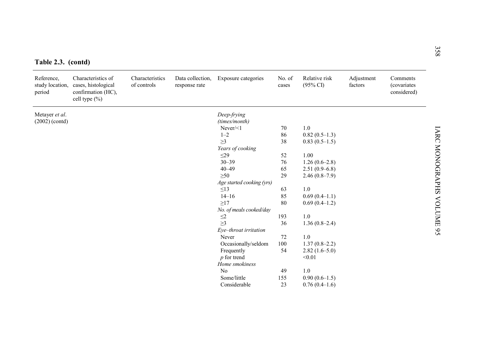| Table 2.3. (contd)                      |                                                                                  |                                |                                   |                           |                 |                                      |                       |                                        |
|-----------------------------------------|----------------------------------------------------------------------------------|--------------------------------|-----------------------------------|---------------------------|-----------------|--------------------------------------|-----------------------|----------------------------------------|
| Reference,<br>study location,<br>period | Characteristics of<br>cases, histological<br>confirmation (HC),<br>cell type (%) | Characteristics<br>of controls | Data collection,<br>response rate | Exposure categories       | No. of<br>cases | Relative risk<br>$(95\% \text{ CI})$ | Adjustment<br>factors | Comments<br>(covariates<br>considered) |
| Metayer et al.                          |                                                                                  |                                |                                   | Deep-frying               |                 |                                      |                       |                                        |
| $(2002)$ (contd)                        |                                                                                  |                                |                                   | (times/month)             |                 |                                      |                       |                                        |
|                                         |                                                                                  |                                |                                   | $Never \le 1$             | 70              | 1.0                                  |                       |                                        |
|                                         |                                                                                  |                                |                                   | $1 - 2$                   | 86              | $0.82(0.5-1.3)$                      |                       |                                        |
|                                         |                                                                                  |                                |                                   | $\geq$ 3                  | 38              | $0.83(0.5-1.5)$                      |                       |                                        |
|                                         |                                                                                  |                                |                                   | Years of cooking          |                 |                                      |                       |                                        |
|                                         |                                                                                  |                                |                                   | $\leq$ 29                 | 52              | 1.00                                 |                       |                                        |
|                                         |                                                                                  |                                |                                   | $30 - 39$                 | 76              | $1.26(0.6-2.8)$                      |                       |                                        |
|                                         |                                                                                  |                                |                                   | $40 - 49$                 | 65              | $2.51(0.9-6.8)$                      |                       |                                        |
|                                         |                                                                                  |                                |                                   | $\geq 50$                 | 29              | $2.46(0.8-7.9)$                      |                       |                                        |
|                                         |                                                                                  |                                |                                   | Age started cooking (yrs) |                 |                                      |                       |                                        |
|                                         |                                                                                  |                                |                                   | $\leq$ 13                 | 63              | 1.0                                  |                       |                                        |
|                                         |                                                                                  |                                |                                   | $14 - 16$                 | 85              | $0.69(0.4-1.1)$                      |                       |                                        |
|                                         |                                                                                  |                                |                                   | $\geq$ 17                 | 80              | $0.69(0.4-1.2)$                      |                       |                                        |
|                                         |                                                                                  |                                |                                   | No. of meals cooked/day   |                 |                                      |                       |                                        |
|                                         |                                                                                  |                                |                                   | $\leq\!\!2$               | 193             | 1.0                                  |                       |                                        |
|                                         |                                                                                  |                                |                                   | $\geq$ 3                  | 36              | $1.36(0.8-2.4)$                      |                       |                                        |
|                                         |                                                                                  |                                |                                   | Eye-throat irritation     |                 |                                      |                       |                                        |
|                                         |                                                                                  |                                |                                   | Never                     | 72              | 1.0                                  |                       |                                        |
|                                         |                                                                                  |                                |                                   | Occasionally/seldom       | 100             | $1.37(0.8-2.2)$                      |                       |                                        |
|                                         |                                                                                  |                                |                                   | Frequently                | 54              | $2.82(1.6-5.0)$                      |                       |                                        |
|                                         |                                                                                  |                                |                                   | $p$ for trend             |                 | < 0.01                               |                       |                                        |
|                                         |                                                                                  |                                |                                   | Home smokiness            |                 |                                      |                       |                                        |
|                                         |                                                                                  |                                |                                   | No                        | 49              | 1.0                                  |                       |                                        |
|                                         |                                                                                  |                                |                                   | Some/little               | 155             | $0.90(0.6-1.5)$                      |                       |                                        |
|                                         |                                                                                  |                                |                                   | Considerable              | 23              | $0.76(0.4-1.6)$                      |                       |                                        |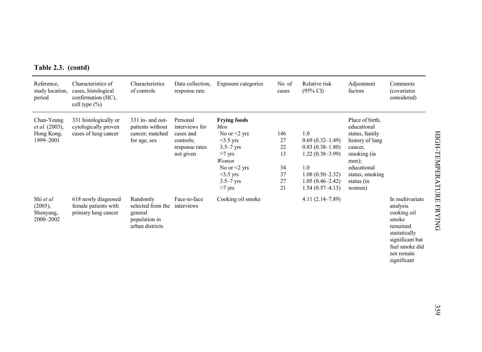|  |  | Table 2.3. (contd) |
|--|--|--------------------|
|--|--|--------------------|

| Table 2.3. (contd)                                      | Characteristics of                                                    | Characteristics                                                                         | Data collection.                                                                    |                                                                                                                                                                     | No. of                                        | Relative risk                                                                                                                                |                                                                                                                                                                  |                                                                                                                                                    |
|---------------------------------------------------------|-----------------------------------------------------------------------|-----------------------------------------------------------------------------------------|-------------------------------------------------------------------------------------|---------------------------------------------------------------------------------------------------------------------------------------------------------------------|-----------------------------------------------|----------------------------------------------------------------------------------------------------------------------------------------------|------------------------------------------------------------------------------------------------------------------------------------------------------------------|----------------------------------------------------------------------------------------------------------------------------------------------------|
| Reference,<br>study location,<br>period                 | cases, histological<br>confirmation (HC),<br>cell type $(\% )$        | of controls                                                                             | response rate                                                                       | Exposure categories                                                                                                                                                 | cases                                         | $(95\% \text{ CI})$                                                                                                                          | Adjustment<br>factors                                                                                                                                            | Comments<br><i>(covariates)</i><br>considered)                                                                                                     |
| Chan-Yeung<br>et al. (2003),<br>Hong Kong,<br>1999-2001 | 331 histologically or<br>cytologically proven<br>cases of lung cancer | 331 in- and out-<br>patients without<br>cancer; matched<br>for age, sex                 | Personal<br>interviews for<br>cases and<br>controls:<br>response rates<br>not given | <b>Frying foods</b><br>Men<br>No or $\leq$ yrs<br>$<$ 3.5 yrs<br>$3.5 - 7$ yrs<br>$>7$ yrs<br>Women<br>No or $\leq$ vrs<br>$<$ 3.5 yrs<br>$3.5 - 7$ yrs<br>$>7$ yrs | 146<br>27<br>22<br>13<br>34<br>37<br>27<br>21 | 1.0<br>$0.69(0.32 - 1.49)$<br>$0.83(0.38-1.80)$<br>$1.22(0.38-3.99)$<br>1.0<br>$1.08(0.50-2.32)$<br>$1.05(0.46 - 2.42)$<br>$1.54(0.57-4.13)$ | Place of birth,<br>educational<br>status, family<br>history of lung<br>cancer,<br>smoking (in<br>men);<br>educational<br>status, smoking<br>status (in<br>women) |                                                                                                                                                    |
| Shi et al<br>$(2005)$ ,<br>Shenyang,<br>2000-2002       | 618 newly diagnosed<br>female patients with<br>primary lung cancer    | Randomly<br>selected from the interviews<br>general<br>population in<br>urban districts | Face-to-face                                                                        | Cooking oil smoke                                                                                                                                                   |                                               | $4.11(2.14 - 7.89)$                                                                                                                          |                                                                                                                                                                  | In multivariate<br>analysis<br>cooking oil<br>smoke<br>remained<br>statistically<br>significant but<br>fuel smoke did<br>not remain<br>significant |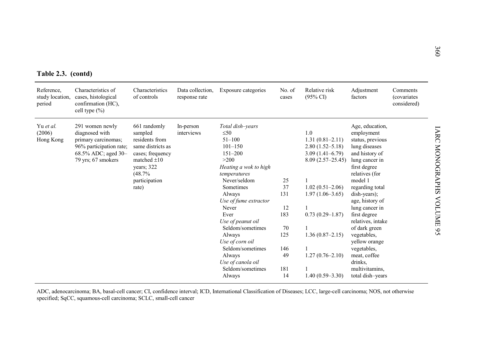| Table 2.3. (contd)                      |                                                                                                                                  |                                                                                                                                                          |                                   |                                                                                                                                                                                                                                                                                                                                                                    |                                                                     |                                                                                                                                                                                                                                          |                                                                                                                                                                                                                                                                                                                                                                                                   |                                        |  |  |  |
|-----------------------------------------|----------------------------------------------------------------------------------------------------------------------------------|----------------------------------------------------------------------------------------------------------------------------------------------------------|-----------------------------------|--------------------------------------------------------------------------------------------------------------------------------------------------------------------------------------------------------------------------------------------------------------------------------------------------------------------------------------------------------------------|---------------------------------------------------------------------|------------------------------------------------------------------------------------------------------------------------------------------------------------------------------------------------------------------------------------------|---------------------------------------------------------------------------------------------------------------------------------------------------------------------------------------------------------------------------------------------------------------------------------------------------------------------------------------------------------------------------------------------------|----------------------------------------|--|--|--|
| Reference,<br>study location,<br>period | Characteristics of<br>cases, histological<br>confirmation (HC),<br>cell type $(\% )$                                             | Characteristics<br>of controls                                                                                                                           | Data collection.<br>response rate | Exposure categories                                                                                                                                                                                                                                                                                                                                                | No. of<br>cases                                                     | Relative risk<br>$(95\% \text{ CI})$                                                                                                                                                                                                     | Adjustment<br>factors                                                                                                                                                                                                                                                                                                                                                                             | Comments<br>(covariates<br>considered) |  |  |  |
| Yu et al.<br>(2006)<br>Hong Kong        | 291 women newly<br>diagnosed with<br>primary carcinomas;<br>96% participation rate;<br>68.5% ADC; aged 30-<br>79 yrs; 67 smokers | 661 randomly<br>sampled<br>residents from<br>same districts as<br>cases; frequency<br>matched $\pm 10$<br>years; 322<br>(48.7%<br>participation<br>rate) | In-person<br>interviews           | Total dish-years<br>$\leq 50$<br>$51 - 100$<br>$101 - 150$<br>$151 - 200$<br>>200<br>Heating a wok to high<br>temperatures<br>Never/seldom<br>Sometimes<br>Always<br>Use of fume extractor<br>Never<br>Ever<br>Use of peanut oil<br>Seldom/sometimes<br>Always<br>Use of corn oil<br>Seldom/sometimes<br>Always<br>Use of canola oil<br>Seldom/sometimes<br>Always | 25<br>37<br>131<br>12<br>183<br>70<br>125<br>146<br>49<br>181<br>14 | 1.0<br>$1.31(0.81 - 2.11)$<br>$2.80(1.52 - 5.18)$<br>$3.09(1.41 - 6.79)$<br>$8.09(2.57 - 25.45)$<br>$1.02(0.51 - 2.06)$<br>$1.97(1.06 - 3.65)$<br>$0.73(0.29 - 1.87)$<br>$1.36(0.87-2.15)$<br>$1.27(0.76 - 2.10)$<br>$1.40(0.59 - 3.30)$ | Age, education,<br>employment<br>status, previous<br>lung diseases<br>and history of<br>lung cancer in<br>first degree<br>relatives (for<br>model 1<br>regarding total<br>dish-years);<br>age, history of<br>lung cancer in<br>first degree<br>relatives, intake<br>of dark green<br>vegetables,<br>yellow orange<br>vegetables,<br>meat, coffee<br>drinks.<br>multivitamins.<br>total dish-years |                                        |  |  |  |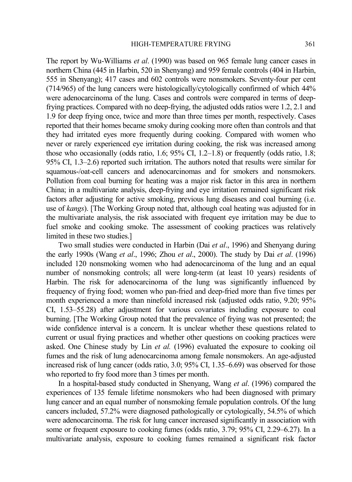The report by Wu-Williams *et al*. (1990) was based on 965 female lung cancer cases in northern China (445 in Harbin, 520 in Shenyang) and 959 female controls (404 in Harbin, 555 in Shenyang); 417 cases and 602 controls were nonsmokers. Seventy-four per cent (714/965) of the lung cancers were histologically/cytologically confirmed of which 44% were adenocarcinoma of the lung. Cases and controls were compared in terms of deepfrying practices. Compared with no deep-frying, the adjusted odds ratios were 1.2, 2.1 and 1.9 for deep frying once, twice and more than three times per month, respectively. Cases reported that their homes became smoky during cooking more often than controls and that they had irritated eyes more frequently during cooking. Compared with women who never or rarely experienced eye irritation during cooking, the risk was increased among those who occasionally (odds ratio, 1.6;  $95\%$  CI, 1.2–1.8) or frequently (odds ratio, 1.8; 95% CI, 1.3–2.6) reported such irritation. The authors noted that results were similar for squamous-/oat-cell cancers and adenocarcinomas and for smokers and nonsmokers. Pollution from coal burning for heating was a major risk factor in this area in northern China; in a multivariate analysis, deep-frying and eye irritation remained significant risk factors after adjusting for active smoking, previous lung diseases and coal burning (i.e. use of *kangs*). [The Working Group noted that, although coal heating was adjusted for in the multivariate analysis, the risk associated with frequent eye irritation may be due to fuel smoke and cooking smoke. The assessment of cooking practices was relatively limited in these two studies.]

Two small studies were conducted in Harbin (Dai *et al*., 1996) and Shenyang during the early 1990s (Wang *et al*., 1996; Zhou *et al*., 2000). The study by Dai *et al*. (1996) included 120 nonsmoking women who had adenocarcinoma of the lung and an equal number of nonsmoking controls; all were long-term (at least 10 years) residents of Harbin. The risk for adenocarcinoma of the lung was significantly influenced by frequency of frying food; women who pan-fried and deep-fried more than five times per month experienced a more than ninefold increased risk (adjusted odds ratio, 9.20; 95% CI, 1.53–55.28) after adjustment for various covariates including exposure to coal burning. [The Working Group noted that the prevalence of frying was not presented; the wide confidence interval is a concern. It is unclear whether these questions related to current or usual frying practices and whether other questions on cooking practices were asked. One Chinese study by Lin *et al.* (1996) evaluated the exposure to cooking oil fumes and the risk of lung adenocarcinoma among female nonsmokers. An age-adjusted increased risk of lung cancer (odds ratio, 3.0; 95% CI, 1.35–6.69) was observed for those who reported to fry food more than 3 times per month.

In a hospital-based study conducted in Shenyang, Wang *et al*. (1996) compared the experiences of 135 female lifetime nonsmokers who had been diagnosed with primary lung cancer and an equal number of nonsmoking female population controls. Of the lung cancers included, 57.2% were diagnosed pathologically or cytologically, 54.5% of which were adenocarcinoma. The risk for lung cancer increased significantly in association with some or frequent exposure to cooking fumes (odds ratio, 3.79; 95% CI, 2.29–6.27). In a multivariate analysis, exposure to cooking fumes remained a significant risk factor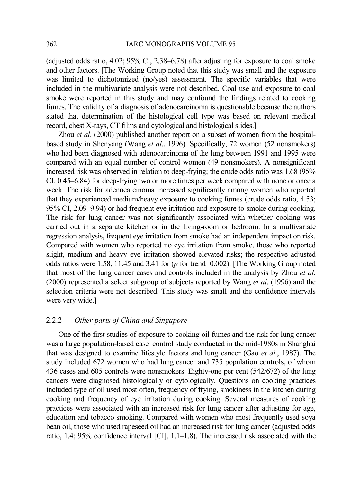(adjusted odds ratio, 4.02; 95% CI, 2.38–6.78) after adjusting for exposure to coal smoke and other factors. [The Working Group noted that this study was small and the exposure was limited to dichotomized (no/yes) assessment. The specific variables that were included in the multivariate analysis were not described. Coal use and exposure to coal smoke were reported in this study and may confound the findings related to cooking fumes. The validity of a diagnosis of adenocarcinoma is questionable because the authors stated that determination of the histological cell type was based on relevant medical record, chest X-rays, CT films and cytological and histological slides.]

Zhou *et al*. (2000) published another report on a subset of women from the hospitalbased study in Shenyang (Wang *et al*., 1996). Specifically, 72 women (52 nonsmokers) who had been diagnosed with adenocarcinoma of the lung between 1991 and 1995 were compared with an equal number of control women (49 nonsmokers). A nonsignificant increased risk was observed in relation to deep-frying; the crude odds ratio was 1.68 (95% CI, 0.45–6.84) for deep-frying two or more times per week compared with none or once a week. The risk for adenocarcinoma increased significantly among women who reported that they experienced medium/heavy exposure to cooking fumes (crude odds ratio, 4.53; 95% CI, 2.09–9.94) or had frequent eye irritation and exposure to smoke during cooking. The risk for lung cancer was not significantly associated with whether cooking was carried out in a separate kitchen or in the living-room or bedroom. In a multivariate regression analysis, frequent eye irritation from smoke had an independent impact on risk. Compared with women who reported no eye irritation from smoke, those who reported slight, medium and heavy eye irritation showed elevated risks; the respective adjusted odds ratios were 1.58, 11.45 and 3.41 for (*p* for trend=0.002). [The Working Group noted that most of the lung cancer cases and controls included in the analysis by Zhou *et al*. (2000) represented a select subgroup of subjects reported by Wang *et al*. (1996) and the selection criteria were not described. This study was small and the confidence intervals were very wide.]

## 2.2.2 *Other parts of China and Singapore*

One of the first studies of exposure to cooking oil fumes and the risk for lung cancer was a large population-based case–control study conducted in the mid-1980s in Shanghai that was designed to examine lifestyle factors and lung cancer (Gao *et al*., 1987). The study included 672 women who had lung cancer and 735 population controls, of whom 436 cases and 605 controls were nonsmokers. Eighty-one per cent (542/672) of the lung cancers were diagnosed histologically or cytologically. Questions on cooking practices included type of oil used most often, frequency of frying, smokiness in the kitchen during cooking and frequency of eye irritation during cooking. Several measures of cooking practices were associated with an increased risk for lung cancer after adjusting for age, education and tobacco smoking. Compared with women who most frequently used soya bean oil, those who used rapeseed oil had an increased risk for lung cancer (adjusted odds ratio, 1.4; 95% confidence interval [CI], 1.1–1.8). The increased risk associated with the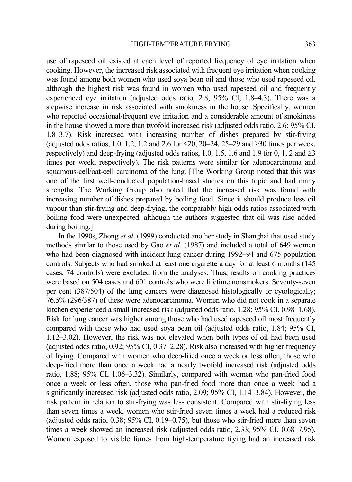use of rapeseed oil existed at each level of reported frequency of eye irritation when cooking. However, the increased risk associated with frequent eye irritation when cooking was found among both women who used soya bean oil and those who used rapeseed oil, although the highest risk was found in women who used rapeseed oil and frequently experienced eye irritation (adjusted odds ratio, 2.8; 95% CI, 1.8–4.3). There was a stepwise increase in risk associated with smokiness in the house. Specifically, women who reported occasional/frequent eye irritation and a considerable amount of smokiness in the house showed a more than twofold increased risk (adjusted odds ratio, 2.6; 95% CI, 1.8–3.7). Risk increased with increasing number of dishes prepared by stir-frying (adjusted odds ratios, 1.0, 1.2, 1.2 and 2.6 for ≤20, 20–24, 25–29 and ≥30 times per week, respectively) and deep-frying (adjusted odds ratios, 1.0, 1.5, 1.6 and 1.9 for 0, 1, 2 and  $\geq$ 3 times per week, respectively). The risk patterns were similar for adenocarcinoma and squamous-cell/oat-cell carcinoma of the lung. [The Working Group noted that this was one of the first well-conducted population-based studies on this topic and had many strengths. The Working Group also noted that the increased risk was found with increasing number of dishes prepared by boiling food. Since it should produce less oil vapour than stir-frying and deep-frying, the comparably high odds ratios associated with boiling food were unexpected, although the authors suggested that oil was also added during boiling.]

In the 1990s, Zhong *et al*. (1999) conducted another study in Shanghai that used study methods similar to those used by Gao *et al*. (1987) and included a total of 649 women who had been diagnosed with incident lung cancer during 1992–94 and 675 population controls. Subjects who had smoked at least one cigarette a day for at least 6 months (145 cases, 74 controls) were excluded from the analyses. Thus, results on cooking practices were based on 504 cases and 601 controls who were lifetime nonsmokers. Seventy-seven per cent (387/504) of the lung cancers were diagnosed histologically or cytologically; 76.5% (296/387) of these were adenocarcinoma. Women who did not cook in a separate kitchen experienced a small increased risk (adjusted odds ratio, 1.28; 95% CI, 0.98–1.68). Risk for lung cancer was higher among those who had used rapeseed oil most frequently compared with those who had used soya bean oil (adjusted odds ratio, 1.84; 95% CI, 1.12–3.02). However, the risk was not elevated when both types of oil had been used (adjusted odds ratio, 0.92; 95% CI, 0.37–2.28). Risk also increased with higher frequency of frying. Compared with women who deep-fried once a week or less often, those who deep-fried more than once a week had a nearly twofold increased risk (adjusted odds ratio, 1.88; 95% CI, 1.06–3.32). Similarly, compared with women who pan-fried food once a week or less often, those who pan-fried food more than once a week had a significantly increased risk (adjusted odds ratio, 2.09; 95% CI, 1.14–3.84). However, the risk pattern in relation to stir-frying was less consistent. Compared with stir-frying less than seven times a week, women who stir-fried seven times a week had a reduced risk (adjusted odds ratio, 0.38; 95% CI, 0.19–0.75), but those who stir-fried more than seven times a week showed an increased risk (adjusted odds ratio, 2.33; 95% CI, 0.68–7.95). Women exposed to visible fumes from high-temperature frying had an increased risk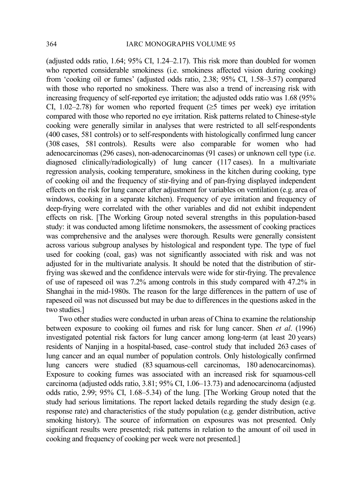(adjusted odds ratio, 1.64; 95% CI, 1.24–2.17). This risk more than doubled for women who reported considerable smokiness (i.e. smokiness affected vision during cooking) from 'cooking oil or fumes' (adjusted odds ratio, 2.38; 95% CI, 1.58–3.57) compared with those who reported no smokiness. There was also a trend of increasing risk with increasing frequency of self-reported eye irritation; the adjusted odds ratio was 1.68 (95% CI, 1.02–2.78) for women who reported frequent ( $\geq$ 5 times per week) eye irritation compared with those who reported no eye irritation. Risk patterns related to Chinese-style cooking were generally similar in analyses that were restricted to all self-respondents (400 cases, 581 controls) or to self-respondents with histologically confirmed lung cancer (308 cases, 581 controls). Results were also comparable for women who had adenocarcinomas (296 cases), non-adenocarcinomas (91 cases) or unknown cell type (i.e. diagnosed clinically/radiologically) of lung cancer (117 cases). In a multivariate regression analysis, cooking temperature, smokiness in the kitchen during cooking, type of cooking oil and the frequency of stir-frying and of pan-frying displayed independent effects on the risk for lung cancer after adjustment for variables on ventilation (e.g. area of windows, cooking in a separate kitchen). Frequency of eye irritation and frequency of deep-frying were correlated with the other variables and did not exhibit independent effects on risk. [The Working Group noted several strengths in this population-based study: it was conducted among lifetime nonsmokers, the assessment of cooking practices was comprehensive and the analyses were thorough. Results were generally consistent across various subgroup analyses by histological and respondent type. The type of fuel used for cooking (coal, gas) was not significantly associated with risk and was not adjusted for in the multivariate analysis. It should be noted that the distribution of stirfrying was skewed and the confidence intervals were wide for stir-frying. The prevalence of use of rapeseed oil was 7.2% among controls in this study compared with 47.2% in Shanghai in the mid-1980s. The reason for the large differences in the pattern of use of rapeseed oil was not discussed but may be due to differences in the questions asked in the two studies.]

Two other studies were conducted in urban areas of China to examine the relationship between exposure to cooking oil fumes and risk for lung cancer. Shen *et al*. (1996) investigated potential risk factors for lung cancer among long-term (at least 20 years) residents of Nanjing in a hospital-based, case–control study that included 263 cases of lung cancer and an equal number of population controls. Only histologically confirmed lung cancers were studied (83 squamous-cell carcinomas, 180 adenocarcinomas). Exposure to cooking fumes was associated with an increased risk for squamous-cell carcinoma (adjusted odds ratio, 3.81; 95% CI, 1.06–13.73) and adenocarcinoma (adjusted odds ratio, 2.99; 95% CI, 1.68–5.34) of the lung. [The Working Group noted that the study had serious limitations. The report lacked details regarding the study design (e.g. response rate) and characteristics of the study population (e.g. gender distribution, active smoking history). The source of information on exposures was not presented. Only significant results were presented; risk patterns in relation to the amount of oil used in cooking and frequency of cooking per week were not presented.]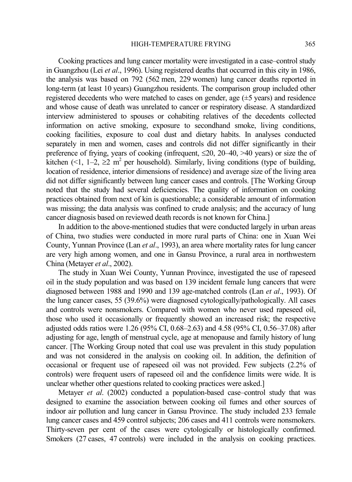Cooking practices and lung cancer mortality were investigated in a case–control study in Guangzhou (Lei *et al*., 1996). Using registered deaths that occurred in this city in 1986, the analysis was based on 792 (562 men, 229 women) lung cancer deaths reported in long-term (at least 10 years) Guangzhou residents. The comparison group included other registered decedents who were matched to cases on gender, age (±5 years) and residence and whose cause of death was unrelated to cancer or respiratory disease. A standardized interview administered to spouses or cohabiting relatives of the decedents collected information on active smoking, exposure to secondhand smoke, living conditions, cooking facilities, exposure to coal dust and dietary habits. In analyses conducted separately in men and women, cases and controls did not differ significantly in their preference of frying, years of cooking (infrequent,  $\leq 20$ , 20–40, >40 years) or size the of kitchen  $(1, 1-2, \ge 2 \text{ m}^2 \text{ per household})$ . Similarly, living conditions (type of building, location of residence, interior dimensions of residence) and average size of the living area did not differ significantly between lung cancer cases and controls. [The Working Group noted that the study had several deficiencies. The quality of information on cooking practices obtained from next of kin is questionable; a considerable amount of information was missing; the data analysis was confined to crude analysis; and the accuracy of lung cancer diagnosis based on reviewed death records is not known for China.]

In addition to the above-mentioned studies that were conducted largely in urban areas of China, two studies were conducted in more rural parts of China: one in Xuan Wei County, Yunnan Province (Lan *et al*., 1993), an area where mortality rates for lung cancer are very high among women, and one in Gansu Province, a rural area in northwestern China (Metayer *et al*., 2002).

The study in Xuan Wei County, Yunnan Province, investigated the use of rapeseed oil in the study population and was based on 139 incident female lung cancers that were diagnosed between 1988 and 1990 and 139 age-matched controls (Lan *et al*., 1993). Of the lung cancer cases, 55 (39.6%) were diagnosed cytologically/pathologically. All cases and controls were nonsmokers. Compared with women who never used rapeseed oil, those who used it occasionally or frequently showed an increased risk; the respective adjusted odds ratios were 1.26 (95% CI, 0.68–2.63) and 4.58 (95% CI, 0.56–37.08) after adjusting for age, length of menstrual cycle, age at menopause and family history of lung cancer. [The Working Group noted that coal use was prevalent in this study population and was not considered in the analysis on cooking oil. In addition, the definition of occasional or frequent use of rapeseed oil was not provided. Few subjects (2.2% of controls) were frequent users of rapeseed oil and the confidence limits were wide. It is unclear whether other questions related to cooking practices were asked.]

Metayer *et al*. (2002) conducted a population-based case–control study that was designed to examine the association between cooking oil fumes and other sources of indoor air pollution and lung cancer in Gansu Province. The study included 233 female lung cancer cases and 459 control subjects; 206 cases and 411 controls were nonsmokers. Thirty-seven per cent of the cases were cytologically or histologically confirmed. Smokers (27 cases, 47 controls) were included in the analysis on cooking practices.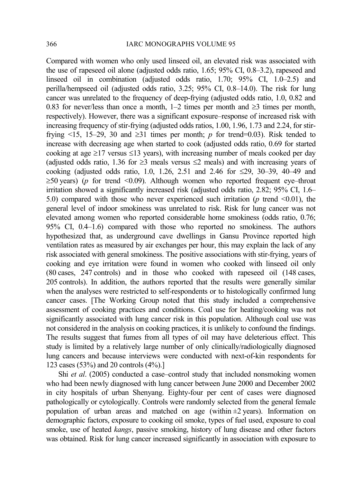Compared with women who only used linseed oil, an elevated risk was associated with the use of rapeseed oil alone (adjusted odds ratio, 1.65; 95% CI, 0.8–3.2), rapeseed and linseed oil in combination (adjusted odds ratio, 1.70; 95% CI, 1.0–2.5) and perilla/hempseed oil (adjusted odds ratio, 3.25; 95% CI, 0.8–14.0). The risk for lung cancer was unrelated to the frequency of deep-frying (adjusted odds ratio, 1.0, 0.82 and 0.83 for never/less than once a month,  $1-2$  times per month and  $\geq 3$  times per month, respectively). However, there was a significant exposure–response of increased risk with increasing frequency of stir-frying (adjusted odds ratios, 1.00, 1.96, 1.73 and 2.24, for stirfrying <15, 15–29, 30 and  $\geq$ 31 times per month; *p* for trend=0.03). Risk tended to increase with decreasing age when started to cook (adjusted odds ratio, 0.69 for started cooking at age  $\geq$ 17 versus ≤13 years), with increasing number of meals cooked per day (adjusted odds ratio, 1.36 for  $\geq$ 3 meals versus  $\leq$ 2 meals) and with increasing years of cooking (adjusted odds ratio, 1.0, 1.26, 2.51 and 2.46 for ≤29, 30–39, 40–49 and  $\geq$ 50 years) (*p* for trend <0.09). Although women who reported frequent eye–throat irritation showed a significantly increased risk (adjusted odds ratio, 2.82; 95% CI, 1.6– 5.0) compared with those who never experienced such irritation ( $p$  trend <0.01), the general level of indoor smokiness was unrelated to risk. Risk for lung cancer was not elevated among women who reported considerable home smokiness (odds ratio, 0.76; 95% CI, 0.4–1.6) compared with those who reported no smokiness. The authors hypothesized that, as underground cave dwellings in Gansu Province reported high ventilation rates as measured by air exchanges per hour, this may explain the lack of any risk associated with general smokiness. The positive associations with stir-frying, years of cooking and eye irritation were found in women who cooked with linseed oil only (80 cases, 247 controls) and in those who cooked with rapeseed oil (148 cases, 205 controls). In addition, the authors reported that the results were generally similar when the analyses were restricted to self-respondents or to histologically confirmed lung cancer cases. [The Working Group noted that this study included a comprehensive assessment of cooking practices and conditions. Coal use for heating/cooking was not significantly associated with lung cancer risk in this population. Although coal use was not considered in the analysis on cooking practices, it is unlikely to confound the findings. The results suggest that fumes from all types of oil may have deleterious effect. This study is limited by a relatively large number of only clinically/radiologically diagnosed lung cancers and because interviews were conducted with next-of-kin respondents for 123 cases (53%) and 20 controls (4%).]

Shi *et al.* (2005) conducted a case–control study that included nonsmoking women who had been newly diagnosed with lung cancer between June 2000 and December 2002 in city hospitals of urban Shenyang. Eighty-four per cent of cases were diagnosed pathologically or cytologically. Controls were randomly selected from the general female population of urban areas and matched on age (within  $\pm 2$  years). Information on demographic factors, exposure to cooking oil smoke, types of fuel used, exposure to coal smoke, use of heated *kangs*, passive smoking, history of lung disease and other factors was obtained. Risk for lung cancer increased significantly in association with exposure to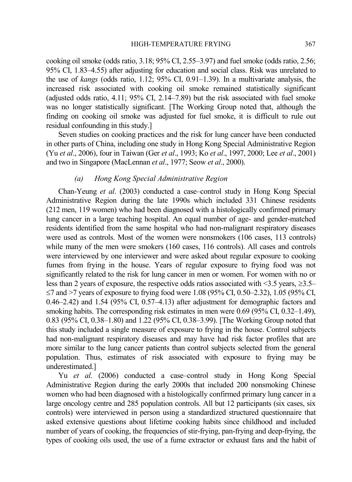cooking oil smoke (odds ratio, 3.18; 95% CI, 2.55–3.97) and fuel smoke (odds ratio, 2.56; 95% CI, 1.83–4.55) after adjusting for education and social class. Risk was unrelated to the use of *kangs* (odds ratio, 1.12; 95% CI, 0.91–1.39). In a multivariate analysis, the increased risk associated with cooking oil smoke remained statistically significant (adjusted odds ratio, 4.11; 95% CI, 2.14–7.89) but the risk associated with fuel smoke was no longer statistically significant. [The Working Group noted that, although the finding on cooking oil smoke was adjusted for fuel smoke, it is difficult to rule out residual confounding in this study.]

Seven studies on cooking practices and the risk for lung cancer have been conducted in other parts of China, including one study in Hong Kong Special Administrative Region (Yu *et al*., 2006), four in Taiwan (Ger *et al*., 1993; Ko *et al*., 1997, 2000; Lee *et al*., 2001) and two in Singapore (MacLennan *et al*., 1977; Seow *et al*., 2000).

## *(a) Hong Kong Special Administrative Region*

Chan-Yeung *et al*. (2003) conducted a case–control study in Hong Kong Special Administrative Region during the late 1990s which included 331 Chinese residents (212 men, 119 women) who had been diagnosed with a histologically confirmed primary lung cancer in a large teaching hospital. An equal number of age- and gender-matched residents identified from the same hospital who had non-malignant respiratory diseases were used as controls. Most of the women were nonsmokers (106 cases, 113 controls) while many of the men were smokers (160 cases, 116 controls). All cases and controls were interviewed by one interviewer and were asked about regular exposure to cooking fumes from frying in the house. Years of regular exposure to frying food was not significantly related to the risk for lung cancer in men or women. For women with no or less than 2 years of exposure, the respective odds ratios associated with <3.5 years, ≥3.5– ≤7 and >7 years of exposure to frying food were 1.08 (95% CI, 0.50–2.32), 1.05 (95% CI, 0.46–2.42) and 1.54 (95% CI, 0.57–4.13) after adjustment for demographic factors and smoking habits. The corresponding risk estimates in men were 0.69 (95% CI, 0.32–1.49), 0.83 (95% CI, 0.38–1.80) and 1.22 (95% CI, 0.38–3.99). [The Working Group noted that this study included a single measure of exposure to frying in the house. Control subjects had non-malignant respiratory diseases and may have had risk factor profiles that are more similar to the lung cancer patients than control subjects selected from the general population. Thus, estimates of risk associated with exposure to frying may be underestimated.]

Yu *et al*. (2006) conducted a case–control study in Hong Kong Special Administrative Region during the early 2000s that included 200 nonsmoking Chinese women who had been diagnosed with a histologically confirmed primary lung cancer in a large oncology centre and 285 population controls. All but 12 participants (six cases, six controls) were interviewed in person using a standardized structured questionnaire that asked extensive questions about lifetime cooking habits since childhood and included number of years of cooking, the frequencies of stir-frying, pan-frying and deep-frying, the types of cooking oils used, the use of a fume extractor or exhaust fans and the habit of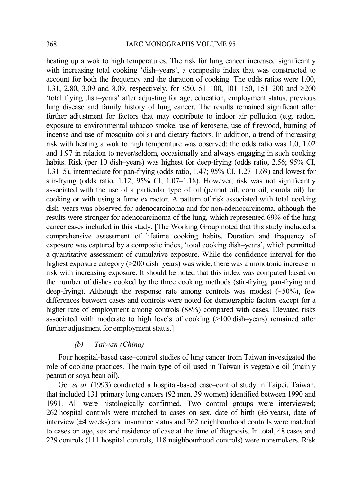heating up a wok to high temperatures. The risk for lung cancer increased significantly with increasing total cooking 'dish-years', a composite index that was constructed to account for both the frequency and the duration of cooking. The odds ratios were 1.00, 1.31, 2.80, 3.09 and 8.09, respectively, for ≤50, 51–100, 101–150, 151–200 and ≥200 'total frying dish–years' after adjusting for age, education, employment status, previous lung disease and family history of lung cancer. The results remained significant after further adjustment for factors that may contribute to indoor air pollution (e.g. radon, exposure to environmental tobacco smoke, use of kerosene, use of firewood, burning of incense and use of mosquito coils) and dietary factors. In addition, a trend of increasing risk with heating a wok to high temperature was observed; the odds ratio was 1.0, 1.02 and 1.97 in relation to never/seldom, occasionally and always engaging in such cooking habits. Risk (per 10 dish–years) was highest for deep-frying (odds ratio, 2.56; 95% CI, 1.31–5), intermediate for pan-frying (odds ratio, 1.47; 95% CI, 1.27–1.69) and lowest for stir-frying (odds ratio, 1.12; 95% CI, 1.07–1.18). However, risk was not significantly associated with the use of a particular type of oil (peanut oil, corn oil, canola oil) for cooking or with using a fume extractor. A pattern of risk associated with total cooking dish–years was observed for adenocarcinoma and for non-adenocarcinoma, although the results were stronger for adenocarcinoma of the lung, which represented 69% of the lung cancer cases included in this study. [The Working Group noted that this study included a comprehensive assessment of lifetime cooking habits. Duration and frequency of exposure was captured by a composite index, 'total cooking dish–years', which permitted a quantitative assessment of cumulative exposure. While the confidence interval for the highest exposure category (>200 dish–years) was wide, there was a monotonic increase in risk with increasing exposure. It should be noted that this index was computed based on the number of dishes cooked by the three cooking methods (stir-frying, pan-frying and deep-frying). Although the response rate among controls was modest  $(\sim 50\%)$ , few differences between cases and controls were noted for demographic factors except for a higher rate of employment among controls (88%) compared with cases. Elevated risks associated with moderate to high levels of cooking (>100 dish–years) remained after further adjustment for employment status.]

## *(b) Taiwan (China)*

Four hospital-based case–control studies of lung cancer from Taiwan investigated the role of cooking practices. The main type of oil used in Taiwan is vegetable oil (mainly peanut or soya bean oil).

Ger *et al*. (1993) conducted a hospital-based case–control study in Taipei, Taiwan, that included 131 primary lung cancers (92 men, 39 women) identified between 1990 and 1991. All were histologically confirmed. Two control groups were interviewed; 262 hospital controls were matched to cases on sex, date of birth  $(\pm 5 \text{ years})$ , date of interview (±4 weeks) and insurance status and 262 neighbourhood controls were matched to cases on age, sex and residence of case at the time of diagnosis. In total, 48 cases and 229 controls (111 hospital controls, 118 neighbourhood controls) were nonsmokers. Risk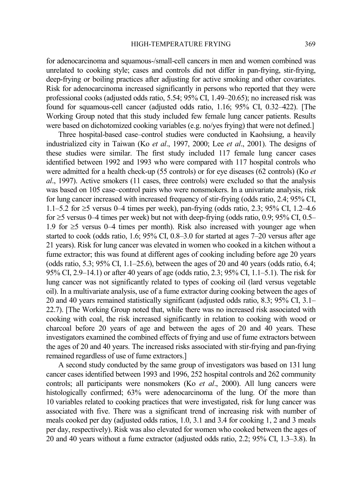for adenocarcinoma and squamous-/small-cell cancers in men and women combined was unrelated to cooking style; cases and controls did not differ in pan-frying, stir-frying, deep-frying or boiling practices after adjusting for active smoking and other covariates. Risk for adenocarcinoma increased significantly in persons who reported that they were professional cooks (adjusted odds ratio, 5.54; 95% CI, 1.49–20.65); no increased risk was found for squamous-cell cancer (adjusted odds ratio, 1.16; 95% CI, 0.32–422). [The Working Group noted that this study included few female lung cancer patients. Results were based on dichotomized cooking variables (e.g. no/yes frying) that were not defined.]

Three hospital-based case–control studies were conducted in Kaohsiung, a heavily industrialized city in Taiwan (Ko *et al*., 1997, 2000; Lee *et al*., 2001). The designs of these studies were similar. The first study included 117 female lung cancer cases identified between 1992 and 1993 who were compared with 117 hospital controls who were admitted for a health check-up (55 controls) or for eye diseases (62 controls) (Ko *et al*., 1997). Active smokers (11 cases, three controls) were excluded so that the analysis was based on 105 case–control pairs who were nonsmokers. In a univariate analysis, risk for lung cancer increased with increased frequency of stir-frying (odds ratio, 2.4; 95% CI, 1.1–5.2 for ≥5 versus 0–4 times per week), pan-frying (odds ratio, 2.3; 95% CI, 1.2–4.6 for  $\geq$ 5 versus 0–4 times per week) but not with deep-frying (odds ratio, 0.9; 95% CI, 0.5– 1.9 for ≥5 versus 0–4 times per month). Risk also increased with younger age when started to cook (odds ratio, 1.6; 95% CI, 0.8–3.0 for started at ages 7–20 versus after age 21 years). Risk for lung cancer was elevated in women who cooked in a kitchen without a fume extractor; this was found at different ages of cooking including before age 20 years (odds ratio, 5.3; 95% CI, 1.1–25.6), between the ages of 20 and 40 years (odds ratio, 6.4; 95% CI, 2.9–14.1) or after 40 years of age (odds ratio, 2.3; 95% CI, 1.1–5.1). The risk for lung cancer was not significantly related to types of cooking oil (lard versus vegetable oil). In a multivariate analysis, use of a fume extractor during cooking between the ages of 20 and 40 years remained statistically significant (adjusted odds ratio, 8.3; 95% CI, 3.1– 22.7). [The Working Group noted that, while there was no increased risk associated with cooking with coal, the risk increased significantly in relation to cooking with wood or charcoal before 20 years of age and between the ages of 20 and 40 years. These investigators examined the combined effects of frying and use of fume extractors between the ages of 20 and 40 years. The increased risks associated with stir-frying and pan-frying remained regardless of use of fume extractors.]

A second study conducted by the same group of investigators was based on 131 lung cancer cases identified between 1993 and 1996, 252 hospital controls and 262 community controls; all participants were nonsmokers (Ko *et al*., 2000). All lung cancers were histologically confirmed; 63% were adenocarcinoma of the lung. Of the more than 10 variables related to cooking practices that were investigated, risk for lung cancer was associated with five. There was a significant trend of increasing risk with number of meals cooked per day (adjusted odds ratios, 1.0, 3.1 and 3.4 for cooking 1, 2 and 3 meals per day, respectively). Risk was also elevated for women who cooked between the ages of 20 and 40 years without a fume extractor (adjusted odds ratio, 2.2; 95% CI, 1.3–3.8). In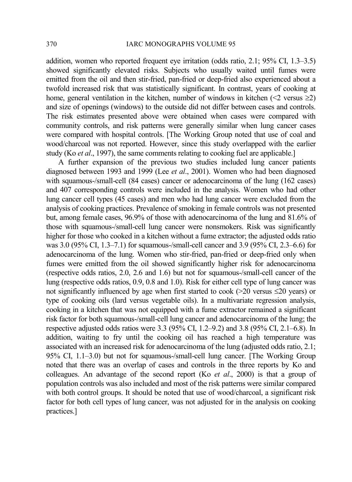addition, women who reported frequent eye irritation (odds ratio, 2.1; 95% CI, 1.3–3.5) showed significantly elevated risks. Subjects who usually waited until fumes were emitted from the oil and then stir-fried, pan-fried or deep-fried also experienced about a twofold increased risk that was statistically significant. In contrast, years of cooking at home, general ventilation in the kitchen, number of windows in kitchen  $(\leq 2 \text{ versus } \geq 2)$ and size of openings (windows) to the outside did not differ between cases and controls. The risk estimates presented above were obtained when cases were compared with community controls, and risk patterns were generally similar when lung cancer cases were compared with hospital controls. [The Working Group noted that use of coal and wood/charcoal was not reported. However, since this study overlapped with the earlier study (Ko *et al*., 1997), the same comments relating to cooking fuel are applicable.]

A further expansion of the previous two studies included lung cancer patients diagnosed between 1993 and 1999 (Lee *et al*., 2001). Women who had been diagnosed with squamous-/small-cell (84 cases) cancer or adenocarcinoma of the lung (162 cases) and 407 corresponding controls were included in the analysis. Women who had other lung cancer cell types (45 cases) and men who had lung cancer were excluded from the analysis of cooking practices. Prevalence of smoking in female controls was not presented but, among female cases, 96.9% of those with adenocarcinoma of the lung and 81.6% of those with squamous-/small-cell lung cancer were nonsmokers. Risk was significantly higher for those who cooked in a kitchen without a fume extractor; the adjusted odds ratio was 3.0 (95% CI, 1.3–7.1) for squamous-/small-cell cancer and 3.9 (95% CI, 2.3–6.6) for adenocarcinoma of the lung. Women who stir-fried, pan-fried or deep-fried only when fumes were emitted from the oil showed significantly higher risk for adenocarcinoma (respective odds ratios, 2.0, 2.6 and 1.6) but not for squamous-/small-cell cancer of the lung (respective odds ratios, 0.9, 0.8 and 1.0). Risk for either cell type of lung cancer was not significantly influenced by age when first started to cook ( $>$ 20 versus  $\leq$ 20 years) or type of cooking oils (lard versus vegetable oils). In a multivariate regression analysis, cooking in a kitchen that was not equipped with a fume extractor remained a significant risk factor for both squamous-/small-cell lung cancer and adenocarcinoma of the lung; the respective adjusted odds ratios were 3.3 (95% CI, 1.2–9.2) and 3.8 (95% CI, 2.1–6.8). In addition, waiting to fry until the cooking oil has reached a high temperature was associated with an increased risk for adenocarcinoma of the lung (adjusted odds ratio, 2.1; 95% CI, 1.1–3.0) but not for squamous-/small-cell lung cancer. [The Working Group noted that there was an overlap of cases and controls in the three reports by Ko and colleagues. An advantage of the second report (Ko *et al*., 2000) is that a group of population controls was also included and most of the risk patterns were similar compared with both control groups. It should be noted that use of wood/charcoal, a significant risk factor for both cell types of lung cancer, was not adjusted for in the analysis on cooking practices.]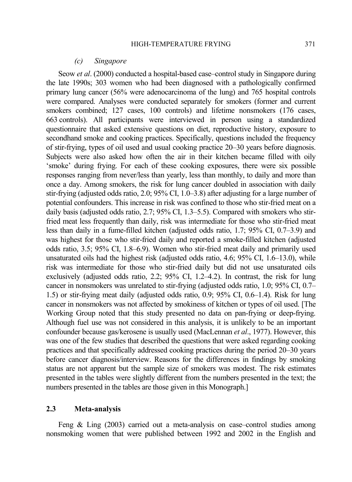### *(c) Singapore*

Seow *et al*. (2000) conducted a hospital-based case–control study in Singapore during the late 1990s; 303 women who had been diagnosed with a pathologically confirmed primary lung cancer (56% were adenocarcinoma of the lung) and 765 hospital controls were compared. Analyses were conducted separately for smokers (former and current smokers combined; 127 cases, 100 controls) and lifetime nonsmokers (176 cases, 663 controls). All participants were interviewed in person using a standardized questionnaire that asked extensive questions on diet, reproductive history, exposure to secondhand smoke and cooking practices. Specifically, questions included the frequency of stir-frying, types of oil used and usual cooking practice 20–30 years before diagnosis. Subjects were also asked how often the air in their kitchen became filled with oily 'smoke' during frying. For each of these cooking exposures, there were six possible responses ranging from never/less than yearly, less than monthly, to daily and more than once a day. Among smokers, the risk for lung cancer doubled in association with daily stir-frying (adjusted odds ratio, 2.0; 95% CI, 1.0–3.8) after adjusting for a large number of potential confounders. This increase in risk was confined to those who stir-fried meat on a daily basis (adjusted odds ratio, 2.7; 95% CI, 1.3–5.5). Compared with smokers who stirfried meat less frequently than daily, risk was intermediate for those who stir-fried meat less than daily in a fume-filled kitchen (adjusted odds ratio, 1.7; 95% CI, 0.7–3.9) and was highest for those who stir-fried daily and reported a smoke-filled kitchen (adjusted odds ratio, 3.5; 95% CI, 1.8–6.9). Women who stir-fried meat daily and primarily used unsaturated oils had the highest risk (adjusted odds ratio, 4.6; 95% CI, 1.6–13.0), while risk was intermediate for those who stir-fried daily but did not use unsaturated oils exclusively (adjusted odds ratio, 2.2; 95% CI, 1.2–4.2). In contrast, the risk for lung cancer in nonsmokers was unrelated to stir-frying (adjusted odds ratio, 1.0; 95% CI, 0.7– 1.5) or stir-frying meat daily (adjusted odds ratio, 0.9; 95% CI, 0.6–1.4). Risk for lung cancer in nonsmokers was not affected by smokiness of kitchen or types of oil used. [The Working Group noted that this study presented no data on pan-frying or deep-frying. Although fuel use was not considered in this analysis, it is unlikely to be an important confounder because gas/kerosene is usually used (MacLennan *et al*., 1977). However, this was one of the few studies that described the questions that were asked regarding cooking practices and that specifically addressed cooking practices during the period 20–30 years before cancer diagnosis/interview. Reasons for the differences in findings by smoking status are not apparent but the sample size of smokers was modest. The risk estimates presented in the tables were slightly different from the numbers presented in the text; the numbers presented in the tables are those given in this Monograph.]

## **2.3 Meta-analysis**

Feng & Ling (2003) carried out a meta-analysis on case–control studies among nonsmoking women that were published between 1992 and 2002 in the English and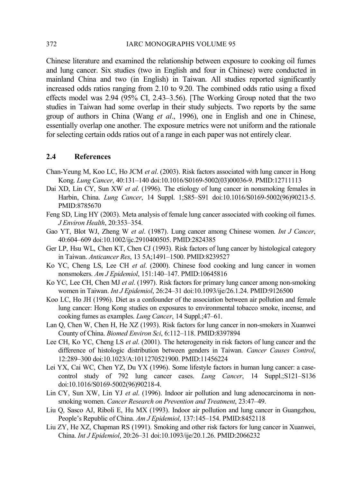Chinese literature and examined the relationship between exposure to cooking oil fumes and lung cancer. Six studies (two in English and four in Chinese) were conducted in mainland China and two (in English) in Taiwan. All studies reported significantly increased odds ratios ranging from 2.10 to 9.20. The combined odds ratio using a fixed effects model was 2.94 (95% CI, 2.43–3.56). [The Working Group noted that the two studies in Taiwan had some overlap in their study subjects. Two reports by the same group of authors in China (Wang *et al*., 1996), one in English and one in Chinese, essentially overlap one another. The exposure metrics were not uniform and the rationale for selecting certain odds ratios out of a range in each paper was not entirely clear.

## **2.4 References**

- Chan-Yeung M, Koo LC, Ho JCM *et al*. (2003). Risk factors associated with lung cancer in Hong Kong. *Lung Cancer*, 40:131–140 doi:10.1016/S0169-5002(03)00036-9. PMID:12711113
- Dai XD, Lin CY, Sun XW *et al*. (1996). The etiology of lung cancer in nonsmoking females in Harbin, China. *Lung Cancer*, 14 Suppl. 1;S85–S91 doi:10.1016/S0169-5002(96)90213-5. PMID:8785670
- Feng SD, Ling HY (2003). Meta analysis of female lung cancer associated with cooking oil fumes. *J Environ Health*, 20:353–354.
- Gao YT, Blot WJ, Zheng W *et al*. (1987). Lung cancer among Chinese women. *Int J Cancer*, 40:604–609 doi:10.1002/ijc.2910400505. PMID:2824385
- Ger LP, Hsu WL, Chen KT, Chen CJ (1993). Risk factors of lung cancer by histological category in Taiwan. *Anticancer Res*, 13 5A;1491–1500. PMID:8239527
- Ko YC, Cheng LS, Lee CH *et al*. (2000). Chinese food cooking and lung cancer in women nonsmokers. *Am J Epidemiol*, 151:140–147. PMID:10645816
- Ko YC, Lee CH, Chen MJ *et al*. (1997). Risk factors for primary lung cancer among non-smoking women in Taiwan. *Int J Epidemiol*, 26:24–31 doi:10.1093/ije/26.1.24. PMID:9126500
- Koo LC, Ho JH (1996). Diet as a confounder of the association between air pollution and female lung cancer: Hong Kong studies on exposures to environmental tobacco smoke, incense, and cooking fumes as examples. *Lung Cancer*, 14 Suppl.;47–61.
- Lan Q, Chen W, Chen H, He XZ (1993). Risk factors for lung cancer in non-smokers in Xuanwei County of China. *Biomed Environ Sci*, 6:112–118. PMID:8397894
- Lee CH, Ko YC, Cheng LS *et al*. (2001). The heterogeneity in risk factors of lung cancer and the difference of histologic distribution between genders in Taiwan. *Cancer Causes Control*, 12:289–300 doi:10.1023/A:1011270521900. PMID:11456224
- Lei YX, Cai WC, Chen YZ, Du YX (1996). Some lifestyle factors in human lung cancer: a casecontrol study of 792 lung cancer cases. *Lung Cancer*, 14 Suppl.;S121–S136 doi:10.1016/S0169-5002(96)90218-4.
- Lin CY, Sun XW, Lin YJ *et al*. (1996). Indoor air pollution and lung adenocarcinoma in nonsmoking women. *Cancer Research on Prevention and Treatment*, 23:47–49.
- Liu Q, Sasco AJ, Riboli E, Hu MX (1993). Indoor air pollution and lung cancer in Guangzhou, People's Republic of China. *Am J Epidemiol*, 137:145–154. PMID:8452118
- Liu ZY, He XZ, Chapman RS (1991). Smoking and other risk factors for lung cancer in Xuanwei, China. *Int J Epidemiol*, 20:26–31 doi:10.1093/ije/20.1.26. PMID:2066232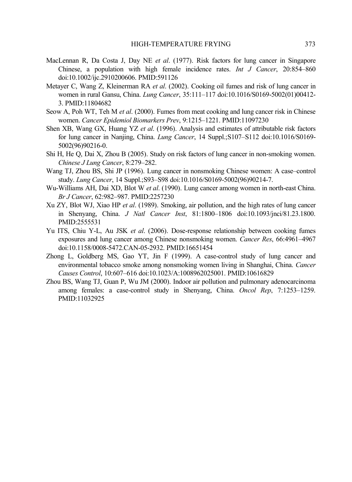- MacLennan R, Da Costa J, Day NE *et al*. (1977). Risk factors for lung cancer in Singapore Chinese, a population with high female incidence rates. *Int J Cancer*, 20:854–860 doi:10.1002/ijc.2910200606. PMID:591126
- Metayer C, Wang Z, Kleinerman RA *et al*. (2002). Cooking oil fumes and risk of lung cancer in women in rural Gansu, China. *Lung Cancer*, 35:111–117 doi:10.1016/S0169-5002(01)00412- 3. PMID:11804682
- Seow A, Poh WT, Teh M *et al*. (2000). Fumes from meat cooking and lung cancer risk in Chinese women. *Cancer Epidemiol Biomarkers Prev*, 9:1215–1221. PMID:11097230
- Shen XB, Wang GX, Huang YZ *et al*. (1996). Analysis and estimates of attributable risk factors for lung cancer in Nanjing, China. *Lung Cancer*, 14 Suppl.;S107–S112 doi:10.1016/S0169- 5002(96)90216-0.
- Shi H, He Q, Dai X, Zhou B (2005). Study on risk factors of lung cancer in non-smoking women. *Chinese J Lung Cancer*, 8:279–282.
- Wang TJ, Zhou BS, Shi JP (1996). Lung cancer in nonsmoking Chinese women: A case–control study. *Lung Cancer*, 14 Suppl.;S93–S98 doi:10.1016/S0169-5002(96)90214-7.
- Wu-Williams AH, Dai XD, Blot W *et al*. (1990). Lung cancer among women in north-east China. *Br J Cancer*, 62:982–987. PMID:2257230
- Xu ZY, Blot WJ, Xiao HP *et al*. (1989). Smoking, air pollution, and the high rates of lung cancer in Shenyang, China. *J Natl Cancer Inst*, 81:1800–1806 doi:10.1093/jnci/81.23.1800. PMID:2555531
- Yu ITS, Chiu Y-L, Au JSK *et al*. (2006). Dose-response relationship between cooking fumes exposures and lung cancer among Chinese nonsmoking women. *Cancer Res*, 66:4961–4967 doi:10.1158/0008-5472.CAN-05-2932. PMID:16651454
- Zhong L, Goldberg MS, Gao YT, Jin F (1999). A case-control study of lung cancer and environmental tobacco smoke among nonsmoking women living in Shanghai, China. *Cancer Causes Control*, 10:607–616 doi:10.1023/A:1008962025001. PMID:10616829
- Zhou BS, Wang TJ, Guan P, Wu JM (2000). Indoor air pollution and pulmonary adenocarcinoma among females: a case-control study in Shenyang, China. *Oncol Rep*, 7:1253–1259. PMID:11032925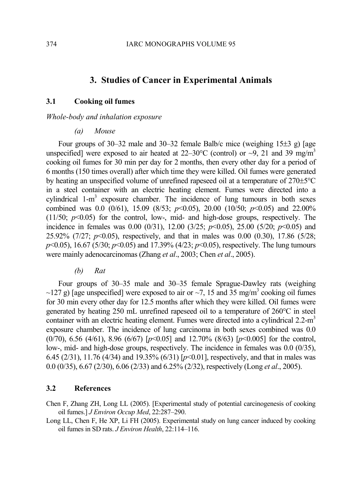# **3. Studies of Cancer in Experimental Animals**

## **3.1 Cooking oil fumes**

## *Whole-body and inhalation exposure*

*(a) Mouse* 

Four groups of 30–32 male and 30–32 female Balb/c mice (weighing 15±3 g) [age unspecified] were exposed to air heated at 22–30 $\degree$ C (control) or ~9, 21 and 39 mg/m<sup>3</sup> cooking oil fumes for 30 min per day for 2 months, then every other day for a period of 6 months (150 times overall) after which time they were killed. Oil fumes were generated by heating an unspecified volume of unrefined rapeseed oil at a temperature of 270±5°C in a steel container with an electric heating element. Fumes were directed into a cylindrical  $1-m^3$  exposure chamber. The incidence of lung tumours in both sexes combined was 0.0 (0/61), 15.09 (8/53; *p*<0.05), 20.00 (10/50; *p*<0.05) and 22.00%  $(11/50; p<0.05)$  for the control, low-, mid- and high-dose groups, respectively. The incidence in females was 0.00 (0/31), 12.00 (3/25; *p*<0.05), 25.00 (5/20; *p*<0.05) and 25.92% (7/27; *p*<0.05), respectively, and that in males was 0.00 (0.30), 17.86 (5/28; *p*<0.05), 16.67 (5/30; *p*<0.05) and 17.39% (4/23; *p*<0.05), respectively. The lung tumours were mainly adenocarcinomas (Zhang *et al*., 2003; Chen *et al*., 2005).

*(b) Rat* 

Four groups of 30–35 male and 30–35 female Sprague-Dawley rats (weighing  $\sim$ 127 g) [age unspecified] were exposed to air or  $\sim$ 7, 15 and 35 mg/m<sup>3</sup> cooking oil fumes for 30 min every other day for 12.5 months after which they were killed. Oil fumes were generated by heating 250 mL unrefined rapeseed oil to a temperature of 260°C in steel container with an electric heating element. Fumes were directed into a cylindrical 2.2-m<sup>3</sup> exposure chamber. The incidence of lung carcinoma in both sexes combined was 0.0 (0/70), 6.56 (4/61), 8.96 (6/67) [*p*<0.05] and 12.70% (8/63) [*p*<0.005] for the control, low-, mid- and high-dose groups, respectively. The incidence in females was 0.0 (0/35), 6.45 (2/31), 11.76 (4/34) and 19.35% (6/31) [*p*<0.01], respectively, and that in males was 0.0 (0/35), 6.67 (2/30), 6.06 (2/33) and 6.25% (2/32), respectively (Long *et al*., 2005).

## **3.2 References**

Chen F, Zhang ZH, Long LL (2005). [Experimental study of potential carcinogenesis of cooking oil fumes.] *J Environ Occup Med*, 22:287–290.

Long LL, Chen F, He XP, Li FH (2005). Experimental study on lung cancer induced by cooking oil fumes in SD rats. *J Environ Health*, 22:114–116.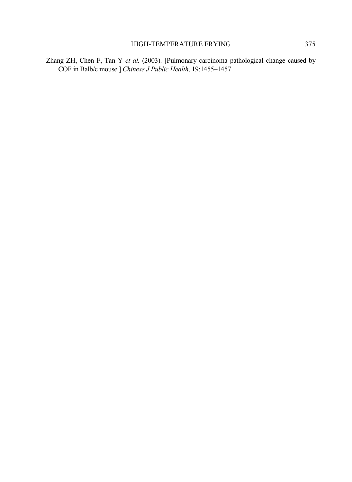Zhang ZH, Chen F, Tan Y *et al.* (2003). [Pulmonary carcinoma pathological change caused by COF in Balb/c mouse.] *Chinese J Public Health*, 19:1455–1457.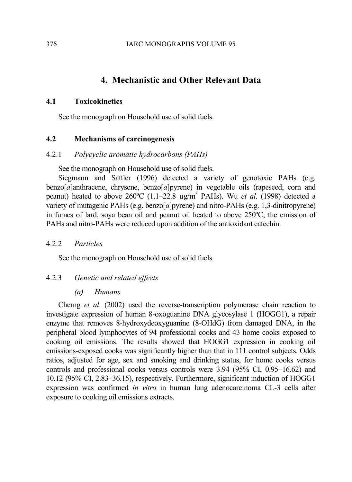# **4. Mechanistic and Other Relevant Data**

## **4.1 Toxicokinetics**

See the monograph on Household use of solid fuels.

## **4.2 Mechanisms of carcinogenesis**

## 4.2.1 *Polycyclic aromatic hydrocarbons (PAHs)*

See the monograph on Household use of solid fuels.

Siegmann and Sattler (1996) detected a variety of genotoxic PAHs (e.g. benzo[*a*]anthracene, chrysene, benzo[*a*]pyrene) in vegetable oils (rapeseed, corn and peanut) heated to above 260ºC (1.1–22.8 µg/m<sup>3</sup> PAHs). Wu *et al*. (1998) detected a variety of mutagenic PAHs (e.g. benzo[*a*]pyrene) and nitro-PAHs (e.g. 1,3-dinitropyrene) in fumes of lard, soya bean oil and peanut oil heated to above 250ºC; the emission of PAHs and nitro-PAHs were reduced upon addition of the antioxidant catechin.

## 4.2.2 *Particles*

See the monograph on Household use of solid fuels.

## 4.2.3 *Genetic and related effects*

## *(a) Humans*

Cherng *et al*. (2002) used the reverse-transcription polymerase chain reaction to investigate expression of human 8-oxoguanine DNA glycosylase 1 (HOGG1), a repair enzyme that removes 8-hydroxydeoxyguanine (8-OHdG) from damaged DNA, in the peripheral blood lymphocytes of 94 professional cooks and 43 home cooks exposed to cooking oil emissions. The results showed that HOGG1 expression in cooking oil emissions-exposed cooks was significantly higher than that in 111 control subjects. Odds ratios, adjusted for age, sex and smoking and drinking status, for home cooks versus controls and professional cooks versus controls were 3.94 (95% CI, 0.95–16.62) and 10.12 (95% CI, 2.83–36.15), respectively. Furthermore, significant induction of HOGG1 expression was confirmed *in vitro* in human lung adenocarcinoma CL-3 cells after exposure to cooking oil emissions extracts.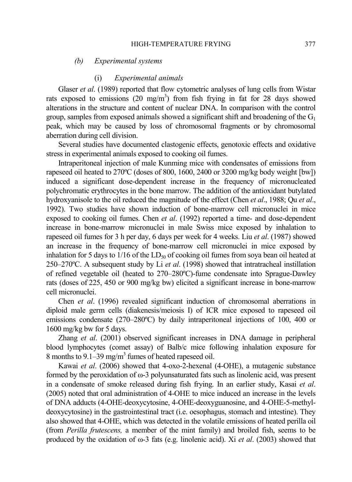## *(b) Experimental systems*

## (i) *Experimental animals*

Glaser *et al*. (1989) reported that flow cytometric analyses of lung cells from Wistar rats exposed to emissions  $(20 \text{ mg/m}^3)$  from fish frying in fat for 28 days showed alterations in the structure and content of nuclear DNA. In comparison with the control group, samples from exposed animals showed a significant shift and broadening of the  $G_1$ peak, which may be caused by loss of chromosomal fragments or by chromosomal aberration during cell division.

Several studies have documented clastogenic effects, genotoxic effects and oxidative stress in experimental animals exposed to cooking oil fumes.

Intraperitoneal injection of male Kunming mice with condensates of emissions from rapeseed oil heated to 270ºC (doses of 800, 1600, 2400 or 3200 mg/kg body weight [bw]) induced a significant dose-dependent increase in the frequency of micronucleated polychromatic erythrocytes in the bone marrow. The addition of the antioxidant butylated hydroxyanisole to the oil reduced the magnitude of the effect (Chen *et al*., 1988; Qu *et al*., 1992). Two studies have shown induction of bone-marrow cell micronuclei in mice exposed to cooking oil fumes. Chen *et al*. (1992) reported a time- and dose-dependent increase in bone-marrow micronuclei in male Swiss mice exposed by inhalation to rapeseed oil fumes for 3 h per day, 6 days per week for 4 weeks. Liu *et al*. (1987) showed an increase in the frequency of bone-marrow cell micronuclei in mice exposed by inhalation for 5 days to  $1/16$  of the LD<sub>50</sub> of cooking oil fumes from soya bean oil heated at 250–270ºC. A subsequent study by Li *et al*. (1998) showed that intratracheal instillation of refined vegetable oil (heated to 270–280ºC)-fume condensate into Sprague-Dawley rats (doses of 225, 450 or 900 mg/kg bw) elicited a significant increase in bone-marrow cell micronuclei.

Chen *et al*. (1996) revealed significant induction of chromosomal aberrations in diploid male germ cells (diakenesis/meiosis I) of ICR mice exposed to rapeseed oil emissions condensate (270–280ºC) by daily intraperitoneal injections of 100, 400 or 1600 mg/kg bw for 5 days.

Zhang *et al*. (2001) observed significant increases in DNA damage in peripheral blood lymphocytes (comet assay) of Balb/c mice following inhalation exposure for 8 months to 9.1–39 mg/m<sup>3</sup> fumes of heated rapeseed oil.

Kawai *et al*. (2006) showed that 4-oxo-2-hexenal (4-OHE), a mutagenic substance formed by the peroxidation of  $\omega$ -3 polyunsaturated fats such as linolenic acid, was present in a condensate of smoke released during fish frying. In an earlier study, Kasai *et al*. (2005) noted that oral administration of 4-OHE to mice induced an increase in the levels of DNA adducts (4-OHE-deoxycytosine, 4-OHE-deoxyguanosine, and 4-OHE-5-methyldeoxycytosine) in the gastrointestinal tract (i.e. oesophagus, stomach and intestine). They also showed that 4-OHE, which was detected in the volatile emissions of heated perilla oil (from *Perilla frutescens,* a member of the mint family) and broiled fish, seems to be produced by the oxidation of ω-3 fats (e.g. linolenic acid). Xi *et al*. (2003) showed that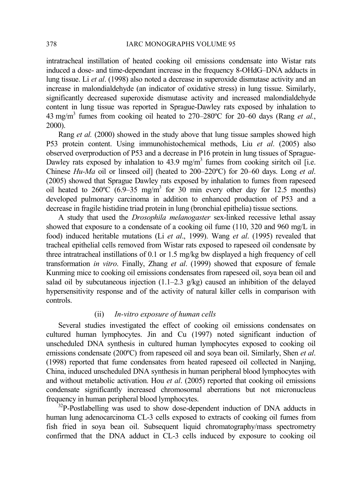intratracheal instillation of heated cooking oil emissions condensate into Wistar rats induced a dose- and time-dependant increase in the frequency 8-OHdG–DNA adducts in lung tissue. Li *et al*. (1998) also noted a decrease in superoxide dismutase activity and an increase in malondialdehyde (an indicator of oxidative stress) in lung tissue. Similarly, significantly decreased superoxide dismutase activity and increased malondialdehyde content in lung tissue was reported in Sprague-Dawley rats exposed by inhalation to 43 mg/m<sup>3</sup> fumes from cooking oil heated to 270–280ºC for 20–60 days (Rang *et al.*, 2000).

Rang *et al.* (2000) showed in the study above that lung tissue samples showed high P53 protein content. Using immunohistochemical methods, Liu *et al*. (2005) also observed overproduction of P53 and a decrease in P16 protein in lung tissues of Sprague-Dawley rats exposed by inhalation to  $43.9 \text{ mg/m}^3$  fumes from cooking siritch oil [i.e. Chinese *Hu-Ma* oil or linseed oil] (heated to 200–220ºC) for 20–60 days. Long *et al*. (2005) showed that Sprague Dawley rats exposed by inhalation to fumes from rapeseed oil heated to  $260^{\circ}C$  (6.9–35 mg/m<sup>3</sup> for 30 min every other day for 12.5 months) developed pulmonary carcinoma in addition to enhanced production of P53 and a decrease in fragile histidine triad protein in lung (bronchial epithelia) tissue sections.

A study that used the *Drosophila melanogaster* sex-linked recessive lethal assay showed that exposure to a condensate of a cooking oil fume (110, 320 and 960 mg/L in food) induced heritable mutations (Li *et al*., 1999). Wang *et al*. (1995) revealed that tracheal epithelial cells removed from Wistar rats exposed to rapeseed oil condensate by three intratracheal instillations of 0.1 or 1.5 mg/kg bw displayed a high frequency of cell transformation *in vitro*. Finally, Zhang *et al*. (1999) showed that exposure of female Kunming mice to cooking oil emissions condensates from rapeseed oil, soya bean oil and salad oil by subcutaneous injection (1.1–2.3 g/kg) caused an inhibition of the delayed hypersensitivity response and of the activity of natural killer cells in comparison with controls.

## (ii) *In-vitro exposure of human cells*

Several studies investigated the effect of cooking oil emissions condensates on cultured human lymphocytes. Jin and Cu (1997) noted significant induction of unscheduled DNA synthesis in cultured human lymphocytes exposed to cooking oil emissions condensate (200ºC) from rapeseed oil and soya bean oil. Similarly, Shen *et al*. (1998) reported that fume condensates from heated rapeseed oil collected in Nanjing, China, induced unscheduled DNA synthesis in human peripheral blood lymphocytes with and without metabolic activation. Hou *et al*. (2005) reported that cooking oil emissions condensate significantly increased chromosomal aberrations but not micronucleus frequency in human peripheral blood lymphocytes.

 $32P$ -Postlabelling was used to show dose-dependent induction of DNA adducts in human lung adenocarcinoma CL-3 cells exposed to extracts of cooking oil fumes from fish fried in soya bean oil. Subsequent liquid chromatography/mass spectrometry confirmed that the DNA adduct in CL-3 cells induced by exposure to cooking oil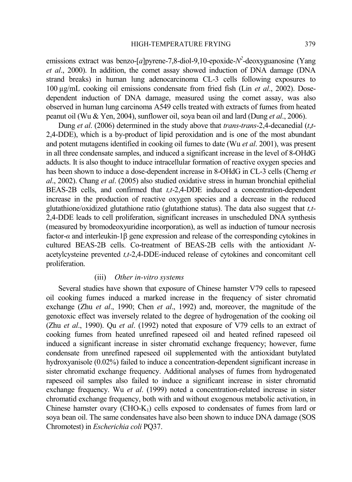emissions extract was benzo-[*a*]pyrene-7,8-diol-9,10-epoxide- $N^2$ -deoxyguanosine (Yang *et al*., 2000). In addition, the comet assay showed induction of DNA damage (DNA strand breaks) in human lung adenocarcinoma CL-3 cells following exposures to 100 µg/mL cooking oil emissions condensate from fried fish (Lin *et al*., 2002). Dosedependent induction of DNA damage, measured using the comet assay, was also observed in human lung carcinoma A549 cells treated with extracts of fumes from heated peanut oil (Wu & Yen, 2004), sunflower oil, soya bean oil and lard (Dung *et al*., 2006).

Dung *et al*. (2006) determined in the study above that *trans*-*trans*-2,4-decanedial (*t*,*t*-2,4-DDE), which is a by-product of lipid peroxidation and is one of the most abundant and potent mutagens identified in cooking oil fumes to date (Wu *et al*. 2001), was present in all three condensate samples, and induced a significant increase in the level of 8-OHdG adducts. It is also thought to induce intracellular formation of reactive oxygen species and has been shown to induce a dose-dependent increase in 8-OHdG in CL-3 cells (Cherng *et al*., 2002). Chang *et al*. (2005) also studied oxidative stress in human bronchial epithelial BEAS-2B cells, and confirmed that *t,t*-2,4-DDE induced a concentration-dependent increase in the production of reactive oxygen species and a decrease in the reduced glutathione/oxidized glutathione ratio (glutathione status). The data also suggest that *t,t*-2,4-DDE leads to cell proliferation, significant increases in unscheduled DNA synthesis (measured by bromodeoxyuridine incorporation), as well as induction of tumour necrosis factor-*α* and interleukin*-*1β gene expression and release of the corresponding cytokines in cultured BEAS-2B cells. Co-treatment of BEAS-2B cells with the antioxidant *N*acetylcysteine prevented *t,t*-2,4-DDE-induced release of cytokines and concomitant cell proliferation.

## (iii) *Other in-vitro systems*

Several studies have shown that exposure of Chinese hamster V79 cells to rapeseed oil cooking fumes induced a marked increase in the frequency of sister chromatid exchange (Zhu *et al*., 1990; Chen *et al*., 1992) and, moreover, the magnitude of the genotoxic effect was inversely related to the degree of hydrogenation of the cooking oil (Zhu *et al*., 1990). Qu *et al*. (1992) noted that exposure of V79 cells to an extract of cooking fumes from heated unrefined rapeseed oil and heated refined rapeseed oil induced a significant increase in sister chromatid exchange frequency; however, fume condensate from unrefined rapeseed oil supplemented with the antioxidant butylated hydroxyanisole (0.02%) failed to induce a concentration-dependent significant increase in sister chromatid exchange frequency. Additional analyses of fumes from hydrogenated rapeseed oil samples also failed to induce a significant increase in sister chromatid exchange frequency. Wu *et al*. (1999) noted a concentration-related increase in sister chromatid exchange frequency, both with and without exogenous metabolic activation, in Chinese hamster ovary  $(CHO-K<sub>1</sub>)$  cells exposed to condensates of fumes from lard or soya bean oil. The same condensates have also been shown to induce DNA damage (SOS Chromotest) in *Escherichia coli* PQ37.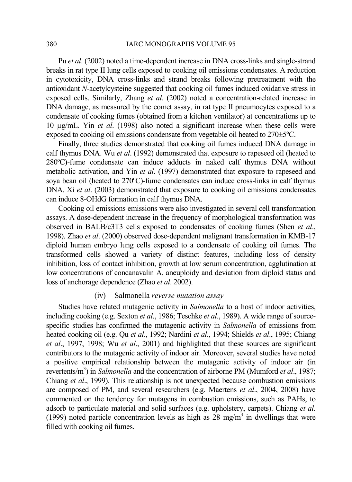### 380 IARC MONOGRAPHS VOLUME 95

Pu *et al*. (2002) noted a time-dependent increase in DNA cross-links and single-strand breaks in rat type II lung cells exposed to cooking oil emissions condensates. A reduction in cytotoxicity, DNA cross-links and strand breaks following pretreatment with the antioxidant *N*-acetylcysteine suggested that cooking oil fumes induced oxidative stress in exposed cells. Similarly, Zhang *et al*. (2002) noted a concentration-related increase in DNA damage, as measured by the comet assay, in rat type II pneumocytes exposed to a condensate of cooking fumes (obtained from a kitchen ventilator) at concentrations up to 10 µg/mL. Yin *et al*. (1998) also noted a significant increase when these cells were exposed to cooking oil emissions condensate from vegetable oil heated to 270±5ºC.

Finally, three studies demonstrated that cooking oil fumes induced DNA damage in calf thymus DNA. Wu *et al*. (1992) demonstrated that exposure to rapeseed oil (heated to 280ºC)-fume condensate can induce adducts in naked calf thymus DNA without metabolic activation, and Yin *et al*. (1997) demonstrated that exposure to rapeseed and soya bean oil (heated to 270ºC)-fume condensates can induce cross-links in calf thymus DNA. Xi *et al*. (2003) demonstrated that exposure to cooking oil emissions condensates can induce 8-OHdG formation in calf thymus DNA.

Cooking oil emissions emissions were also investigated in several cell transformation assays. A dose-dependent increase in the frequency of morphological transformation was observed in BALB/c3T3 cells exposed to condensates of cooking fumes (Shen *et al*., 1998). Zhao *et al*. (2000) observed dose-dependent malignant transformation in KMB-17 diploid human embryo lung cells exposed to a condensate of cooking oil fumes. The transformed cells showed a variety of distinct features, including loss of density inhibition, loss of contact inhibition, growth at low serum concentration, agglutination at low concentrations of concanavalin A, aneuploidy and deviation from diploid status and loss of anchorage dependence (Zhao *et al*. 2002).

## (iv) Salmonella *reverse mutation assay*

Studies have related mutagenic activity in *Salmonella* to a host of indoor activities, including cooking (e.g. Sexton *et al*., 1986; Teschke *et al*., 1989). A wide range of sourcespecific studies has confirmed the mutagenic activity in *Salmonella* of emissions from heated cooking oil (e.g. Qu *et al*., 1992; Nardini *et al*., 1994; Shields *et al*., 1995; Chiang *et al*., 1997, 1998; Wu *et al*., 2001) and highlighted that these sources are significant contributors to the mutagenic activity of indoor air. Moreover, several studies have noted a positive empirical relationship between the mutagenic activity of indoor air (in revertents/m<sup>3</sup>) in *Salmonella* and the concentration of airborne PM (Mumford *et al.*, 1987; Chiang *et al*., 1999). This relationship is not unexpected because combustion emissions are composed of PM, and several researchers (e.g. Maertens *et al*., 2004, 2008) have commented on the tendency for mutagens in combustion emissions, such as PAHs, to adsorb to particulate material and solid surfaces (e.g. upholstery, carpets). Chiang *et al*. (1999) noted particle concentration levels as high as  $28 \text{ mg/m}^3$  in dwellings that were filled with cooking oil fumes.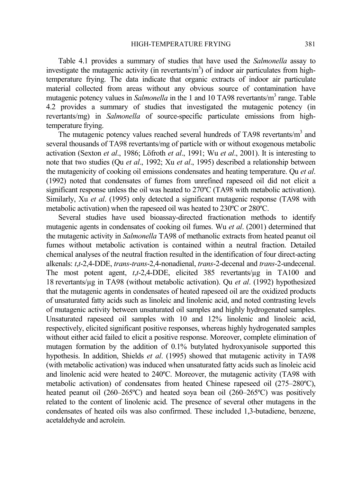Table 4.1 provides a summary of studies that have used the *Salmonella* assay to investigate the mutagenic activity (in revertants/ $m<sup>3</sup>$ ) of indoor air particulates from hightemperature frying. The data indicate that organic extracts of indoor air particulate material collected from areas without any obvious source of contamination have mutagenic potency values in *Salmonella* in the 1 and 10 TA98 revertants/m<sup>3</sup> range. Table 4.2 provides a summary of studies that investigated the mutagenic potency (in revertants/mg) in *Salmonella* of source-specific particulate emissions from hightemperature frying.

The mutagenic potency values reached several hundreds of TA98 revertants/m<sup>3</sup> and several thousands of TA98 revertants/mg of particle with or without exogenous metabolic activation (Sexton *et al*., 1986; Löfroth *et al*., 1991; Wu *et al*., 2001). It is interesting to note that two studies (Qu *et al*., 1992; Xu *et al*., 1995) described a relationship between the mutagenicity of cooking oil emissions condensates and heating temperature. Qu *et al*. (1992) noted that condensates of fumes from unrefined rapeseed oil did not elicit a significant response unless the oil was heated to 270ºC (TA98 with metabolic activation). Similarly, Xu *et al*. (1995) only detected a significant mutagenic response (TA98 with metabolic activation) when the rapeseed oil was heated to 230°C or 280°C.

Several studies have used bioassay-directed fractionation methods to identify mutagenic agents in condensates of cooking oil fumes. Wu *et al*. (2001) determined that the mutagenic activity in *Salmonella* TA98 of methanolic extracts from heated peanut oil fumes without metabolic activation is contained within a neutral fraction. Detailed chemical analyses of the neutral fraction resulted in the identification of four direct-acting alkenals: *t*,*t*-2,4-DDE, *trans*-*trans*-2,4-nonadienal, *trans*-2-decenal and *trans*-2-undecenal. The most potent agent, *t*,*t*-2,4-DDE, elicited 385 revertants/µg in TA100 and 18 revertants/µg in TA98 (without metabolic activation). Qu *et al*. (1992) hypothesized that the mutagenic agents in condensates of heated rapeseed oil are the oxidized products of unsaturated fatty acids such as linoleic and linolenic acid, and noted contrasting levels of mutagenic activity between unsaturated oil samples and highly hydrogenated samples. Unsaturated rapeseed oil samples with 10 and 12% linolenic and linoleic acid, respectively, elicited significant positive responses, whereas highly hydrogenated samples without either acid failed to elicit a positive response. Moreover, complete elimination of mutagen formation by the addition of 0.1% butylated hydroxyanisole supported this hypothesis. In addition, Shields *et al*. (1995) showed that mutagenic activity in TA98 (with metabolic activation) was induced when unsaturated fatty acids such as linoleic acid and linolenic acid were heated to 240ºC. Moreover, the mutagenic activity (TA98 with metabolic activation) of condensates from heated Chinese rapeseed oil (275–280ºC), heated peanut oil (260–265°C) and heated soya bean oil (260–265°C) was positively related to the content of linolenic acid. The presence of several other mutagens in the condensates of heated oils was also confirmed. These included 1,3-butadiene, benzene, acetaldehyde and acrolein.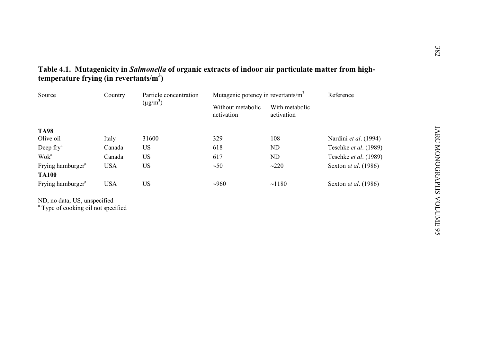| Source                                        | Country    | Particle concentration<br>$(\mu g/m^3)$ | Mutagenic potency in revertants/m <sup>3</sup> |                              | Reference                   |
|-----------------------------------------------|------------|-----------------------------------------|------------------------------------------------|------------------------------|-----------------------------|
|                                               |            |                                         | Without metabolic<br>activation                | With metabolic<br>activation |                             |
| <b>TA98</b>                                   |            |                                         |                                                |                              |                             |
| Olive oil                                     | Italy      | 31600                                   | 329                                            | 108                          | Nardini et al. (1994)       |
| Deep fry <sup>a</sup>                         | Canada     | <b>US</b>                               | 618                                            | ND                           | Teschke et al. (1989)       |
| Wok <sup>a</sup>                              | Canada     | US                                      | 617                                            | ND                           | Teschke et al. (1989)       |
| Frying hamburger <sup>a</sup><br><b>TA100</b> | <b>USA</b> | <b>US</b>                               | $\sim 50$                                      | $\sim$ 220                   | Sexton <i>et al.</i> (1986) |
| Frying hamburger <sup>a</sup>                 | <b>USA</b> | <b>US</b>                               | ~1000                                          | ~1180                        | Sexton <i>et al.</i> (1986) |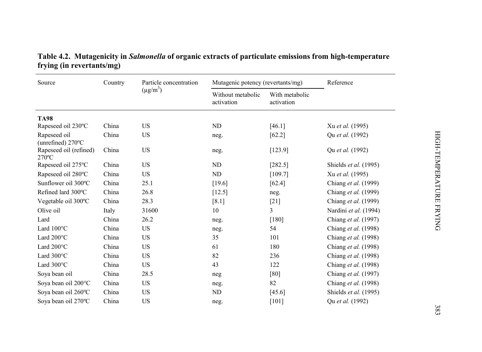| Source                                    | Country | Particle concentration<br>$(\mu g/m^3)$ | Mutagenic potency (revertants/mg) |                              | Reference             |
|-------------------------------------------|---------|-----------------------------------------|-----------------------------------|------------------------------|-----------------------|
|                                           |         |                                         | Without metabolic<br>activation   | With metabolic<br>activation |                       |
| <b>TA98</b>                               |         |                                         |                                   |                              |                       |
| Rapeseed oil 230°C                        | China   | <b>US</b>                               | ND                                | [46.1]                       | Xu et al. (1995)      |
| Rapeseed oil<br>(unrefined) 270°C         | China   | <b>US</b>                               | neg.                              | [62.2]                       | Qu et al. (1992)      |
| Rapeseed oil (refined)<br>$270^{\circ}$ C | China   | <b>US</b>                               | neg.                              | [123.9]                      | Qu et al. (1992)      |
| Rapeseed oil 275°C                        | China   | <b>US</b>                               | <b>ND</b>                         | [282.5]                      | Shields et al. (1995) |
| Rapeseed oil 280°C                        | China   | <b>US</b>                               | <b>ND</b>                         | [109.7]                      | Xu et al. (1995)      |
| Sunflower oil 300°C                       | China   | 25.1                                    | [19.6]                            | [62.4]                       | Chiang et al. (1999)  |
| Refined lard 300°C                        | China   | 26.8                                    | [12.5]                            | neg.                         | Chiang et al. (1999)  |
| Vegetable oil 300°C                       | China   | 28.3                                    | [8.1]                             | $[21]$                       | Chiang et al. (1999)  |
| Olive oil                                 | Italy   | 31600                                   | 10                                | 3                            | Nardini et al. (1994) |
| Lard                                      | China   | 26.2                                    | neg.                              | [180]                        | Chiang et al. (1997)  |
| Lard $100^{\circ}$ C                      | China   | <b>US</b>                               | neg.                              | 54                           | Chiang et al. (1998)  |
| Lard 200°C                                | China   | <b>US</b>                               | 35                                | 101                          | Chiang et al. (1998)  |
| Lard 200°C                                | China   | <b>US</b>                               | 61                                | 180                          | Chiang et al. (1998)  |
| Lard $300^{\circ}$ C                      | China   | <b>US</b>                               | 82                                | 236                          | Chiang et al. (1998)  |
| Lard 300°C                                | China   | <b>US</b>                               | 43                                | 122                          | Chiang et al. (1998)  |
| Sova bean oil                             | China   | 28.5                                    | neg                               | [80]                         | Chiang et al. (1997)  |
| Soya bean oil 200°C                       | China   | <b>US</b>                               | neg.                              | 82                           | Chiang et al. (1998)  |
| Soya bean oil 260°C                       | China   | <b>US</b>                               | ND                                | [45.6]                       | Shields et al. (1995) |
| Soya bean oil 270°C                       | China   | <b>US</b>                               | neg.                              | $[101]$                      | Qu et al. (1992)      |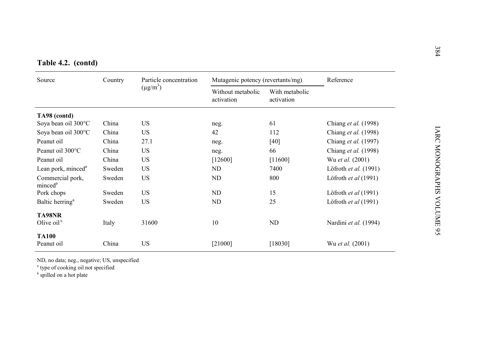|  | Table 4.2. (contd) |  |
|--|--------------------|--|

| Table 4.2. (contd)                      |         |                                         |                                   |                              |                             |  |
|-----------------------------------------|---------|-----------------------------------------|-----------------------------------|------------------------------|-----------------------------|--|
| Source                                  | Country | Particle concentration<br>$(\mu g/m^3)$ | Mutagenic potency (revertants/mg) |                              | Reference                   |  |
|                                         |         |                                         | Without metabolic<br>activation   | With metabolic<br>activation |                             |  |
| TA98 (contd)                            |         |                                         |                                   |                              |                             |  |
| Soya bean oil 300°C                     | China   | US.                                     | neg.                              | 61                           | Chiang <i>et al.</i> (1998) |  |
| Soya bean oil 300°C                     | China   | US.                                     | 42                                | 112                          | Chiang et al. (1998)        |  |
| Peanut oil                              | China   | 27.1                                    | neg.                              | $[40]$                       | Chiang et al. (1997)        |  |
| Peanut oil 300°C                        | China   | <b>US</b>                               | neg.                              | 66                           | Chiang <i>et al.</i> (1998) |  |
| Peanut oil                              | China   | US.                                     | [12600]                           | [11600]                      | Wu et al. (2001)            |  |
| Lean pork, minced <sup>a</sup>          | Sweden  | US                                      | ND                                | 7400                         | Löfroth et al. (1991)       |  |
| Commercial pork,<br>minced <sup>a</sup> | Sweden  | US.                                     | ND                                | 800                          | Löfroth et al (1991)        |  |
| Pork chops                              | Sweden  | US.                                     | ND                                | 15                           | Löfroth et al (1991)        |  |
| Baltic herring <sup>a</sup>             | Sweden  | US                                      | ND                                | 25                           | Löfroth et al (1991)        |  |
| TA98NR<br>Olive $oilb$                  | Italy   | 31600                                   | 10                                | ND                           | Nardini et al. (1994)       |  |
| <b>TA100</b>                            |         |                                         |                                   |                              |                             |  |
| Peanut oil                              | China   | US                                      | [21000]                           | [18030]                      | Wu et al. (2001)            |  |

ND, no data; neg., negative; US, unspecified

<sup>a</sup> type of cooking oil not specified

<sup>b</sup> spilled on a hot plate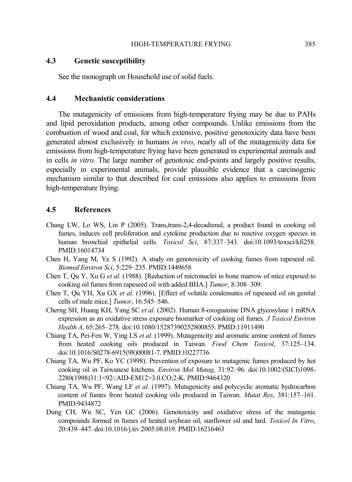### **4.3 Genetic susceptibility**

See the monograph on Household use of solid fuels.

### **4.4 Mechanistic considerations**

The mutagenicity of emissions from high-temperature frying may be due to PAHs and lipid peroxidation products, among other compounds. Unlike emissions from the combustion of wood and coal, for which extensive, positive genotoxicity data have been generated almost exclusively in humans *in vivo*, nearly all of the mutagenicity data for emissions from high-temperature frying have been generated in experimental animals and in cells *in vitro*. The large number of genotoxic end-points and largely positive results, especially in experimental animals, provide plausible evidence that a carcinogenic mechanism similar to that described for coal emissions also applies to emissions from high-temperature frying.

## **4.5 References**

- Chang LW, Lo WS, Lin P (2005). Trans,trans-2,4-decadienal, a product found in cooking oil fumes, induces cell proliferation and cytokine production due to reactive oxygen species in human bronchial epithelial cells. *Toxicol Sci*, 87:337–343. doi:10.1093/toxsci/kfi258. PMID:16014734
- Chen H, Yang M, Ye S (1992). A study on genotoxicity of cooking fumes from rapeseed oil. *Biomed Environ Sci*, 5:229–235. PMID:1449658
- Chen T, Qu Y, Xu G *et al*. (1988). [Reduction of micronuclei in bone marrow of mice exposed to cooking oil fumes from rapeseed oil with added BHA.] *Tumor*, 8:308–309.
- Chen T, Qu YH, Xu GX *et al*. (1996). [Effect of volatile condensates of rapeseed oil on genital cells of male mice.] *Tumor*, 16:545–546.
- Cherng SH, Huang KH, Yang SC *et al*. (2002). Human 8-oxoguanine DNA glycosylase 1 mRNA expression as an oxidative stress exposure biomarker of cooking oil fumes. *J Toxicol Environ Health A*, 65:265–278. doi:10.1080/15287390252800855. PMID:11911490
- Chiang TA, Pei-Fen W, Ying LS *et al*. (1999). Mutagenicity and aromatic amine content of fumes from heated cooking oils produced in Taiwan. *Food Chem Toxicol*, 37:125–134. doi:10.1016/S0278-6915(98)00081-7. PMID:10227736
- Chiang TA, Wu PF, Ko YC (1998). Prevention of exposure to mutagenic fumes produced by hot cooking oil in Taiwanese kitchens. *Environ Mol Mutag*, 31:92–96. doi:10.1002/(SICI)1098- 2280(1998)31:1<92::AID-EM12>3.0.CO;2-K. PMID:9464320
- Chiang TA, Wu PF, Wang LF *et al*. (1997). Mutagenicity and polycyclic aromatic hydrocarbon content of fumes from heated cooking oils produced in Taiwan. *Mutat Res*, 381:157–161. PMID:9434872
- Dung CH, Wu SC, Yen GC (2006). Genotoxicity and oxidative stress of the mutagenic compounds formed in fumes of heated soybean oil, sunflower oil and lard. *Toxicol In Vitro*, 20:439–447. doi:10.1016/j.tiv.2005.08.019. PMID:16216463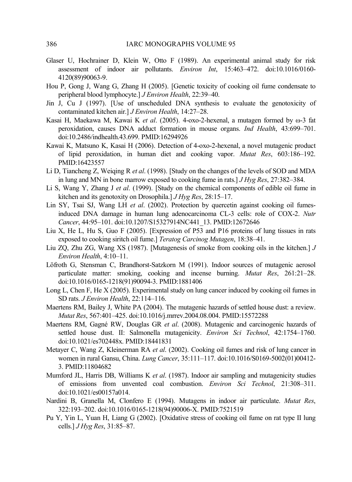- Glaser U, Hochrainer D, Klein W, Otto F (1989). An experimental animal study for risk assessment of indoor air pollutants. *Environ Int*, 15:463–472. doi:10.1016/0160- 4120(89)90063-9.
- Hou P, Gong J, Wang G, Zhang H (2005). [Genetic toxicity of cooking oil fume condensate to peripheral blood lymphocyte.] *J Environ Health*, 22:39–40.
- Jin J, Cu J (1997). [Use of unscheduled DNA synthesis to evaluate the genotoxicity of contaminated kitchen air.] *J Environ Health*, 14:27–28.
- Kasai H, Maekawa M, Kawai K *et al*. (2005). 4-oxo-2-hexenal, a mutagen formed by ω-3 fat peroxidation, causes DNA adduct formation in mouse organs. *Ind Health*, 43:699–701. doi:10.2486/indhealth.43.699. PMID:16294926
- Kawai K, Matsuno K, Kasai H (2006). Detection of 4-oxo-2-hexenal, a novel mutagenic product of lipid peroxidation, in human diet and cooking vapor. *Mutat Res*, 603:186–192. PMID:16423557
- Li D, Tiancheng Z, Weiqing R *et al*. (1998). [Study on the changes of the levels of SOD and MDA in lung and MN in bone marrow exposed to cooking fume in rats.] *J Hyg Res*, 27:382–384.
- Li S, Wang Y, Zhang J *et al*. (1999). [Study on the chemical components of edible oil fume in kitchen and its genotoxity on Drosophila.] *J Hyg Res*, 28:15–17.
- Lin SY, Tsai SJ, Wang LH *et al*. (2002). Protection by quercetin against cooking oil fumesinduced DNA damage in human lung adenocarcinoma CL-3 cells: role of COX-2. *Nutr Cancer*, 44:95–101. doi:10.1207/S15327914NC441\_13. PMID:12672646
- Liu X, He L, Hu S, Guo F (2005). [Expression of P53 and P16 proteins of lung tissues in rats exposed to cooking siritch oil fume.] *Teratog Carcinog Mutagen*, 18:38–41.
- Liu ZQ, Zhu ZG, Wang XS (1987). [Mutagenesis of smoke from cooking oils in the kitchen.] *J Environ Health*, 4:10–11.
- Löfroth G, Stensman C, Brandhorst-Satzkorn M (1991). Indoor sources of mutagenic aerosol particulate matter: smoking, cooking and incense burning. *Mutat Res*, 261:21–28. doi:10.1016/0165-1218(91)90094-3. PMID:1881406
- Long L, Chen F, He X (2005). Experimental study on lung cancer induced by cooking oil fumes in SD rats. *J Environ Health*, 22:114–116.
- Maertens RM, Bailey J, White PA (2004). The mutagenic hazards of settled house dust: a review. *Mutat Res*, 567:401–425. doi:10.1016/j.mrrev.2004.08.004. PMID:15572288
- Maertens RM, Gagné RW, Douglas GR *et al*. (2008). Mutagenic and carcinogenic hazards of settled house dust. II: Salmonella mutagenicity. *Environ Sci Technol*, 42:1754–1760. doi:10.1021/es702448x. PMID:18441831
- Metayer C, Wang Z, Kleinerman RA *et al*. (2002). Cooking oil fumes and risk of lung cancer in women in rural Gansu, China. *Lung Cancer*, 35:111–117. doi:10.1016/S0169-5002(01)00412- 3. PMID:11804682
- Mumford JL, Harris DB, Williams K *et al*. (1987). Indoor air sampling and mutagenicity studies of emissions from unvented coal combustion. *Environ Sci Technol*, 21:308–311. doi:10.1021/es00157a014.
- Nardini B, Granella M, Clonfero E (1994). Mutagens in indoor air particulate. *Mutat Res*, 322:193–202. doi:10.1016/0165-1218(94)90006-X. PMID:7521519
- Pu Y, Yin L, Yuan H, Liang G (2002). [Oxidative stress of cooking oil fume on rat type II lung cells.] *J Hyg Res*, 31:85–87.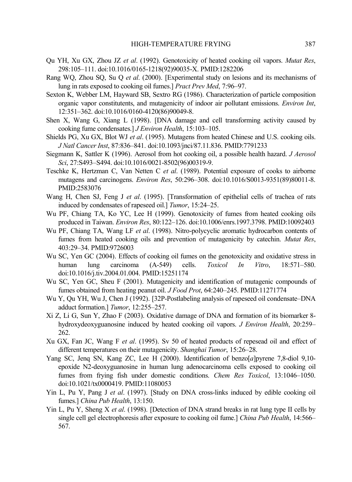- Qu YH, Xu GX, Zhou JZ *et al*. (1992). Genotoxicity of heated cooking oil vapors. *Mutat Res*, 298:105–111. doi:10.1016/0165-1218(92)90035-X. PMID:1282206
- Rang WQ, Zhou SQ, Su Q *et al*. (2000). [Experimental study on lesions and its mechanisms of lung in rats exposed to cooking oil fumes.] *Pract Prev Med*, 7:96–97.
- Sexton K, Webber LM, Hayward SB, Sextro RG (1986). Characterization of particle composition organic vapor constitutents, and mutagenicity of indoor air pollutant emissions. *Environ Int*, 12:351–362. doi:10.1016/0160-4120(86)90049-8.
- Shen X, Wang G, Xiang L (1998). [DNA damage and cell transforming activity caused by cooking fume condensates.] *J Environ Health*, 15:103–105.
- Shields PG, Xu GX, Blot WJ *et al*. (1995). Mutagens from heated Chinese and U.S. cooking oils. *J Natl Cancer Inst*, 87:836–841. doi:10.1093/jnci/87.11.836. PMID:7791233
- Siegmann K, Sattler K (1996). Aerosol from hot cooking oil, a possible health hazard. *J Aerosol Sci*, 27:S493–S494. doi:10.1016/0021-8502(96)00319-9.
- Teschke K, Hertzman C, Van Netten C *et al*. (1989). Potential exposure of cooks to airborne mutagens and carcinogens. *Environ Res*, 50:296–308. doi:10.1016/S0013-9351(89)80011-8. PMID:2583076
- Wang H, Chen SJ, Feng J *et al*. (1995). [Transformation of epithelial cells of trachea of rats induced by condensates of rapeseed oil.] *Tumor*, 15:24–25.
- Wu PF, Chiang TA, Ko YC, Lee H (1999). Genotoxicity of fumes from heated cooking oils produced in Taiwan. *Environ Res*, 80:122–126. doi:10.1006/enrs.1997.3798. PMID:10092403
- Wu PF, Chiang TA, Wang LF *et al*. (1998). Nitro-polycyclic aromatic hydrocarbon contents of fumes from heated cooking oils and prevention of mutagenicity by catechin. *Mutat Res*, 403:29–34. PMID:9726003
- Wu SC, Yen GC (2004). Effects of cooking oil fumes on the genotoxicity and oxidative stress in human lung carcinoma (A-549) cells. *Toxicol In Vitro*, 18:571–580. doi:10.1016/j.tiv.2004.01.004. PMID:15251174
- Wu SC, Yen GC, Sheu F (2001). Mutagenicity and identification of mutagenic compounds of fumes obtained from heating peanut oil. *J Food Prot*, 64:240–245. PMID:11271774
- Wu Y, Qu YH, Wu J, Chen J (1992). [32P-Postlabeling analysis of rapeseed oil condensate–DNA adduct formation.] *Tumor*, 12:255–257.
- Xi Z, Li G, Sun Y, Zhao F (2003). Oxidative damage of DNA and formation of its biomarker 8 hydroxydeoxyguanosine induced by heated cooking oil vapors. *J Environ Health*, 20:259– 262.
- Xu GX, Fan JC, Wang F *et al*. (1995). Sv 50 of heated products of repesead oil and effect of different temperatures on their mutagenicity. *Shanghai Tumor*, 15:26–28.
- Yang SC, Jenq SN, Kang ZC, Lee H (2000). Identification of benzo[*a*]pyrene 7,8-diol 9,10 epoxide N2-deoxyguanosine in human lung adenocarcinoma cells exposed to cooking oil fumes from frying fish under domestic conditions. *Chem Res Toxicol*, 13:1046–1050. doi:10.1021/tx0000419. PMID:11080053
- Yin L, Pu Y, Pang J *et al*. (1997). [Study on DNA cross-links induced by edible cooking oil fumes.] *China Pub Health*, 13:150.
- Yin L, Pu Y, Sheng X *et al*. (1998). [Detection of DNA strand breaks in rat lung type II cells by single cell gel electrophoresis after exposure to cooking oil fume.] *China Pub Health*, 14:566– 567.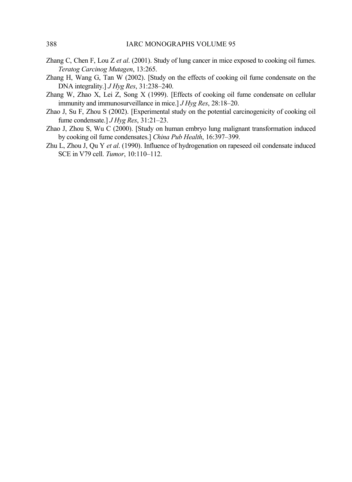- Zhang C, Chen F, Lou Z *et al*. (2001). Study of lung cancer in mice exposed to cooking oil fumes. *Teratog Carcinog Mutagen*, 13:265.
- Zhang H, Wang G, Tan W (2002). [Study on the effects of cooking oil fume condensate on the DNA integrality.] *J Hyg Res*, 31:238–240.
- Zhang W, Zhao X, Lei Z, Song X (1999). [Effects of cooking oil fume condensate on cellular immunity and immunosurveillance in mice.] *J Hyg Res*, 28:18–20.
- Zhao J, Su F, Zhou S (2002). [Experimental study on the potential carcinogenicity of cooking oil fume condensate.] *J Hyg Res*, 31:21–23.
- Zhao J, Zhou S, Wu C (2000). [Study on human embryo lung malignant transformation induced by cooking oil fume condensates.] *China Pub Health*, 16:397–399.
- Zhu L, Zhou J, Qu Y *et al*. (1990). Influence of hydrogenation on rapeseed oil condensate induced SCE in V79 cell. *Tumor*, 10:110–112.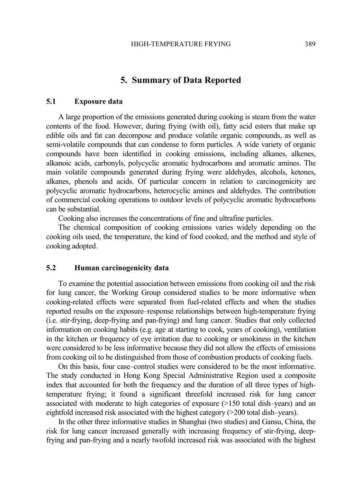# **5. Summary of Data Reported**

## **5.1 Exposure data**

A large proportion of the emissions generated during cooking is steam from the water contents of the food. However, during frying (with oil), fatty acid esters that make up edible oils and fat can decompose and produce volatile organic compounds, as well as semi-volatile compounds that can condense to form particles. A wide variety of organic compounds have been identified in cooking emissions, including alkanes, alkenes, alkanoic acids, carbonyls, polycyclic aromatic hydrocarbons and aromatic amines. The main volatile compounds generated during frying were aldehydes, alcohols, ketones, alkanes, phenols and acids. Of particular concern in relation to carcinogenicity are polycyclic aromatic hydrocarbons, heterocyclic amines and aldehydes. The contribution of commercial cooking operations to outdoor levels of polycyclic aromatic hydrocarbons can be substantial.

Cooking also increases the concentrations of fine and ultrafine particles.

The chemical composition of cooking emissions varies widely depending on the cooking oils used, the temperature, the kind of food cooked, and the method and style of cooking adopted.

#### **5.2 Human carcinogenicity data**

To examine the potential association between emissions from cooking oil and the risk for lung cancer, the Working Group considered studies to be more informative when cooking-related effects were separated from fuel-related effects and when the studies reported results on the exposure–response relationships between high-temperature frying (i.e. stir-frying, deep-frying and pan-frying) and lung cancer. Studies that only collected information on cooking habits (e.g. age at starting to cook, years of cooking), ventilation in the kitchen or frequency of eye irritation due to cooking or smokiness in the kitchen were considered to be less informative because they did not allow the effects of emissions from cooking oil to be distinguished from those of combustion products of cooking fuels.

On this basis, four case–control studies were considered to be the most informative. The study conducted in Hong Kong Special Administrative Region used a composite index that accounted for both the frequency and the duration of all three types of hightemperature frying; it found a significant threefold increased risk for lung cancer associated with moderate to high categories of exposure (>150 total dish–years) and an eightfold increased risk associated with the highest category (>200 total dish–years).

In the other three informative studies in Shanghai (two studies) and Gansu, China, the risk for lung cancer increased generally with increasing frequency of stir-frying, deepfrying and pan-frying and a nearly twofold increased risk was associated with the highest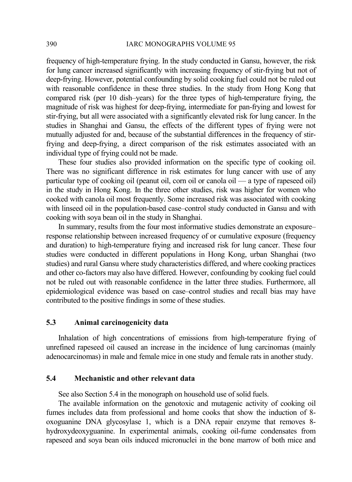frequency of high-temperature frying. In the study conducted in Gansu, however, the risk for lung cancer increased significantly with increasing frequency of stir-frying but not of deep-frying. However, potential confounding by solid cooking fuel could not be ruled out with reasonable confidence in these three studies. In the study from Hong Kong that compared risk (per 10 dish–years) for the three types of high-temperature frying, the magnitude of risk was highest for deep-frying, intermediate for pan-frying and lowest for stir-frying, but all were associated with a significantly elevated risk for lung cancer. In the studies in Shanghai and Gansu, the effects of the different types of frying were not mutually adjusted for and, because of the substantial differences in the frequency of stirfrying and deep-frying, a direct comparison of the risk estimates associated with an individual type of frying could not be made.

These four studies also provided information on the specific type of cooking oil. There was no significant difference in risk estimates for lung cancer with use of any particular type of cooking oil (peanut oil, corn oil or canola oil — a type of rapeseed oil) in the study in Hong Kong. In the three other studies, risk was higher for women who cooked with canola oil most frequently. Some increased risk was associated with cooking with linseed oil in the population-based case–control study conducted in Gansu and with cooking with soya bean oil in the study in Shanghai.

In summary, results from the four most informative studies demonstrate an exposure– response relationship between increased frequency of or cumulative exposure (frequency and duration) to high-temperature frying and increased risk for lung cancer. These four studies were conducted in different populations in Hong Kong, urban Shanghai (two studies) and rural Gansu where study characteristics differed, and where cooking practices and other co-factors may also have differed. However, confounding by cooking fuel could not be ruled out with reasonable confidence in the latter three studies. Furthermore, all epidemiological evidence was based on case–control studies and recall bias may have contributed to the positive findings in some of these studies.

## **5.3 Animal carcinogenicity data**

Inhalation of high concentrations of emissions from high-temperature frying of unrefined rapeseed oil caused an increase in the incidence of lung carcinomas (mainly adenocarcinomas) in male and female mice in one study and female rats in another study.

# **5.4 Mechanistic and other relevant data**

See also Section 5.4 in the monograph on household use of solid fuels.

The available information on the genotoxic and mutagenic activity of cooking oil fumes includes data from professional and home cooks that show the induction of 8 oxoguanine DNA glycosylase 1, which is a DNA repair enzyme that removes 8 hydroxydeoxyguanine. In experimental animals, cooking oil-fume condensates from rapeseed and soya bean oils induced micronuclei in the bone marrow of both mice and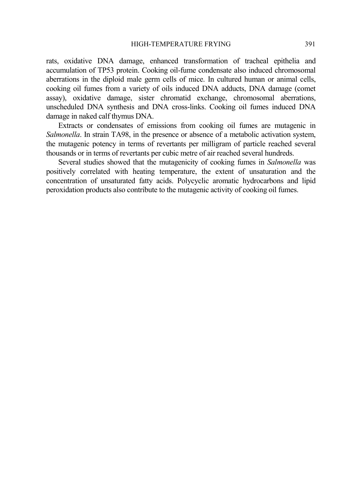rats, oxidative DNA damage, enhanced transformation of tracheal epithelia and accumulation of TP53 protein. Cooking oil-fume condensate also induced chromosomal aberrations in the diploid male germ cells of mice. In cultured human or animal cells, cooking oil fumes from a variety of oils induced DNA adducts, DNA damage (comet assay), oxidative damage, sister chromatid exchange, chromosomal aberrations, unscheduled DNA synthesis and DNA cross-links. Cooking oil fumes induced DNA damage in naked calf thymus DNA.

Extracts or condensates of emissions from cooking oil fumes are mutagenic in *Salmonella*. In strain TA98, in the presence or absence of a metabolic activation system, the mutagenic potency in terms of revertants per milligram of particle reached several thousands or in terms of revertants per cubic metre of air reached several hundreds.

Several studies showed that the mutagenicity of cooking fumes in *Salmonella* was positively correlated with heating temperature, the extent of unsaturation and the concentration of unsaturated fatty acids. Polycyclic aromatic hydrocarbons and lipid peroxidation products also contribute to the mutagenic activity of cooking oil fumes.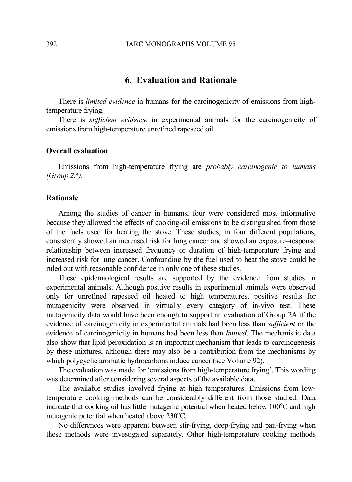# **6. Evaluation and Rationale**

There is *limited evidence* in humans for the carcinogenicity of emissions from hightemperature frying.

There is *sufficient evidence* in experimental animals for the carcinogenicity of emissions from high-temperature unrefined rapeseed oil.

#### **Overall evaluation**

Emissions from high-temperature frying are *probably carcinogenic to humans (Group 2A)*.

## **Rationale**

Among the studies of cancer in humans, four were considered most informative because they allowed the effects of cooking-oil emissions to be distinguished from those of the fuels used for heating the stove. These studies, in four different populations, consistently showed an increased risk for lung cancer and showed an exposure–response relationship between increased frequency or duration of high-temperature frying and increased risk for lung cancer. Confounding by the fuel used to heat the stove could be ruled out with reasonable confidence in only one of these studies.

These epidemiological results are supported by the evidence from studies in experimental animals. Although positive results in experimental animals were observed only for unrefined rapeseed oil heated to high temperatures, positive results for mutagenicity were observed in virtually every category of in-vivo test. These mutagenicity data would have been enough to support an evaluation of Group 2A if the evidence of carcinogenicity in experimental animals had been less than *sufficient* or the evidence of carcinogenicity in humans had been less than *limited*. The mechanistic data also show that lipid peroxidation is an important mechanism that leads to carcinogenesis by these mixtures, although there may also be a contribution from the mechanisms by which polycyclic aromatic hydrocarbons induce cancer (see Volume 92).

The evaluation was made for 'emissions from high-temperature frying'. This wording was determined after considering several aspects of the available data.

The available studies involved frying at high temperatures. Emissions from lowtemperature cooking methods can be considerably different from those studied. Data indicate that cooking oil has little mutagenic potential when heated below  $100^{\circ}$ C and high mutagenic potential when heated above  $230^{\circ}$ C.

No differences were apparent between stir-frying, deep-frying and pan-frying when these methods were investigated separately. Other high-temperature cooking methods